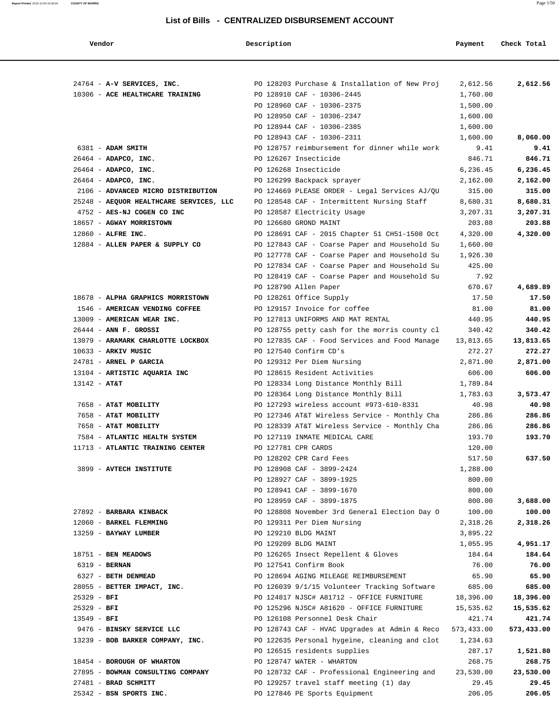| Vendor                                                       | Description            |                                                                             | Payment            | Check Total        |
|--------------------------------------------------------------|------------------------|-----------------------------------------------------------------------------|--------------------|--------------------|
|                                                              |                        |                                                                             |                    |                    |
| 24764 - A-V SERVICES, INC.                                   |                        | PO 128203 Purchase & Installation of New Proj                               | 2,612.56           | 2,612.56           |
| 10306 - ACE HEALTHCARE TRAINING                              |                        | PO 128910 CAF - 10306-2445                                                  | 1,760.00           |                    |
|                                                              |                        | PO 128960 CAF - 10306-2375                                                  | 1,500.00           |                    |
|                                                              |                        | PO 128950 CAF - 10306-2347                                                  | 1,600.00           |                    |
|                                                              |                        | PO 128944 CAF - 10306-2385                                                  | 1,600.00           |                    |
|                                                              |                        | PO 128943 CAF - 10306-2311                                                  | 1,600.00           | 8,060.00           |
| 6381 - ADAM SMITH                                            |                        | PO 128757 reimbursement for dinner while work                               | 9.41               | 9.41               |
| 26464 - ADAPCO, INC.                                         | PO 126267 Insecticide  |                                                                             | 846.71             | 846.71             |
| 26464 - ADAPCO, INC.                                         | PO 126268 Insecticide  |                                                                             | 6,236.45           | 6,236.45           |
| $26464$ - ADAPCO, INC.<br>2106 - ADVANCED MICRO DISTRIBUTION |                        | PO 126299 Backpack sprayer<br>PO 124669 PLEASE ORDER - Legal Services AJ/QU | 2,162.00<br>315.00 | 2,162.00<br>315.00 |
| 25248 - AEQUOR HEALTHCARE SERVICES, LLC                      |                        | PO 128548 CAF - Intermittent Nursing Staff                                  | 8,680.31           | 8,680.31           |
| 4752 - AES-NJ COGEN CO INC                                   |                        | PO 128587 Electricity Usage                                                 | 3,207.31           | 3,207.31           |
| 18657 - AGWAY MORRISTOWN                                     | PO 126680 GROND MAINT  |                                                                             | 203.88             | 203.88             |
| 12860 - ALFRE INC.                                           |                        | PO 128691 CAF - 2015 Chapter 51 CH51-1508 Oct                               | 4,320.00           | 4,320.00           |
| 12884 - ALLEN PAPER & SUPPLY CO                              |                        | PO 127843 CAF - Coarse Paper and Household Su                               | 1,660.00           |                    |
|                                                              |                        | PO 127778 CAF - Coarse Paper and Household Su                               | 1,926.30           |                    |
|                                                              |                        | PO 127834 CAF - Coarse Paper and Household Su                               | 425.00             |                    |
|                                                              |                        | PO 128419 CAF - Coarse Paper and Household Su                               | 7.92               |                    |
|                                                              | PO 128790 Allen Paper  |                                                                             | 670.67             | 4,689.89           |
| 18678 - ALPHA GRAPHICS MORRISTOWN                            |                        | PO 128261 Office Supply                                                     | 17.50              | 17.50              |
| 1546 - AMERICAN VENDING COFFEE                               |                        | PO 129157 Invoice for coffee                                                | 81.00              | 81.00              |
| 13009 - AMERICAN WEAR INC.                                   |                        | PO 127813 UNIFORMS AND MAT RENTAL                                           | 440.95             | 440.95             |
| 26444 - ANN F. GROSSI                                        |                        | PO 128755 petty cash for the morris county cl                               | 340.42             | 340.42             |
| 13079 - ARAMARK CHARLOTTE LOCKBOX                            |                        | PO 127835 CAF - Food Services and Food Manage                               | 13,813.65          | 13,813.65          |
| $10633$ - ARKIV MUSIC                                        | PO 127540 Confirm CD's |                                                                             | 272.27             | 272.27             |
| 24781 - ARNEL P GARCIA                                       |                        | PO 129312 Per Diem Nursing                                                  | 2,871.00           | 2,871.00           |
| 13104 - ARTISTIC AQUARIA INC                                 |                        | PO 128615 Resident Activities                                               | 606.00             | 606.00             |
| $13142 - AT&T$                                               |                        | PO 128334 Long Distance Monthly Bill                                        | 1,789.84           |                    |
|                                                              |                        | PO 128364 Long Distance Monthly Bill                                        | 1,783.63           | 3,573.47           |
| 7658 - AT&T MOBILITY                                         |                        | PO 127293 wireless account #973-610-8331                                    | 40.98              | 40.98              |
| 7658 - AT&T MOBILITY                                         |                        | PO 127346 AT&T Wireless Service - Monthly Cha                               | 286.86             | 286.86             |
| 7658 - AT&T MOBILITY                                         |                        | PO 128339 AT&T Wireless Service - Monthly Cha                               | 286.86             | 286.86             |
| 7584 - ATLANTIC HEALTH SYSTEM                                |                        | PO 127119 INMATE MEDICAL CARE                                               | 193.70             | 193.70             |
| 11713 - ATLANTIC TRAINING CENTER                             | PO 127781 CPR CARDS    |                                                                             | 120.00             |                    |
|                                                              |                        | PO 128202 CPR Card Fees                                                     | 517.50             | 637.50             |
| 3899 - AVTECH INSTITUTE                                      |                        | PO 128908 CAF - 3899-2424                                                   | 1,288.00           |                    |
|                                                              |                        | PO 128927 CAF - 3899-1925                                                   | 800.00             |                    |
|                                                              |                        | PO 128941 CAF - 3899-1670                                                   | 800.00             |                    |
|                                                              |                        | PO 128959 CAF - 3899-1875                                                   | 800.00             | 3,688.00           |
| 27892 - BARBARA KINBACK                                      |                        | PO 128808 November 3rd General Election Day O                               | 100.00             | 100.00             |
| 12060 - BARKEL FLEMMING                                      |                        | PO 129311 Per Diem Nursing                                                  | 2,318.26           | 2,318.26           |
| 13259 - BAYWAY LUMBER                                        | PO 129210 BLDG MAINT   |                                                                             | 3,895.22           |                    |
|                                                              | PO 129209 BLDG MAINT   |                                                                             | 1,055.95           | 4,951.17           |
| 18751 - BEN MEADOWS                                          |                        | PO 126265 Insect Repellent & Gloves                                         | 184.64             | 184.64             |
| 6319 - BERNAN                                                | PO 127541 Confirm Book |                                                                             | 76.00              | 76.00              |
| 6327 - BETH DENMEAD                                          |                        | PO 128694 AGING MILEAGE REIMBURSEMENT                                       | 65.90              | 65.90              |
| 28055 - BETTER IMPACT, INC.                                  |                        | PO 126039 9/1/15 Volunteer Tracking Software                                | 685.00             | 685.00             |
| $25329 - BFI$                                                |                        | PO 124817 NJSC# A81712 - OFFICE FURNITURE                                   | 18,396.00          | 18,396.00          |
| $25329 - BFI$                                                |                        | PO 125296 NJSC# A81620 - OFFICE FURNITURE                                   | 15,535.62          | 15,535.62          |
| $13549 - BFI$                                                |                        | PO 126108 Personnel Desk Chair                                              | 421.74             | 421.74             |
| 9476 - BINSKY SERVICE LLC                                    |                        | PO 128743 CAF - HVAC Upgrades at Admin & Reco                               | 573,433.00         | 573,433.00         |
| 13239 - BOB BARKER COMPANY, INC.                             |                        | PO 122635 Personal hygeine, cleaning and clot                               | 1,234.63           |                    |
|                                                              |                        | PO 126515 residents supplies                                                | 287.17             | 1,521.80           |
| 18454 - BOROUGH OF WHARTON                                   |                        | PO 128747 WATER - WHARTON                                                   | 268.75             | 268.75             |
| 27895 - BOWMAN CONSULTING COMPANY                            |                        | PO 128732 CAF - Professional Engineering and                                | 23,530.00          | 23,530.00          |
| 27481 - BRAD SCHMITT                                         |                        | PO 129257 travel staff meeting (1) day                                      | 29.45              | 29.45              |
| 25342 - BSN SPORTS INC.                                      |                        | PO 127846 PE Sports Equipment                                               | 206.05             | 206.05             |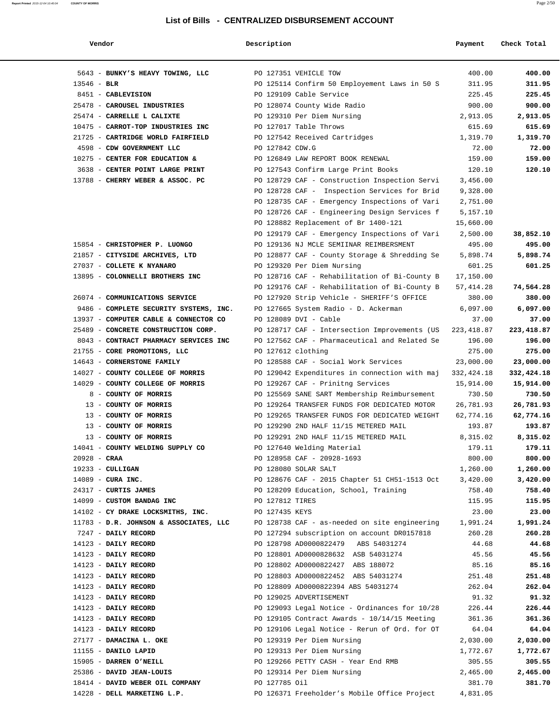| Vendor                                 | Description        |                                                | Payment     | Check Total |
|----------------------------------------|--------------------|------------------------------------------------|-------------|-------------|
|                                        |                    |                                                |             |             |
| 5643 - BUNKY'S HEAVY TOWING, LLC       |                    | PO 127351 VEHICLE TOW                          | 400.00      | 400.00      |
| $13546 - BLR$                          |                    | PO 125114 Confirm 50 Employement Laws in 50 S  | 311.95      | 311.95      |
| 8451 - CABLEVISION                     |                    | PO 129109 Cable Service                        | 225.45      | 225.45      |
| 25478 - CAROUSEL INDUSTRIES            |                    | PO 128074 County Wide Radio                    | 900.00      | 900.00      |
| 25474 - CARRELLE L CALIXTE             |                    | PO 129310 Per Diem Nursing                     | 2,913.05    | 2,913.05    |
| 10475 - CARROT-TOP INDUSTRIES INC      |                    | PO 127017 Table Throws                         | 615.69      | 615.69      |
| 21725 - CARTRIDGE WORLD FAIRFIELD      |                    | PO 127542 Received Cartridges                  | 1,319.70    | 1,319.70    |
| 4598 - CDW GOVERNMENT LLC              | PO 127842 CDW.G    |                                                | 72.00       | 72.00       |
| 10275 - CENTER FOR EDUCATION &         |                    | PO 126849 LAW REPORT BOOK RENEWAL              | 159.00      | 159.00      |
| 3638 - CENTER POINT LARGE PRINT        |                    | PO 127543 Confirm Large Print Books            | 120.10      | 120.10      |
| 13788 - CHERRY WEBER & ASSOC. PC       |                    | PO 128729 CAF - Construction Inspection Servi  | 3,456.00    |             |
|                                        |                    | PO 128728 CAF - Inspection Services for Brid   | 9,328.00    |             |
|                                        |                    | PO 128735 CAF - Emergency Inspections of Vari  | 2,751.00    |             |
|                                        |                    | PO 128726 CAF - Engineering Design Services f  | 5,157.10    |             |
|                                        |                    | PO 128882 Replacement of Br 1400-121           | 15,660.00   |             |
|                                        |                    | PO 129179 CAF - Emergency Inspections of Vari  | 2,500.00    | 38,852.10   |
| 15854 - CHRISTOPHER P. LUONGO          |                    | PO 129136 NJ MCLE SEMIINAR REIMBERSMENT        | 495.00      | 495.00      |
| 21857 - CITYSIDE ARCHIVES, LTD         |                    | PO 128877 CAF - County Storage & Shredding Se  | 5,898.74    | 5,898.74    |
| 27037 - COLLETE K NYANARO              |                    | PO 129320 Per Diem Nursing                     | 601.25      | 601.25      |
| 13895 - COLONNELLI BROTHERS INC        |                    | PO 128716 CAF - Rehabilitation of Bi-County B  | 17,150.00   |             |
|                                        |                    | PO 129176 CAF - Rehabilitation of Bi-County B  | 57, 414.28  | 74,564.28   |
| 26074 - COMMUNICATIONS SERVICE         |                    | PO 127920 Strip Vehicle - SHERIFF'S OFFICE     | 380.00      | 380.00      |
| 9486 - COMPLETE SECURITY SYSTEMS, INC. |                    | PO 127665 System Radio - D. Ackerman           | 6,097.00    | 6,097.00    |
| 13937 - COMPUTER CABLE & CONNECTOR CO  |                    | PO 128089 DVI - Cable                          | 37.00       | 37.00       |
| 25489 - CONCRETE CONSTRUCTION CORP.    |                    | PO 128717 CAF - Intersection Improvements (US  | 223, 418.87 | 223,418.87  |
| 8043 - CONTRACT PHARMACY SERVICES INC  |                    | PO 127562 CAF - Pharmaceutical and Related Se  | 196.00      | 196.00      |
| 21755 - CORE PROMOTIONS, LLC           | PO 127612 clothing |                                                | 275.00      | 275.00      |
| 14643 - CORNERSTONE FAMILY             |                    | PO 128588 CAF - Social Work Services           | 23,000.00   | 23,000.00   |
| 14027 - COUNTY COLLEGE OF MORRIS       |                    | PO 129042 Expenditures in connection with maj  | 332,424.18  | 332,424.18  |
| 14029 - COUNTY COLLEGE OF MORRIS       |                    | PO 129267 CAF - Prinitng Services              | 15,914.00   | 15,914.00   |
| 8 - COUNTY OF MORRIS                   |                    | PO 125569 SANE SART Membership Reimbursement   | 730.50      | 730.50      |
| 13 - COUNTY OF MORRIS                  |                    | PO 129264 TRANSFER FUNDS FOR DEDICATED MOTOR   | 26,781.93   | 26,781.93   |
| 13 - COUNTY OF MORRIS                  |                    | PO 129265 TRANSFER FUNDS FOR DEDICATED WEIGHT  | 62,774.16   | 62,774.16   |
| 13 - COUNTY OF MORRIS                  |                    | PO 129290 2ND HALF 11/15 METERED MAIL          | 193.87      | 193.87      |
| 13 - COUNTY OF MORRIS                  |                    | PO 129291 2ND HALF 11/15 METERED MAIL          | 8,315.02    | 8,315.02    |
| 14041 - COUNTY WELDING SUPPLY CO       |                    | PO 127640 Welding Material                     | 179.11      | 179.11      |
| $20928 - CRAA$                         |                    | PO 128958 CAF - 20928-1693                     | 800.00      | 800.00      |
| $19233 - \text{CULLIGAN}$              |                    | PO 128080 SOLAR SALT                           | 1,260.00    | 1,260.00    |
| $14089$ - CURA INC.                    |                    | PO 128676 CAF - 2015 Chapter 51 CH51-1513 Oct  | 3,420.00    | 3,420.00    |
| 24317 - CURTIS JAMES                   |                    | PO 128209 Education, School, Training          | 758.40      | 758.40      |
| 14099 - CUSTOM BANDAG INC              | PO 127812 TIRES    |                                                | 115.95      | 115.95      |
| 14102 - CY DRAKE LOCKSMITHS, INC.      | PO 127435 KEYS     |                                                | 23.00       | 23.00       |
| 11783 - D.R. JOHNSON & ASSOCIATES, LLC |                    | PO 128738 CAF - as-needed on site engineering  | 1,991.24    | 1,991.24    |
| 7247 - DAILY RECORD                    |                    | PO 127294 subscription on account DR0157818    | 260.28      | 260.28      |
| 14123 - DAILY RECORD                   |                    | PO 128798 AD0000822479 ABS 54031274            | 44.68       | 44.68       |
| 14123 - DAILY RECORD                   |                    | PO 128801 AD0000828632 ASB 54031274            | 45.56       | 45.56       |
| 14123 - DAILY RECORD                   |                    | PO 128802 AD0000822427 ABS 188072              | 85.16       | 85.16       |
| 14123 - DAILY RECORD                   |                    | PO 128803 AD0000822452 ABS 54031274            | 251.48      | 251.48      |
| 14123 - DAILY RECORD                   |                    | PO 128809 AD0000822394 ABS 54031274            | 262.04      | 262.04      |
| 14123 - DAILY RECORD                   |                    | PO 129025 ADVERTISEMENT                        | 91.32       | 91.32       |
| 14123 - DAILY RECORD                   |                    | PO 129093 Legal Notice - Ordinances for 10/28  | 226.44      | 226.44      |
| 14123 - DAILY RECORD                   |                    | PO 129105 Contract Awards - $10/14/15$ Meeting | 361.36      | 361.36      |
| 14123 - DAILY RECORD                   |                    | PO 129106 Legal Notice - Rerun of Ord. for OT  | 64.04       | 64.04       |
| 27177 - DAMACINA L. OKE                |                    | PO 129319 Per Diem Nursing                     | 2,030.00    | 2,030.00    |
| 11155 - DANILO LAPID                   |                    | PO 129313 Per Diem Nursing                     | 1,772.67    | 1,772.67    |
| 15905 - DARREN O'NEILL                 |                    | PO 129266 PETTY CASH - Year End RMB            | 305.55      | 305.55      |
| 25386 - DAVID JEAN-LOUIS               |                    | PO 129314 Per Diem Nursing                     | 2,465.00    | 2,465.00    |
| 18414 - DAVID WEBER OIL COMPANY        | PO 127785 Oil      |                                                | 381.70      | 381.70      |
| 14228 - DELL MARKETING L.P.            |                    | PO 126371 Freeholder's Mobile Office Project   | 4,831.05    |             |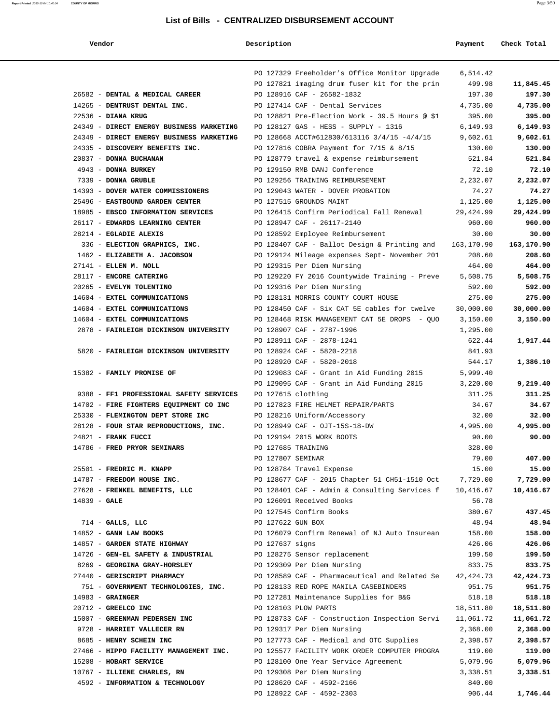# **Report Printed** 2015-12-04 10:40:04 **COUNTY OF MORRIS** Page 3/50 **List of Bills - CENTRALIZED DISBURSEMENT ACCOUNT**

| md<br>,<br>-- | л<br>rо |
|---------------|---------|
|---------------|---------|

| Vendor                                   | Description        |                                                | Payment        | Check Total     |
|------------------------------------------|--------------------|------------------------------------------------|----------------|-----------------|
|                                          |                    | PO 127329 Freeholder's Office Monitor Upgrade  | 6,514.42       |                 |
|                                          |                    | PO 127821 imaging drum fuser kit for the prin  | 499.98         | 11,845.45       |
| 26582 - DENTAL & MEDICAL CAREER          |                    | PO 128916 CAF - 26582-1832                     | 197.30         | 197.30          |
| 14265 - DENTRUST DENTAL INC.             |                    | PO 127414 CAF - Dental Services                | 4,735.00       | 4,735.00        |
| $22536$ - DIANA KRUG                     |                    | PO 128821 Pre-Election Work - 39.5 Hours @ \$1 | 395.00         | 395.00          |
| 24349 - DIRECT ENERGY BUSINESS MARKETING |                    | PO 128127 GAS - HESS - SUPPLY - 1316           | 6,149.93       | 6,149.93        |
| 24349 - DIRECT ENERGY BUSINESS MARKETING |                    | PO 128668 ACCT#612830/613116 3/4/15 -4/4/15    | 9,602.61       | 9,602.61        |
| 24335 - DISCOVERY BENEFITS INC.          |                    | PO 127816 COBRA Payment for 7/15 & 8/15        | 130.00         | 130.00          |
| 20837 - DONNA BUCHANAN                   |                    | PO 128779 travel & expense reimbursement       | 521.84         | 521.84          |
| 4943 - DONNA BURKEY                      |                    | PO 129150 RMB DANJ Conference                  | 72.10          | 72.10           |
| 7339 - DONNA GRUBLE                      |                    | PO 129256 TRAINING REIMBURSEMENT               | 2,232.07       | 2,232.07        |
| 14393 - DOVER WATER COMMISSIONERS        |                    | PO 129043 WATER - DOVER PROBATION              | 74.27          | 74.27           |
| 25496 - EASTBOUND GARDEN CENTER          |                    | PO 127515 GROUNDS MAINT                        | 1,125.00       | 1,125.00        |
| 18985 - EBSCO INFORMATION SERVICES       |                    | PO 126415 Confirm Periodical Fall Renewal      | 29,424.99      | 29,424.99       |
| 26117 - EDWARDS LEARNING CENTER          |                    | PO 128947 CAF - 26117-2140                     | 960.00         | 960.00          |
| 28214 - EGLADIE ALEXIS                   |                    | PO 128592 Employee Reimbursement               | 30.00          | 30.00           |
| 336 - ELECTION GRAPHICS, INC.            |                    | PO 128407 CAF - Ballot Design & Printing and   | 163,170.90     | 163,170.90      |
| 1462 - ELIZABETH A. JACOBSON             |                    | PO 129124 Mileage expenses Sept- November 201  | 208.60         | 208.60          |
| 27141 - ELLEN M. NOLL                    |                    | PO 129315 Per Diem Nursing                     | 464.00         | 464.00          |
| 28117 - ENCORE CATERING                  |                    | PO 129220 FY 2016 Countywide Training - Preve  | 5,508.75       | 5,508.75        |
| 20265 - EVELYN TOLENTINO                 |                    | PO 129316 Per Diem Nursing                     | 592.00         | 592.00          |
| 14604 - EXTEL COMMUNICATIONS             |                    | PO 128131 MORRIS COUNTY COURT HOUSE            | 275.00         | 275.00          |
| 14604 - EXTEL COMMUNICATIONS             |                    | PO 128450 CAF - Six CAT 5E cables for twelve   | 30,000.00      | 30,000.00       |
| 14604 - EXTEL COMMUNICATIONS             |                    | PO 128468 RISK MANAGEMENT CAT 5E DROPS - QUO   | 3,150.00       | 3,150.00        |
| 2878 - FAIRLEIGH DICKINSON UNIVERSITY    |                    | PO 128907 CAF - 2787-1996                      | 1,295.00       |                 |
|                                          |                    | PO 128911 CAF - 2878-1241                      | 622.44         | 1,917.44        |
| 5820 - FAIRLEIGH DICKINSON UNIVERSITY    |                    | PO 128924 CAF - 5820-2218                      | 841.93         |                 |
|                                          |                    | PO 128920 CAF - 5820-2018                      | 544.17         | 1,386.10        |
| 15382 - FAMILY PROMISE OF                |                    | PO 129083 CAF - Grant in Aid Funding 2015      | 5,999.40       |                 |
|                                          |                    | PO 129095 CAF - Grant in Aid Funding 2015      | 3,220.00       | 9,219.40        |
| 9388 - FF1 PROFESSIONAL SAFETY SERVICES  | PO 127615 clothing |                                                | 311.25         | 311.25          |
| 14702 - FIRE FIGHTERS EQUIPMENT CO INC   |                    | PO 127823 FIRE HELMET REPAIR/PARTS             | 34.67          | 34.67           |
| 25330 - FLEMINGTON DEPT STORE INC        |                    | PO 128216 Uniform/Accessory                    | 32.00          | 32.00           |
| 28128 - FOUR STAR REPRODUCTIONS, INC.    |                    | PO 128949 CAF - OJT-15S-18-DW                  | 4,995.00       | 4,995.00        |
| 24821 - FRANK FUCCI                      |                    | PO 129194 2015 WORK BOOTS                      | 90.00          | 90.00           |
| 14786 - FRED PRYOR SEMINARS              | PO 127685 TRAINING |                                                | 328.00         |                 |
| 25501 - FREDRIC M. KNAPP                 | PO 127807 SEMINAR  | PO 128784 Travel Expense                       | 79.00<br>15.00 | 407.00<br>15.00 |
| 14787 - FREEDOM HOUSE INC.               |                    | PO 128677 CAF - 2015 Chapter 51 CH51-1510 Oct  | 7,729.00       | 7,729.00        |
| 27628 - FRENKEL BENEFITS, LLC            |                    | PO 128401 CAF - Admin & Consulting Services f  | 10,416.67      | 10,416.67       |
| $14839 - GALE$                           |                    | PO 126091 Received Books                       | 56.78          |                 |
|                                          |                    | PO 127545 Confirm Books                        | 380.67         | 437.45          |
| $714$ - GALLS, LLC                       | PO 127622 GUN BOX  |                                                | 48.94          | 48.94           |
| 14852 - GANN LAW BOOKS                   |                    | PO 126079 Confirm Renewal of NJ Auto Insurean  | 158.00         | 158.00          |
| 14857 - GARDEN STATE HIGHWAY             | PO 127637 signs    |                                                | 426.06         | 426.06          |
| 14726 - GEN-EL SAFETY & INDUSTRIAL       |                    | PO 128275 Sensor replacement                   | 199.50         | 199.50          |
| 8269 - GEORGINA GRAY-HORSLEY             |                    | PO 129309 Per Diem Nursing                     | 833.75         | 833.75          |
| 27440 - GERISCRIPT PHARMACY              |                    | PO 128589 CAF - Pharmaceutical and Related Se  | 42,424.73      | 42,424.73       |
| 751 - GOVERNMENT TECHNOLOGIES, INC.      |                    | PO 128133 RED ROPE MANILA CASEBINDERS          | 951.75         | 951.75          |
| $14983$ - GRAINGER                       |                    | PO 127281 Maintenance Supplies for B&G         | 518.18         | 518.18          |
| 20712 - GREELCO INC                      |                    | PO 128103 PLOW PARTS                           | 18,511.80      | 18,511.80       |
| 15007 - GREENMAN PEDERSEN INC            |                    | PO 128733 CAF - Construction Inspection Servi  | 11,061.72      | 11,061.72       |
| 9728 - HARRIET VALLECER RN               |                    | PO 129317 Per Diem Nursing                     | 2,368.00       | 2,368.00        |
| 8685 - HENRY SCHEIN INC                  |                    | PO 127773 CAF - Medical and OTC Supplies       | 2,398.57       | 2,398.57        |
| 27466 - HIPPO FACILITY MANAGEMENT INC.   |                    | PO 125577 FACILITY WORK ORDER COMPUTER PROGRA  | 119.00         | 119.00          |
| 15208 - HOBART SERVICE                   |                    | PO 128100 One Year Service Agreement           | 5,079.96       | 5,079.96        |
| 10767 - ILLIENE CHARLES, RN              |                    | PO 129308 Per Diem Nursing                     | 3,338.51       | 3,338.51        |
| 4592 - INFORMATION & TECHNOLOGY          |                    | PO 128620 CAF - 4592-2166                      | 840.00         |                 |
|                                          |                    | PO 128922 CAF - 4592-2303                      | 906.44         | 1,746.44        |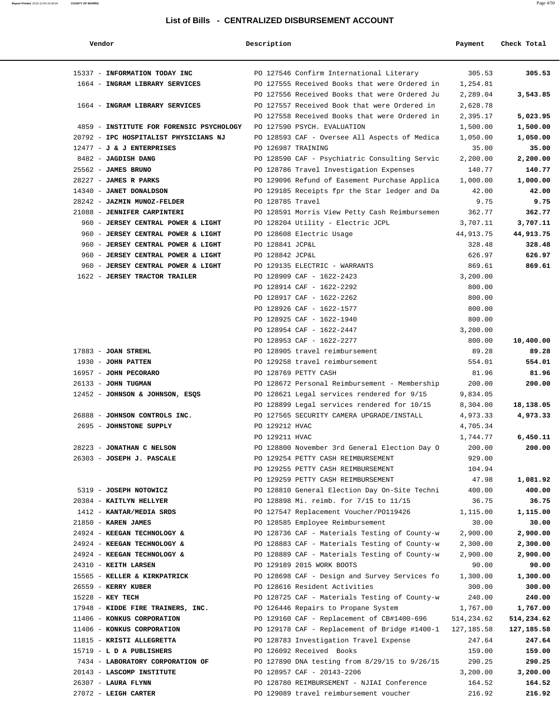| Vendor                                   | Description        |                                                                                         | Payment              | Check Total          |
|------------------------------------------|--------------------|-----------------------------------------------------------------------------------------|----------------------|----------------------|
| 15337 - INFORMATION TODAY INC            |                    | PO 127546 Confirm International Literary                                                | 305.53               | 305.53               |
| 1664 - INGRAM LIBRARY SERVICES           |                    | PO 127555 Received Books that were Ordered in                                           | 1,254.81             |                      |
|                                          |                    | PO 127556 Received Books that were Ordered Ju                                           | 2,289.04             | 3,543.85             |
| 1664 - INGRAM LIBRARY SERVICES           |                    | PO 127557 Received Book that were Ordered in                                            | 2,628.78             |                      |
|                                          |                    | PO 127558 Received Books that were Ordered in                                           | 2,395.17             | 5,023.95             |
| 4859 - INSTITUTE FOR FORENSIC PSYCHOLOGY |                    | PO 127590 PSYCH. EVALUATION                                                             | 1,500.00             | 1,500.00             |
| 20792 - IPC HOSPITALIST PHYSICIANS NJ    |                    | PO 128593 CAF - Oversee All Aspects of Medica                                           | 1,050.00             | 1,050.00             |
| $12477 - J$ & J ENTERPRISES              | PO 126987 TRAINING |                                                                                         | 35.00                | 35.00                |
| 8482 - JAGDISH DANG                      |                    | PO 128590 CAF - Psychiatric Consulting Servic                                           | 2,200.00             | 2,200.00             |
| 25562 - JAMES BRUNO                      |                    | PO 128786 Travel Investigation Expenses                                                 | 140.77               | 140.77               |
| $28227$ - JAMES R PARKS                  |                    | PO 129096 Refund of Easement Purchase Applica                                           | 1,000.00             | 1,000.00             |
| 14340 - JANET DONALDSON                  |                    | PO 129185 Receipts fpr the Star ledger and Da                                           | 42.00                | 42.00                |
| 28242 - JAZMIN MUNOZ-FELDER              | PO 128785 Travel   |                                                                                         | 9.75                 | 9.75                 |
| 21088 - JENNIFER CARPINTERI              |                    | PO 128591 Morris View Petty Cash Reimbursemen                                           | 362.77               | 362.77               |
| 960 - JERSEY CENTRAL POWER & LIGHT       |                    | PO 128204 Utility - Electric JCPL                                                       | 3,707.11             | 3,707.11             |
| 960 - JERSEY CENTRAL POWER & LIGHT       |                    | PO 128608 Electric Usage                                                                | 44,913.75            | 44,913.75            |
| 960 - JERSEY CENTRAL POWER & LIGHT       | PO 128841 JCP&L    |                                                                                         | 328.48               | 328.48               |
| 960 - JERSEY CENTRAL POWER & LIGHT       | PO 128842 JCP&L    |                                                                                         | 626.97               | 626.97               |
| 960 - JERSEY CENTRAL POWER & LIGHT       |                    | PO 129135 ELECTRIC - WARRANTS                                                           | 869.61               | 869.61               |
| 1622 - JERSEY TRACTOR TRAILER            |                    | PO 128909 CAF - 1622-2423                                                               | 3,200.00             |                      |
|                                          |                    | PO 128914 CAF - 1622-2292                                                               | 800.00               |                      |
|                                          |                    | PO 128917 CAF - 1622-2262                                                               | 800.00               |                      |
|                                          |                    | PO 128926 CAF - 1622-1577                                                               | 800.00               |                      |
|                                          |                    | PO 128925 CAF - 1622-1940                                                               | 800.00               |                      |
|                                          |                    | PO 128954 CAF - 1622-2447                                                               | 3,200.00             |                      |
|                                          |                    | PO 128953 CAF - 1622-2277                                                               | 800.00               | 10,400.00            |
| $17883$ - JOAN STREHL                    |                    | PO 128905 travel reimbursement                                                          | 89.28                | 89.28                |
| 1930 - JOHN PATTEN                       |                    | PO 129258 travel reimbursement                                                          | 554.01               | 554.01               |
| 16957 - JOHN PECORARO                    |                    | PO 128769 PETTY CASH                                                                    | 81.96                | 81.96                |
| 26133 - JOHN TUGMAN                      |                    | PO 128672 Personal Reimbursement - Membership                                           | 200.00               | 200.00               |
| 12452 - JOHNSON & JOHNSON, ESQS          |                    | PO 128621 Legal services rendered for 9/15                                              | 9,834.05             |                      |
|                                          |                    | PO 128899 Legal services rendered for 10/15                                             | 8,304.00             | 18,138.05            |
| 26888 - JOHNSON CONTROLS INC.            |                    | PO 127565 SECURITY CAMERA UPGRADE/INSTALL                                               | 4,973.33             | 4,973.33             |
| 2695 - JOHNSTONE SUPPLY                  | PO 129212 HVAC     |                                                                                         | 4,705.34             |                      |
|                                          | PO 129211 HVAC     |                                                                                         | 1,744.77             | 6,450.11             |
| 28223 - JONATHAN C NELSON                |                    | PO 128800 November 3rd General Election Day O                                           | 200.00               | 200.00               |
| 26303 - JOSEPH J. PASCALE                |                    | PO 129254 PETTY CASH REIMBURSEMENT                                                      | 929.00               |                      |
|                                          |                    | PO 129255 PETTY CASH REIMBURSEMENT                                                      | 104.94               |                      |
|                                          |                    | PO 129259 PETTY CASH REIMBURSEMENT                                                      | 47.98                | 1,081.92             |
| 5319 - JOSEPH NOTOWICZ                   |                    | PO 128810 General Election Day On-Site Techni                                           | 400.00               | 400.00               |
| 20384 - KAITLYN HELLYER                  |                    | PO 128898 Mi. reimb. for 7/15 to 11/15                                                  | 36.75                | 36.75                |
| 1412 - KANTAR/MEDIA SRDS                 |                    | PO 127547 Replacement Voucher/PO119426                                                  | 1,115.00             | 1,115.00             |
| 21850 - KAREN JAMES                      |                    | PO 128585 Employee Reimbursement                                                        | 30.00                | 30.00                |
| 24924 - KEEGAN TECHNOLOGY &              |                    | PO 128736 CAF - Materials Testing of County-w                                           | 2,900.00             | 2,900.00             |
| 24924 - KEEGAN TECHNOLOGY &              |                    | PO 128883 CAF - Materials Testing of County-w                                           | 2,300.00             | 2,300.00             |
| 24924 - KEEGAN TECHNOLOGY &              |                    | PO 128889 CAF - Materials Testing of County-w                                           | 2,900.00             | 2,900.00             |
| 24310 - KEITH LARSEN                     |                    | PO 129189 2015 WORK BOOTS                                                               | 90.00                | 90.00                |
| 15565 - KELLER & KIRKPATRICK             |                    | PO 128698 CAF - Design and Survey Services fo                                           | 1,300.00             | 1,300.00             |
| 26559 - KERRY KUBER<br>15228 - KEY TECH  |                    | PO 128616 Resident Activities                                                           | 300.00               | 300.00<br>240.00     |
| 17948 - KIDDE FIRE TRAINERS, INC.        |                    | PO 128725 CAF - Materials Testing of County-w<br>PO 126446 Repairs to Propane System    | 240.00<br>1,767.00   | 1,767.00             |
| 11406 - KONKUS CORPORATION               |                    | PO 129160 CAF - Replacement of CB#1400-696                                              | 514,234.62           | 514,234.62           |
| 11406 - KONKUS CORPORATION               |                    |                                                                                         |                      |                      |
| 11815 - KRISTI ALLEGRETTA                |                    | PO 129178 CAF - Replacement of Bridge #1400-1<br>PO 128783 Investigation Travel Expense | 127,185.58<br>247.64 | 127,185.58<br>247.64 |
| 15719 - L D A PUBLISHERS                 |                    | PO 126092 Received Books                                                                | 159.00               | 159.00               |
| 7434 - LABORATORY CORPORATION OF         |                    | PO 127890 DNA testing from 8/29/15 to 9/26/15                                           | 290.25               | 290.25               |
| 20143 - LASCOMP INSTITUTE                |                    | PO 128957 CAF - 20143-2206                                                              | 3,200.00             | 3,200.00             |
| 26307 - LAURA FLYNN                      |                    | PO 128780 REIMBURSEMENT - NJIAI Conference                                              | 164.52               | 164.52               |
| 27072 - LEIGH CARTER                     |                    | PO 129089 travel reimbursement voucher                                                  | 216.92               | 216.92               |
|                                          |                    |                                                                                         |                      |                      |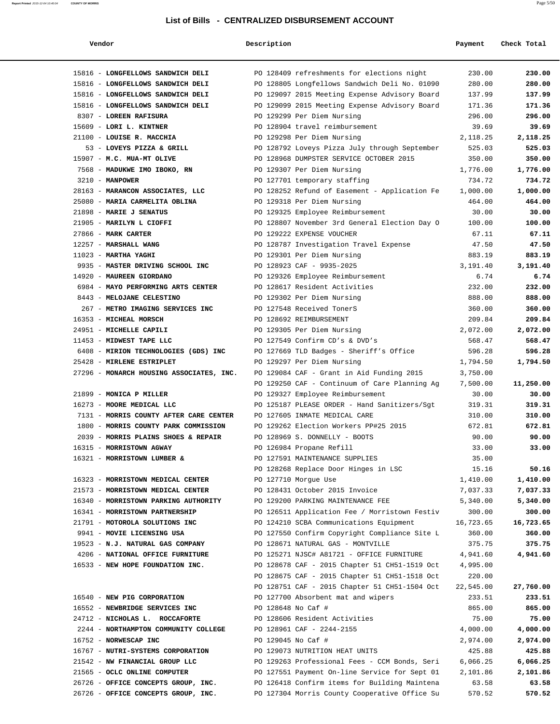| Vendor                                               | Description        |                                                                               | Payment         | Check Total     |
|------------------------------------------------------|--------------------|-------------------------------------------------------------------------------|-----------------|-----------------|
| 15816 - LONGFELLOWS SANDWICH DELI                    |                    | PO 128409 refreshments for elections night                                    | 230.00          | 230.00          |
| 15816 - LONGFELLOWS SANDWICH DELI                    |                    | PO 128805 Longfellows Sandwich Deli No. 01090                                 | 280.00          | 280.00          |
| 15816 - LONGFELLOWS SANDWICH DELI                    |                    | PO 129097 2015 Meeting Expense Advisory Board                                 | 137.99          | 137.99          |
| 15816 - LONGFELLOWS SANDWICH DELI                    |                    | PO 129099 2015 Meeting Expense Advisory Board                                 | 171.36          | 171.36          |
| 8307 - LOREEN RAFISURA                               |                    | PO 129299 Per Diem Nursing                                                    | 296.00          | 296.00          |
| 15609 - LORI L. KINTNER                              |                    | PO 128904 travel reimbursement                                                | 39.69           | 39.69           |
| 21100 - LOUISE R. MACCHIA                            |                    | PO 129298 Per Diem Nursing                                                    | 2,118.25        | 2,118.25        |
| 53 - LOVEYS PIZZA & GRILL                            |                    | PO 128792 Loveys Pizza July through September                                 | 525.03          | 525.03          |
| 15907 - M.C. MUA-MT OLIVE                            |                    | PO 128968 DUMPSTER SERVICE OCTOBER 2015                                       | 350.00          | 350.00          |
| 7568 - MADUKWE IMO IBOKO, RN                         |                    | PO 129307 Per Diem Nursing                                                    | 1,776.00        | 1,776.00        |
| $3210 - MANPOWER$                                    |                    | PO 127701 temporary staffing                                                  | 734.72          | 734.72          |
| 28163 - MARANCON ASSOCIATES, LLC                     |                    | PO 128252 Refund of Easement - Application Fe                                 | 1,000.00        | 1,000.00        |
| 25080 - MARIA CARMELITA OBLINA                       |                    | PO 129318 Per Diem Nursing                                                    | 464.00          | 464.00          |
| 21898 - MARIE J SENATUS                              |                    | PO 129325 Employee Reimbursement                                              | 30.00           | 30.00           |
| 21905 - MARILYN L CIOFFI                             |                    | PO 128807 November 3rd General Election Day O                                 | 100.00          | 100.00          |
| 27866 - MARK CARTER                                  |                    | PO 129222 EXPENSE VOUCHER                                                     | 67.11           | 67.11           |
| 12257 - MARSHALL WANG                                |                    | PO 128787 Investigation Travel Expense                                        | 47.50           | 47.50           |
| $11023$ - MARTHA YAGHI                               |                    | PO 129301 Per Diem Nursing                                                    | 883.19          | 883.19          |
| 9935 - MASTER DRIVING SCHOOL INC                     |                    | PO 128923 CAF - 9935-2025                                                     | 3,191.40        | 3,191.40        |
| 14920 - MAUREEN GIORDANO                             |                    | PO 129326 Employee Reimbursement                                              | 6.74            | 6.74            |
| 6984 - MAYO PERFORMING ARTS CENTER                   |                    | PO 128617 Resident Activities                                                 | 232.00          | 232.00          |
| 8443 - MELOJANE CELESTINO                            |                    | PO 129302 Per Diem Nursing                                                    | 888.00          | 888.00          |
| 267 - METRO IMAGING SERVICES INC                     |                    | PO 127548 Received TonerS                                                     | 360.00          | 360.00          |
| 16353 - MICHEAL MORSCH                               |                    | PO 128692 REIMBURSEMENT                                                       | 209.84          | 209.84          |
| 24951 - MICHELLE CAPILI                              |                    | PO 129305 Per Diem Nursing                                                    | 2,072.00        | 2,072.00        |
| 11453 - MIDWEST TAPE LLC                             |                    | PO 127549 Confirm CD's & DVD's                                                | 568.47          | 568.47          |
| 6408 - MIRION TECHNOLOGIES (GDS) INC                 |                    | PO 127669 TLD Badges - Sheriff's Office                                       | 596.28          | 596.28          |
| 25428 - MIRLENE ESTRIPLET                            |                    | PO 129297 Per Diem Nursing                                                    | 1,794.50        | 1,794.50        |
| 27296 - MONARCH HOUSING ASSOCIATES, INC.             |                    | PO 129084 CAF - Grant in Aid Funding 2015                                     | 3,750.00        |                 |
|                                                      |                    | PO 129250 CAF - Continuum of Care Planning Ag                                 | 7,500.00        | 11,250.00       |
| 21899 - MONICA P MILLER<br>16273 - MOORE MEDICAL LLC |                    | PO 129327 Employee Reimbursement                                              | 30.00<br>319.31 | 30.00<br>319.31 |
| 7131 - MORRIS COUNTY AFTER CARE CENTER               |                    | PO 125187 PLEASE ORDER - Hand Sanitizers/Sgt<br>PO 127605 INMATE MEDICAL CARE | 310.00          | 310.00          |
| 1800 - MORRIS COUNTY PARK COMMISSION                 |                    | PO 129262 Election Workers PP#25 2015                                         | 672.81          | 672.81          |
| 2039 - MORRIS PLAINS SHOES & REPAIR                  |                    | PO 128969 S. DONNELLY - BOOTS                                                 | 90.00           | 90.00           |
| 16315 - MORRISTOWN AGWAY                             |                    | PO 126984 Propane Refill                                                      | 33.00           | 33.00           |
| 16321 - MORRISTOWN LUMBER &                          |                    | PO 127591 MAINTENANCE SUPPLIES                                                | 35.00           |                 |
|                                                      |                    | PO 128268 Replace Door Hinges in LSC                                          | 15.16           | 50.16           |
| 16323 - MORRISTOWN MEDICAL CENTER                    |                    | PO 127710 Morgue Use                                                          | 1,410.00        | 1,410.00        |
| 21573 - MORRISTOWN MEDICAL CENTER                    |                    | PO 128431 October 2015 Invoice                                                | 7,037.33        | 7,037.33        |
| 16340 - MORRISTOWN PARKING AUTHORITY                 |                    | PO 129200 PARKING MAINTENANCE FEE                                             | 5,340.00        | 5,340.00        |
| 16341 - MORRISTOWN PARTNERSHIP                       |                    | PO 126511 Application Fee / Morristown Festiv                                 | 300.00          | 300.00          |
| 21791 - MOTOROLA SOLUTIONS INC                       |                    | PO 124210 SCBA Communications Equipment                                       | 16,723.65       | 16,723.65       |
| 9941 - MOVIE LICENSING USA                           |                    | PO 127550 Confirm Copyright Compliance Site L                                 | 360.00          | 360.00          |
| 19523 - N.J. NATURAL GAS COMPANY                     |                    | PO 128671 NATURAL GAS - MONTVILLE                                             | 375.75          | 375.75          |
| 4206 - NATIONAL OFFICE FURNITURE                     |                    | PO 125271 NJSC# A81721 - OFFICE FURNITURE                                     | 4,941.60        | 4,941.60        |
| 16533 - NEW HOPE FOUNDATION INC.                     |                    | PO 128678 CAF - 2015 Chapter 51 CH51-1519 Oct                                 | 4,995.00        |                 |
|                                                      |                    | PO 128675 CAF - 2015 Chapter 51 CH51-1518 Oct                                 | 220.00          |                 |
|                                                      |                    | PO 128751 CAF - 2015 Chapter 51 CH51-1504 Oct                                 | 22,545.00       | 27,760.00       |
| 16540 - NEW PIG CORPORATION                          |                    | PO 127700 Absorbent mat and wipers                                            | 233.51          | 233.51          |
| 16552 - NEWBRIDGE SERVICES INC                       | PO 128648 No Caf # |                                                                               | 865.00          | 865.00          |
| 24712 - NICHOLAS L. ROCCAFORTE                       |                    | PO 128606 Resident Activities                                                 | 75.00           | 75.00           |
| 2244 - NORTHAMPTON COMMUNITY COLLEGE                 |                    | PO 128961 CAF - 2244-2155                                                     | 4,000.00        | 4,000.00        |
| 16752 - NORWESCAP INC                                | PO 129045 No Caf # |                                                                               | 2,974.00        | 2,974.00        |
| 16767 - NUTRI-SYSTEMS CORPORATION                    |                    | PO 129073 NUTRITION HEAT UNITS                                                | 425.88          | 425.88          |
| 21542 - NW FINANCIAL GROUP LLC                       |                    | PO 129263 Professional Fees - CCM Bonds, Seri                                 | 6,066.25        | 6,066.25        |
| 21565 - OCLC ONLINE COMPUTER                         |                    | PO 127551 Payment On-line Service for Sept 01                                 | 2,101.86        | 2,101.86        |
| 26726 - OFFICE CONCEPTS GROUP, INC.                  |                    | PO 126418 Confirm items for Building Maintena                                 | 63.58           | 63.58           |
| 26726 - OFFICE CONCEPTS GROUP, INC.                  |                    | PO 127304 Morris County Cooperative Office Su                                 | 570.52          | 570.52          |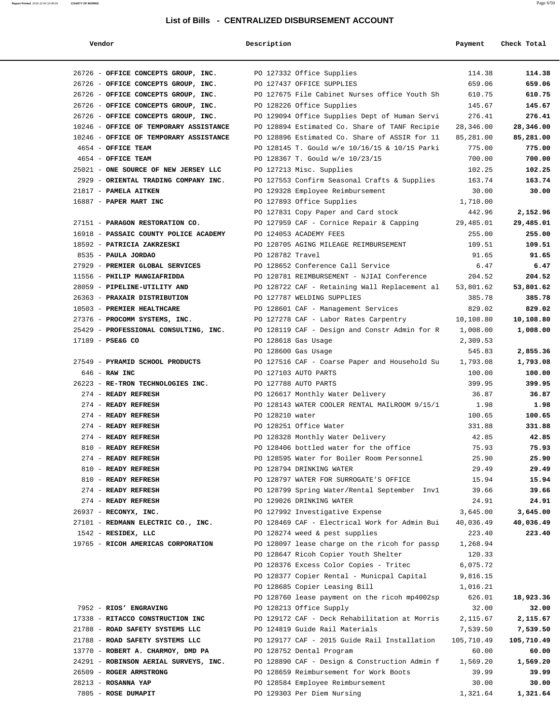| Vendor |  |
|--------|--|
|--------|--|

| Vendor                                                        | Description          |                                               | Payment    | Check Total |
|---------------------------------------------------------------|----------------------|-----------------------------------------------|------------|-------------|
|                                                               |                      |                                               |            |             |
| 26726 - OFFICE CONCEPTS GROUP, INC. PO 127332 Office Supplies |                      |                                               | 114.38     | 114.38      |
| 26726 - OFFICE CONCEPTS GROUP, INC.                           |                      | PO 127437 OFFICE SUPPLIES                     | 659.06     | 659.06      |
| 26726 - OFFICE CONCEPTS GROUP, INC.                           |                      | PO 127675 File Cabinet Nurses office Youth Sh | 610.75     | 610.75      |
| 26726 - OFFICE CONCEPTS GROUP, INC.                           |                      | PO 128226 Office Supplies                     | 145.67     | 145.67      |
| 26726 - OFFICE CONCEPTS GROUP, INC.                           |                      | PO 129094 Office Supplies Dept of Human Servi | 276.41     | 276.41      |
| 10246 - OFFICE OF TEMPORARY ASSISTANCE                        |                      | PO 128894 Estimated Co. Share of TANF Recipie | 28,346.00  | 28,346.00   |
| 10246 - OFFICE OF TEMPORARY ASSISTANCE                        |                      | PO 128896 Estimated Co. Share of ASSIR for 11 | 85,281.00  | 85,281.00   |
| 4654 - OFFICE TEAM                                            |                      | PO 128145 T. Gould w/e 10/16/15 & 10/15 Parki | 775.00     | 775.00      |
| 4654 - OFFICE TEAM                                            |                      | PO 128367 T. Gould w/e 10/23/15               | 700.00     | 700.00      |
| 25021 - ONE SOURCE OF NEW JERSEY LLC                          |                      | PO 127213 Misc. Supplies                      | 102.25     | 102.25      |
| 2929 - ORIENTAL TRADING COMPANY INC.                          |                      | PO 127553 Confirm Seasonal Crafts & Supplies  | 163.74     | 163.74      |
| 21817 - PAMELA AITKEN                                         |                      | PO 129328 Employee Reimbursement              | 30.00      | 30.00       |
| 16887 - PAPER MART INC                                        |                      | PO 127893 Office Supplies                     | 1,710.00   |             |
|                                                               |                      | PO 127831 Copy Paper and Card stock           | 442.96     | 2,152.96    |
| 27151 - PARAGON RESTORATION CO.                               |                      | PO 127959 CAF - Cornice Repair & Capping      | 29,485.01  | 29,485.01   |
| 16918 - PASSAIC COUNTY POLICE ACADEMY                         |                      | PO 124053 ACADEMY FEES                        | 255.00     | 255.00      |
| 18592 - PATRICIA ZAKRZESKI                                    |                      | PO 128705 AGING MILEAGE REIMBURSEMENT         | 109.51     | 109.51      |
| 8535 - PAULA JORDAO                                           | PO 128782 Travel     |                                               | 91.65      | 91.65       |
| 27929 - PREMIER GLOBAL SERVICES                               |                      | PO 128652 Conference Call Service             | 6.47       | 6.47        |
| 11556 - PHILIP MANGIAFRIDDA                                   |                      | PO 128781 REIMBURSEMENT - NJIAI Conference    | 204.52     | 204.52      |
| 28059 - PIPELINE-UTILITY AND                                  |                      | PO 128722 CAF - Retaining Wall Replacement al | 53,801.62  | 53,801.62   |
| 26363 - PRAXAIR DISTRIBUTION                                  |                      | PO 127787 WELDING SUPPLIES                    | 385.78     | 385.78      |
| 10503 - PREMIER HEALTHCARE                                    |                      | PO 128601 CAF - Management Services           | 829.02     | 829.02      |
| 27376 - PROCOMM SYSTEMS, INC.                                 |                      | PO 127278 CAF - Labor Rates Carpentry         | 10,108.80  | 10,108.80   |
| 25429 - PROFESSIONAL CONSULTING, INC.                         |                      | PO 128119 CAF - Design and Constr Admin for R | 1,008.00   | 1,008.00    |
| 17189 - PSE&G CO                                              |                      | PO 128618 Gas Usage                           | 2,309.53   |             |
|                                                               |                      | PO 128600 Gas Usage                           | 545.83     | 2,855.36    |
| 27549 - PYRAMID SCHOOL PRODUCTS                               |                      | PO 127516 CAF - Coarse Paper and Household Su | 1,793.08   | 1,793.08    |
| $646$ - RAW INC                                               |                      | PO 127103 AUTO PARTS                          | 100.00     | 100.00      |
| 26223 - RE-TRON TECHNOLOGIES INC.                             | PO 127788 AUTO PARTS |                                               | 399.95     | 399.95      |
| 274 - READY REFRESH                                           |                      | PO 126617 Monthly Water Delivery              | 36.87      | 36.87       |
| 274 - READY REFRESH                                           |                      | PO 128143 WATER COOLER RENTAL MAILROOM 9/15/1 | 1.98       | 1.98        |
| 274 - READY REFRESH                                           | PO 128210 water      |                                               | 100.65     | 100.65      |
| 274 - READY REFRESH                                           |                      | PO 128251 Office Water                        | 331.88     | 331.88      |
| 274 - READY REFRESH                                           |                      | PO 128328 Monthly Water Delivery              | 42.85      | 42.85       |
| 810 - READY REFRESH                                           |                      | PO 128406 bottled water for the office        | 75.93      | 75.93       |
| 274 - READY REFRESH                                           |                      | PO 128595 Water for Boiler Room Personnel     | 25.90      | 25.90       |
| 810 - READY REFRESH                                           |                      | PO 128794 DRINKING WATER                      | 29.49      | 29.49       |
| 810 - READY REFRESH                                           |                      | PO 128797 WATER FOR SURROGATE'S OFFICE        | 15.94      | 15.94       |
| 274 - READY REFRESH                                           |                      | PO 128799 Spring Water/Rental September Invl  | 39.66      | 39.66       |
| 274 - READY REFRESH                                           |                      | PO 129026 DRINKING WATER                      | 24.91      | 24.91       |
| 26937 - RECONYX, INC.                                         |                      | PO 127992 Investigative Expense               | 3,645.00   | 3,645.00    |
| 27101 - REDMANN ELECTRIC CO., INC.                            |                      | PO 128469 CAF - Electrical Work for Admin Bui | 40,036.49  | 40,036.49   |
| 1542 - RESIDEX, LLC                                           |                      | PO 128274 weed & pest supplies                | 223.40     | 223.40      |
| 19765 - RICOH AMERICAS CORPORATION                            |                      | PO 128097 lease charge on the ricoh for passp | 1,268.94   |             |
|                                                               |                      | PO 128647 Ricoh Copier Youth Shelter          | 120.33     |             |
|                                                               |                      | PO 128376 Excess Color Copies - Tritec        | 6,075.72   |             |
|                                                               |                      | PO 128377 Copier Rental - Municpal Capital    | 9,816.15   |             |
|                                                               |                      | PO 128685 Copier Leasing Bill                 | 1,016.21   |             |
|                                                               |                      | PO 128760 lease payment on the ricoh mp4002sp | 626.01     | 18,923.36   |
| 7952 - RIOS' ENGRAVING                                        |                      | PO 128213 Office Supply                       | 32.00      | 32.00       |
| 17338 - RITACCO CONSTRUCTION INC                              |                      | PO 129172 CAF - Deck Rehabilitation at Morris | 2,115.67   | 2,115.67    |
| 21788 - ROAD SAFETY SYSTEMS LLC                               |                      | PO 124819 Guide Rail Materials                | 7,539.50   | 7,539.50    |
| 21788 - ROAD SAFETY SYSTEMS LLC                               |                      | PO 129177 CAF - 2015 Guide Rail Installation  | 105,710.49 | 105,710.49  |
| 13770 - ROBERT A. CHARMOY, DMD PA                             |                      | PO 128752 Dental Program                      | 60.00      | 60.00       |
| 24291 - ROBINSON AERIAL SURVEYS, INC.                         |                      | PO 128890 CAF - Design & Construction Admin f | 1,569.20   | 1,569.20    |
| 26509 - ROGER ARMSTRONG                                       |                      | PO 128659 Reimbursement for Work Boots        | 39.99      | 39.99       |
| 28213 - ROSANNA YAP                                           |                      | PO 128584 Employee Reimbursement              | 30.00      | 30.00       |
| 7805 - ROSE DUMAPIT                                           |                      | PO 129303 Per Diem Nursing                    | 1,321.64   | 1,321.64    |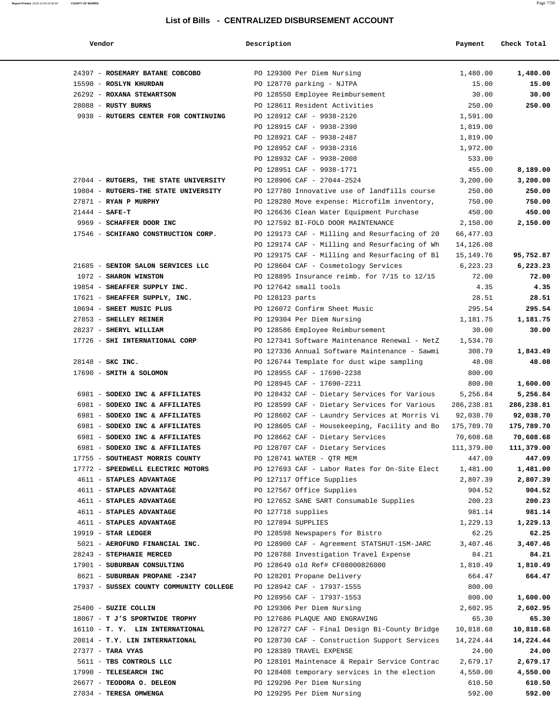| Vendor                                  | Description        |                                               | Payment    | Check Total |
|-----------------------------------------|--------------------|-----------------------------------------------|------------|-------------|
| 24397 - ROSEMARY BATANE COBCOBO         |                    | PO 129300 Per Diem Nursing                    | 1,480.00   | 1,480.00    |
| 15590 - ROSLYN KHURDAN                  |                    | PO 128770 parking - NJTPA                     | 15.00      | 15.00       |
| 26292 - ROXANA STEWARTSON               |                    | PO 128550 Employee Reimbursement              | 30.00      | 30.00       |
| 28088 - RUSTY BURNS                     |                    | PO 128611 Resident Activities                 | 250.00     | 250.00      |
| 9938 - RUTGERS CENTER FOR CONTINUING    |                    | PO 128912 CAF - 9938-2126                     | 1,591.00   |             |
|                                         |                    | PO 128915 CAF - 9938-2390                     | 1,819.00   |             |
|                                         |                    | PO 128921 CAF - 9938-2487                     | 1,819.00   |             |
|                                         |                    | PO 128952 CAF - 9938-2316                     | 1,972.00   |             |
|                                         |                    | PO 128932 CAF - 9938-2008                     | 533.00     |             |
|                                         |                    | PO 128951 CAF - 9938-1771                     | 455.00     | 8,189.00    |
| 27044 - RUTGERS, THE STATE UNIVERSITY   |                    | PO 128906 CAF - 27044-2524                    | 3,200.00   | 3,200.00    |
| 19804 - RUTGERS-THE STATE UNIVERSITY    |                    | PO 127780 Innovative use of landfills course  | 250.00     | 250.00      |
| 27871 - RYAN P MURPHY                   |                    | PO 128280 Move expense: Microfilm inventory,  | 750.00     | 750.00      |
| $21444 - SAFE-T$                        |                    | PO 126636 Clean Water Equipment Purchase      | 450.00     | 450.00      |
| 9969 - SCHAFFER DOOR INC                |                    | PO 127592 BI-FOLD DOOR MAINTENANCE            | 2,150.00   | 2,150.00    |
| 17546 - SCHIFANO CONSTRUCTION CORP.     |                    | PO 129173 CAF - Milling and Resurfacing of 20 | 66,477.03  |             |
|                                         |                    | PO 129174 CAF - Milling and Resurfacing of Wh | 14,126.08  |             |
|                                         |                    | PO 129175 CAF - Milling and Resurfacing of Bl | 15,149.76  | 95,752.87   |
| 21685 - SENIOR SALON SERVICES LLC       |                    | PO 128604 CAF - Cosmetology Services          | 6,223.23   | 6,223.23    |
| 1072 - SHARON WINSTON                   |                    | PO 128895 Insurance reimb. for 7/15 to 12/15  | 72.00      | 72.00       |
| 19854 - SHEAFFER SUPPLY INC.            |                    | PO 127642 small tools                         | 4.35       | 4.35        |
| 17621 - SHEAFFER SUPPLY, INC.           | PO 128123 parts    |                                               | 28.51      | 28.51       |
| 10694 - SHEET MUSIC PLUS                |                    | PO 126072 Confirm Sheet Music                 | 295.54     | 295.54      |
| 27853 - SHELLEY REINER                  |                    | PO 129304 Per Diem Nursing                    | 1,181.75   | 1,181.75    |
| 28237 - SHERYL WILLIAM                  |                    | PO 128586 Employee Reimbursement              | 30.00      | 30.00       |
| 17726 - SHI INTERNATIONAL CORP          |                    | PO 127341 Software Maintenance Renewal - NetZ | 1,534.70   |             |
|                                         |                    | PO 127336 Annual Software Maintenance - Sawmi | 308.79     | 1,843.49    |
| 28148 - SKC INC.                        |                    | PO 126744 Template for dust wipe sampling     | 48.08      | 48.08       |
| 17690 - SMITH & SOLOMON                 |                    | PO 128955 CAF - 17690-2238                    | 800.00     |             |
|                                         |                    | PO 128945 CAF - 17690-2211                    | 800.00     | 1,600.00    |
| 6981 - SODEXO INC & AFFILIATES          |                    | PO 128432 CAF - Dietary Services for Various  | 5,256.84   | 5,256.84    |
| 6981 - SODEXO INC & AFFILIATES          |                    | PO 128599 CAF - Dietary Services for Various  | 286,238.81 | 286,238.81  |
| 6981 - SODEXO INC & AFFILIATES          |                    | PO 128602 CAF - Laundry Services at Morris Vi | 92,038.70  | 92,038.70   |
| 6981 - SODEXO INC & AFFILIATES          |                    | PO 128605 CAF - Housekeeping, Facility and Bo | 175,789.70 | 175,789.70  |
| 6981 - SODEXO INC & AFFILIATES          |                    | PO 128662 CAF - Dietary Services              | 70,608.68  | 70,608.68   |
| 6981 - SODEXO INC & AFFILIATES          |                    | PO 128707 CAF - Dietary Services              | 111,379.00 | 111,379.00  |
| 17755 - SOUTHEAST MORRIS COUNTY         |                    | PO 128741 WATER - QTR MEM                     | 447.09     | 447.09      |
| 17772 - SPEEDWELL ELECTRIC MOTORS       |                    | PO 127693 CAF - Labor Rates for On-Site Elect | 1,481.00   | 1,481.00    |
| 4611 - STAPLES ADVANTAGE                |                    | PO 127117 Office Supplies                     | 2,807.39   | 2,807.39    |
| 4611 - STAPLES ADVANTAGE                |                    | PO 127567 Office Supplies                     | 904.52     | 904.52      |
| 4611 - STAPLES ADVANTAGE                |                    | PO 127652 SANE SART Consumable Supplies       | 200.23     | 200.23      |
| 4611 - STAPLES ADVANTAGE                |                    | PO 127718 supplies                            | 981.14     | 981.14      |
| 4611 - STAPLES ADVANTAGE                | PO 127894 SUPPLIES |                                               | 1,229.13   | 1,229.13    |
| $19919$ - STAR LEDGER                   |                    | PO 128598 Newspapers for Bistro               | 62.25      | 62.25       |
| 5021 - AEROFUND FINANCIAL INC.          |                    | PO 128900 CAF - Agreement STATSHUT-15M-JARC   | 3,407.46   | 3,407.46    |
| 28243 - STEPHANIE MERCED                |                    | PO 128788 Investigation Travel Expense        | 84.21      | 84.21       |
| 17901 - SUBURBAN CONSULTING             |                    | PO 128649 old Ref# CF08000826000              | 1,810.49   | 1,810.49    |
| 8621 - SUBURBAN PROPANE -2347           |                    | PO 128201 Propane Delivery                    | 664.47     | 664.47      |
| 17937 - SUSSEX COUNTY COMMUNITY COLLEGE |                    | PO 128942 CAF - 17937-1555                    | 800.00     |             |
|                                         |                    | PO 128956 CAF - 17937-1553                    | 800.00     | 1,600.00    |
| 25400 - SUZIE COLLIN                    |                    | PO 129306 Per Diem Nursing                    | 2,602.95   | 2,602.95    |
| 18067 - T J'S SPORTWIDE TROPHY          |                    | PO 127686 PLAQUE AND ENGRAVING                | 65.30      | 65.30       |
| 16110 - T. Y. LIN INTERNATIONAL         |                    | PO 128727 CAF - Final Design Bi-County Bridge | 10,818.68  | 10,818.68   |
| 20814 - T.Y. LIN INTERNATIONAL          |                    | PO 128730 CAF - Construction Support Services | 14,224.44  | 14,224.44   |
| $27377 -$ TARA VYAS                     |                    | PO 128389 TRAVEL EXPENSE                      | 24.00      | 24.00       |
| 5611 - TBS CONTROLS LLC                 |                    | PO 128101 Maintenace & Repair Service Contrac | 2,679.17   | 2,679.17    |
| 17990 - TELESEARCH INC                  |                    | PO 128408 temporary services in the election  | 4,550.00   | 4,550.00    |
| 26677 - TEODORA O. DELEON               |                    | PO 129296 Per Diem Nursing                    | 610.50     | 610.50      |
| 27034 - TERESA OMWENGA                  |                    | PO 129295 Per Diem Nursing                    | 592.00     | 592.00      |
|                                         |                    |                                               |            |             |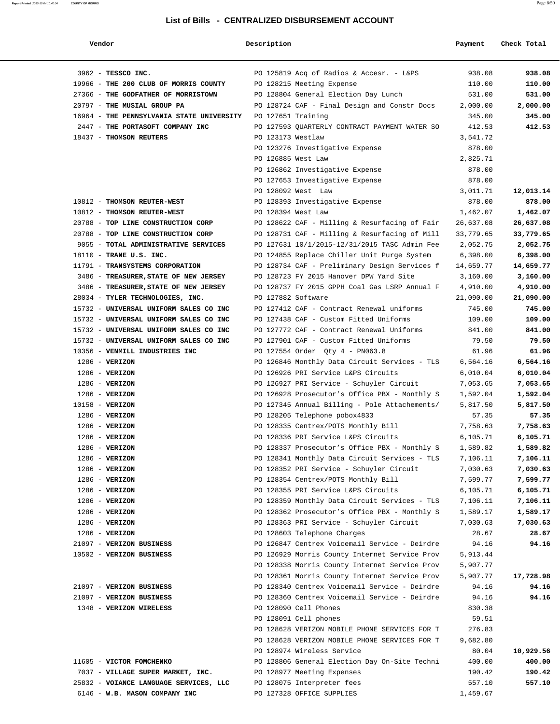| Vendor                                    | Description        |                                               | Payment   | Check Total |
|-------------------------------------------|--------------------|-----------------------------------------------|-----------|-------------|
| 3962 - TESSCO INC.                        |                    | PO 125819 Acq of Radios & Accesr. - L&PS      | 938.08    | 938.08      |
| 19966 - THE 200 CLUB OF MORRIS COUNTY     |                    | PO 128215 Meeting Expense                     | 110.00    | 110.00      |
| 27366 - THE GODFATHER OF MORRISTOWN       |                    | PO 128804 General Election Day Lunch          | 531.00    | 531.00      |
| 20797 - THE MUSIAL GROUP PA               |                    | PO 128724 CAF - Final Design and Constr Docs  | 2,000.00  | 2,000.00    |
| 16964 - THE PENNSYLVANIA STATE UNIVERSITY | PO 127651 Training |                                               | 345.00    | 345.00      |
| 2447 - THE PORTASOFT COMPANY INC          |                    | PO 127593 QUARTERLY CONTRACT PAYMENT WATER SO | 412.53    | 412.53      |
| 18437 - THOMSON REUTERS                   | PO 123173 Westlaw  |                                               | 3,541.72  |             |
|                                           |                    | PO 123276 Investigative Expense               | 878.00    |             |
|                                           | PO 126885 West Law |                                               | 2,825.71  |             |
|                                           |                    | PO 126862 Investigative Expense               | 878.00    |             |
|                                           |                    | PO 127653 Investigative Expense               | 878.00    |             |
|                                           |                    | PO 128092 West Law                            | 3,011.71  | 12,013.14   |
| 10812 - THOMSON REUTER-WEST               |                    | PO 128393 Investigative Expense               | 878.00    | 878.00      |
| 10812 - THOMSON REUTER-WEST               | PO 128394 West Law |                                               | 1,462.07  | 1,462.07    |
| 20788 - TOP LINE CONSTRUCTION CORP        |                    | PO 128622 CAF - Milling & Resurfacing of Fair | 26,637.08 | 26,637.08   |
| 20788 - TOP LINE CONSTRUCTION CORP        |                    | PO 128731 CAF - Milling & Resurfacing of Mill | 33,779.65 | 33,779.65   |
| 9055 - TOTAL ADMINISTRATIVE SERVICES      |                    | PO 127631 10/1/2015-12/31/2015 TASC Admin Fee | 2,052.75  | 2,052.75    |
| 18110 - TRANE U.S. INC.                   |                    | PO 124855 Replace Chiller Unit Purge System   | 6,398.00  | 6,398.00    |
| 11791 - TRANSYSTEMS CORPORATION           |                    | PO 128734 CAF - Preliminary Design Services f | 14,659.77 | 14,659.77   |
| 3486 - TREASURER, STATE OF NEW JERSEY     |                    | PO 128723 FY 2015 Hanover DPW Yard Site       | 3,160.00  | 3,160.00    |
| 3486 - TREASURER, STATE OF NEW JERSEY     |                    | PO 128737 FY 2015 GPPH Coal Gas LSRP Annual F | 4,910.00  | 4,910.00    |
| 28034 - TYLER TECHNOLOGIES, INC.          | PO 127882 Software |                                               | 21,090.00 | 21,090.00   |
| 15732 - UNIVERSAL UNIFORM SALES CO INC    |                    | PO 127412 CAF - Contract Renewal uniforms     | 745.00    | 745.00      |
| 15732 - UNIVERSAL UNIFORM SALES CO INC    |                    | PO 127438 CAF - Custom Fitted Uniforms        | 109.00    | 109.00      |
| 15732 - UNIVERSAL UNIFORM SALES CO INC    |                    | PO 127772 CAF - Contract Renewal Uniforms     | 841.00    | 841.00      |
| 15732 - UNIVERSAL UNIFORM SALES CO INC    |                    | PO 127901 CAF - Custom Fitted Uniforms        | 79.50     | 79.50       |
| 10356 - VENMILL INDUSTRIES INC            |                    | PO 127554 Order Qty 4 - PN063.8               | 61.96     | 61.96       |
| $1286$ - VERIZON                          |                    | PO 126846 Monthly Data Circuit Services - TLS | 6,564.16  | 6,564.16    |
| $1286$ - VERIZON                          |                    | PO 126926 PRI Service L&PS Circuits           | 6,010.04  | 6,010.04    |
| $1286$ - VERIZON                          |                    | PO 126927 PRI Service - Schuyler Circuit      | 7,053.65  | 7,053.65    |
| $1286$ - VERIZON                          |                    | PO 126928 Prosecutor's Office PBX - Monthly S | 1,592.04  | 1,592.04    |
| $10158 - VERIZON$                         |                    | PO 127345 Annual Billing - Pole Attachements/ | 5,817.50  | 5,817.50    |
| $1286$ - VERIZON                          |                    | PO 128205 Telephone pobox4833                 | 57.35     | 57.35       |
| $1286$ - VERIZON                          |                    | PO 128335 Centrex/POTS Monthly Bill           | 7,758.63  | 7,758.63    |
| $1286$ - VERIZON                          |                    | PO 128336 PRI Service L&PS Circuits           | 6,105.71  | 6,105.71    |
| $1286$ - VERIZON                          |                    | PO 128337 Prosecutor's Office PBX - Monthly S | 1,589.82  | 1,589.82    |
| $1286$ - VERIZON                          |                    | PO 128341 Monthly Data Circuit Services - TLS | 7,106.11  | 7,106.11    |
| $1286$ - VERIZON                          |                    | PO 128352 PRI Service - Schuyler Circuit      | 7,030.63  | 7,030.63    |
| $1286$ - VERIZON                          |                    | PO 128354 Centrex/POTS Monthly Bill           | 7,599.77  | 7,599.77    |
| $1286$ - VERIZON                          |                    | PO 128355 PRI Service L&PS Circuits           | 6,105.71  | 6,105.71    |
| $1286$ - VERIZON                          |                    | PO 128359 Monthly Data Circuit Services - TLS | 7,106.11  | 7,106.11    |
| $1286$ - VERIZON                          |                    | PO 128362 Prosecutor's Office PBX - Monthly S | 1,589.17  | 1,589.17    |
| $1286$ - VERIZON                          |                    | PO 128363 PRI Service - Schuyler Circuit      | 7,030.63  | 7,030.63    |
| $1286$ - VERIZON                          |                    | PO 128603 Telephone Charges                   | 28.67     | 28.67       |
| 21097 - VERIZON BUSINESS                  |                    | PO 126847 Centrex Voicemail Service - Deirdre | 94.16     | 94.16       |
| 10502 - VERIZON BUSINESS                  |                    | PO 126929 Morris County Internet Service Prov | 5,913.44  |             |
|                                           |                    | PO 128338 Morris County Internet Service Prov | 5,907.77  |             |
|                                           |                    | PO 128361 Morris County Internet Service Prov | 5,907.77  | 17,728.98   |
| 21097 - VERIZON BUSINESS                  |                    | PO 128340 Centrex Voicemail Service - Deirdre | 94.16     | 94.16       |
| 21097 - VERIZON BUSINESS                  |                    | PO 128360 Centrex Voicemail Service - Deirdre | 94.16     | 94.16       |
| 1348 - VERIZON WIRELESS                   |                    | PO 128090 Cell Phones                         | 830.38    |             |
|                                           |                    | PO 128091 Cell phones                         | 59.51     |             |
|                                           |                    | PO 128628 VERIZON MOBILE PHONE SERVICES FOR T | 276.83    |             |
|                                           |                    | PO 128628 VERIZON MOBILE PHONE SERVICES FOR T | 9,682.80  |             |
|                                           |                    | PO 128974 Wireless Service                    | 80.04     | 10,929.56   |
| 11605 - VICTOR FOMCHENKO                  |                    | PO 128806 General Election Day On-Site Techni | 400.00    | 400.00      |
| 7037 - VILLAGE SUPER MARKET, INC.         |                    | PO 128977 Meeting Expenses                    | 190.42    | 190.42      |
| 25832 - VOIANCE LANGUAGE SERVICES, LLC    |                    | PO 128075 Interpreter fees                    | 557.10    | 557.10      |
| 6146 - W.B. MASON COMPANY INC             |                    | PO 127328 OFFICE SUPPLIES                     | 1,459.67  |             |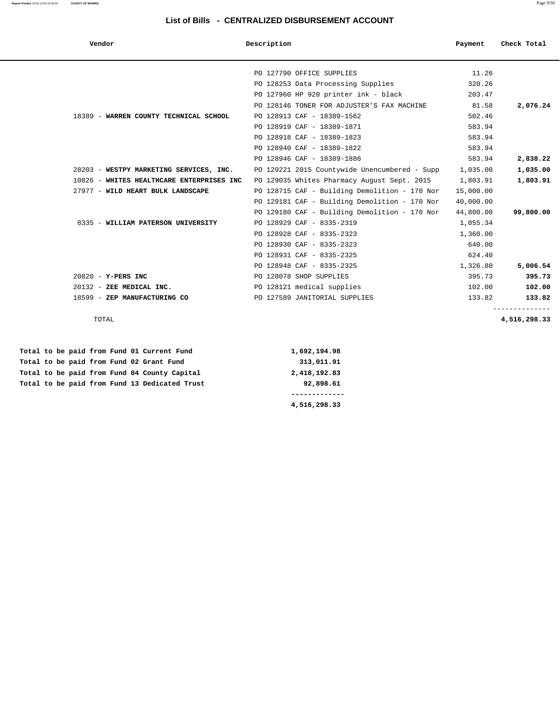#### **Report Printed** 2015-12-04 10:40:04 **COUNTY OF MORRIS** Page 9/50

### **List of Bills - CENTRALIZED DISBURSEMENT ACCOUNT**

| Vendor                                     | Description                                   | Payment   | Check Total              |
|--------------------------------------------|-----------------------------------------------|-----------|--------------------------|
|                                            |                                               |           |                          |
|                                            | PO 127790 OFFICE SUPPLIES                     | 11.26     |                          |
|                                            | PO 128253 Data Processing Supplies            | 320.26    |                          |
|                                            | PO 127960 HP 920 printer ink - black          | 203.47    |                          |
|                                            | PO 128146 TONER FOR ADJUSTER'S FAX MACHINE    | 81.58     | 2,076.24                 |
| 18389 - WARREN COUNTY TECHNICAL SCHOOL     | PO 128913 CAF - 18389-1562                    | 502.46    |                          |
|                                            | PO 128919 CAF - 18389-1871                    | 583.94    |                          |
|                                            | PO 128918 CAF - 18389-1823                    | 583.94    |                          |
|                                            | PO 128940 CAF - 18389-1822                    | 583.94    |                          |
|                                            | PO 128946 CAF - 18389-1886                    | 583.94    | 2,838.22                 |
| 28203 - WESTPY MARKETING SERVICES, INC.    | PO 129221 2015 Countywide Unencumbered - Supp | 1,035.00  | 1,035.00                 |
| 10826 - WHITES HEALTHCARE ENTERPRISES INC  | PO 129035 Whites Pharmacy August Sept. 2015   | 1,803.91  | 1,803.91                 |
| 27977 - WILD HEART BULK LANDSCAPE          | PO 128715 CAF - Building Demolition - 170 Nor | 15,000.00 |                          |
|                                            | PO 129181 CAF - Building Demolition - 170 Nor | 40,000.00 |                          |
|                                            | PO 129180 CAF - Building Demolition - 170 Nor | 44,800.00 | 99,800.00                |
| 8335 - WILLIAM PATERSON UNIVERSITY         | PO 128929 CAF - 8335-2319                     | 1,055.34  |                          |
|                                            | PO 128928 CAF - 8335-2323                     | 1,360.00  |                          |
|                                            | PO 128930 CAF - 8335-2323                     | 640.00    |                          |
|                                            | PO 128931 CAF - 8335-2325                     | 624.40    |                          |
|                                            | PO 128948 CAF - 8335-2325                     | 1,326.80  | 5,006.54                 |
| 20820 - Y-PERS INC                         | PO 128078 SHOP SUPPLIES                       | 395.73    | 395.73                   |
| 20132 - ZEE MEDICAL INC.                   | PO 128121 medical supplies                    | 102.00    | 102.00                   |
| 18599 - ZEP MANUFACTURING CO               | PO 127589 JANITORIAL SUPPLIES                 | 133.82    | 133.82<br>-------------- |
| TOTAL                                      |                                               |           | 4,516,298.33             |
| Total to be paid from Fund 01 Current Fund | 1,692,194.98                                  |           |                          |

|  |  |  |  |                                               | 4,516,298.33        |
|--|--|--|--|-----------------------------------------------|---------------------|
|  |  |  |  |                                               |                     |
|  |  |  |  | Total to be paid from Fund 13 Dedicated Trust | 92,898.61           |
|  |  |  |  | Total to be paid from Fund 04 County Capital  | 2,418,192.83        |
|  |  |  |  | Total to be paid from Fund 02 Grant Fund      | 313,011.91          |
|  |  |  |  | TOCAL CO DE DAIG IFOM FUNG VI CUFFENC FUNG    | <b>1,094,194.90</b> |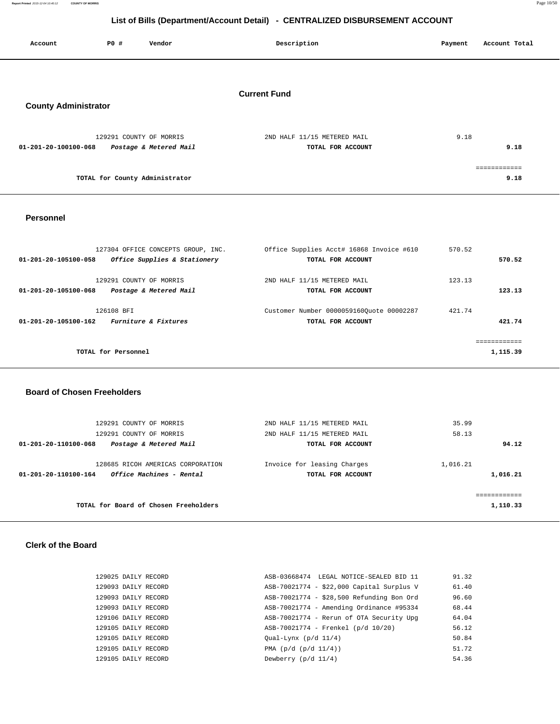**Report Printed** 2015-12-04 10:40:12 **COUNTY OF MORRIS** Page 10/50

# **List of Bills (Department/Account Detail) - CENTRALIZED DISBURSEMENT ACCOUNT**

| Account                     | P0 # | Vendor                                            | Description                                      | Account Total<br>Payment     |
|-----------------------------|------|---------------------------------------------------|--------------------------------------------------|------------------------------|
| <b>County Administrator</b> |      |                                                   | <b>Current Fund</b>                              |                              |
| 01-201-20-100100-068        |      | 129291 COUNTY OF MORRIS<br>Postage & Metered Mail | 2ND HALF 11/15 METERED MAIL<br>TOTAL FOR ACCOUNT | 9.18<br>9.18<br>============ |

**TOTAL for County Administrator 9.18**

## **Personnel**

| 127304 OFFICE CONCEPTS GROUP, INC.                                        | Office Supplies Acct# 16868 Invoice #610                      | 570.52 |                         |
|---------------------------------------------------------------------------|---------------------------------------------------------------|--------|-------------------------|
| Office Supplies & Stationery<br>01-201-20-105100-058                      | TOTAL FOR ACCOUNT                                             |        | 570.52                  |
| 129291 COUNTY OF MORRIS<br>Postage & Metered Mail<br>01-201-20-105100-068 | 2ND HALF 11/15 METERED MAIL<br>TOTAL FOR ACCOUNT              | 123.13 | 123.13                  |
| 126108 BFT<br>Furniture & Fixtures<br>01-201-20-105100-162                | Customer Number 00000591600uote 00002287<br>TOTAL FOR ACCOUNT | 421.74 | 421.74                  |
| TOTAL for Personnel                                                       |                                                               |        | eeeeeeeeeee<br>1,115.39 |

#### **Board of Chosen Freeholders**

| 129291 COUNTY OF MORRIS<br>129291 COUNTY OF MORRIS                                           | 2ND HALF 11/15 METERED MAIL<br>2ND HALF 11/15 METERED MAIL | 35.99<br>58.13        |
|----------------------------------------------------------------------------------------------|------------------------------------------------------------|-----------------------|
| Postage & Metered Mail<br>01-201-20-110100-068                                               | TOTAL FOR ACCOUNT                                          | 94.12                 |
| 128685 RICOH AMERICAS CORPORATION<br><i>Office Machines - Rental</i><br>01-201-20-110100-164 | Invoice for leasing Charges<br>TOTAL FOR ACCOUNT           | 1,016.21<br>1,016.21  |
| TOTAL for Board of Chosen Freeholders                                                        |                                                            | eeeeeeeee<br>1,110.33 |

#### **Clerk of the Board**

| 129025 DAILY RECORD | ASB-03668474 LEGAL NOTICE-SEALED BID 11   | 91.32 |
|---------------------|-------------------------------------------|-------|
| 129093 DAILY RECORD | ASB-70021774 - \$22,000 Capital Surplus V | 61.40 |
| 129093 DAILY RECORD | ASB-70021774 - \$28,500 Refunding Bon Ord | 96.60 |
| 129093 DAILY RECORD | ASB-70021774 - Amending Ordinance #95334  | 68.44 |
| 129106 DAILY RECORD | ASB-70021774 - Rerun of OTA Security Upq  | 64.04 |
| 129105 DAILY RECORD | ASB-70021774 - Frenkel (p/d 10/20)        | 56.12 |
| 129105 DAILY RECORD | $Qual-Lynx$ (p/d $11/4$ )                 | 50.84 |
| 129105 DAILY RECORD | PMA $(p/d (p/d 11/4))$                    | 51.72 |
| 129105 DAILY RECORD | Dewberry $(p/d \ 11/4)$                   | 54.36 |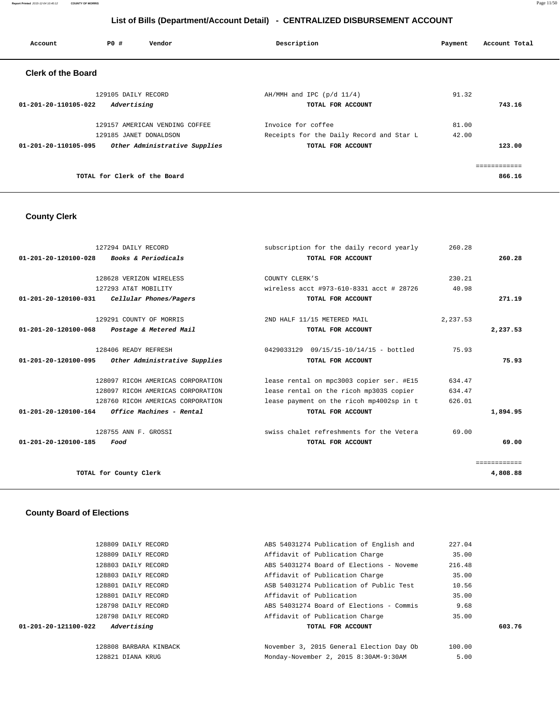**Report Printed** 2015-12-04 10:40:12 **COUNTY OF MORRIS** Page 11/50

# **List of Bills (Department/Account Detail) - CENTRALIZED DISBURSEMENT ACCOUNT**

| Account                   | PO#<br>Vendor                  | Description                              | Payment | Account Total |
|---------------------------|--------------------------------|------------------------------------------|---------|---------------|
| <b>Clerk of the Board</b> |                                |                                          |         |               |
|                           | 129105 DAILY RECORD            | $AH/MMH$ and IPC ( $p/d$ 11/4)           | 91.32   |               |
| 01-201-20-110105-022      | Advertising                    | TOTAL FOR ACCOUNT                        |         | 743.16        |
|                           | 129157 AMERICAN VENDING COFFEE | Invoice for coffee                       | 81.00   |               |
|                           | 129185 JANET DONALDSON         | Receipts for the Daily Record and Star L | 42.00   |               |
| 01-201-20-110105-095      | Other Administrative Supplies  | TOTAL FOR ACCOUNT                        |         | 123.00        |
|                           |                                |                                          |         |               |
|                           | TOTAL for Clerk of the Board   |                                          |         | 866.16        |
|                           |                                |                                          |         |               |

# **County Clerk**

|                                | 127294 DAILY RECORD               | subscription for the daily record yearly | 260.28   |              |
|--------------------------------|-----------------------------------|------------------------------------------|----------|--------------|
| $01 - 201 - 20 - 120100 - 028$ | Books & Periodicals               | TOTAL FOR ACCOUNT                        |          | 260.28       |
|                                |                                   |                                          |          |              |
|                                | 128628 VERIZON WIRELESS           | COUNTY CLERK'S                           | 230.21   |              |
|                                | 127293 AT&T MOBILITY              | wireless acct #973-610-8331 acct # 28726 | 40.98    |              |
| 01-201-20-120100-031           | Cellular Phones/Pagers            | TOTAL FOR ACCOUNT                        |          | 271.19       |
|                                | 129291 COUNTY OF MORRIS           | 2ND HALF 11/15 METERED MAIL              | 2,237.53 |              |
| $01 - 201 - 20 - 120100 - 068$ | Postage & Metered Mail            | TOTAL FOR ACCOUNT                        |          | 2,237.53     |
|                                | 128406 READY REFRESH              | 0429033129  09/15/15-10/14/15 - bottled  | 75.93    |              |
| $01 - 201 - 20 - 120100 - 095$ | Other Administrative Supplies     | TOTAL FOR ACCOUNT                        |          | 75.93        |
|                                | 128097 RICOH AMERICAS CORPORATION | lease rental on mpc3003 copier ser. #E15 | 634.47   |              |
|                                | 128097 RICOH AMERICAS CORPORATION | lease rental on the ricoh mp303S copier  | 634.47   |              |
|                                | 128760 RICOH AMERICAS CORPORATION | lease payment on the ricoh mp4002sp in t | 626.01   |              |
| $01 - 201 - 20 - 120100 - 164$ | Office Machines - Rental          | TOTAL FOR ACCOUNT                        |          | 1,894.95     |
|                                | 128755 ANN F. GROSSI              | swiss chalet refreshments for the Vetera | 69.00    |              |
| $01 - 201 - 20 - 120100 - 185$ | Food                              | TOTAL FOR ACCOUNT                        |          | 69.00        |
|                                |                                   |                                          |          | ============ |
|                                | TOTAL for County Clerk            |                                          |          | 4,808.88     |
|                                |                                   |                                          |          |              |

# **County Board of Elections**

|                      | 128809 DAILY RECORD    | ABS 54031274 Publication of English and  | 227.04 |        |
|----------------------|------------------------|------------------------------------------|--------|--------|
|                      | 128809 DAILY RECORD    | Affidavit of Publication Charge          | 35.00  |        |
|                      | 128803 DAILY RECORD    | ABS 54031274 Board of Elections - Noveme | 216.48 |        |
|                      | 128803 DAILY RECORD    | Affidavit of Publication Charge          | 35.00  |        |
|                      | 128801 DAILY RECORD    | ASB 54031274 Publication of Public Test  | 10.56  |        |
|                      | 128801 DAILY RECORD    | Affidavit of Publication                 | 35.00  |        |
|                      | 128798 DAILY RECORD    | ABS 54031274 Board of Elections - Commis | 9.68   |        |
|                      | 128798 DAILY RECORD    | Affidavit of Publication Charge          | 35.00  |        |
| 01-201-20-121100-022 | Advertising            | TOTAL FOR ACCOUNT                        |        | 603.76 |
|                      | 128808 BARBARA KINBACK | November 3, 2015 General Election Day Ob | 100.00 |        |
|                      | 128821 DIANA KRUG      | Monday-November 2, 2015 8:30AM-9:30AM    | 5.00   |        |
|                      |                        |                                          |        |        |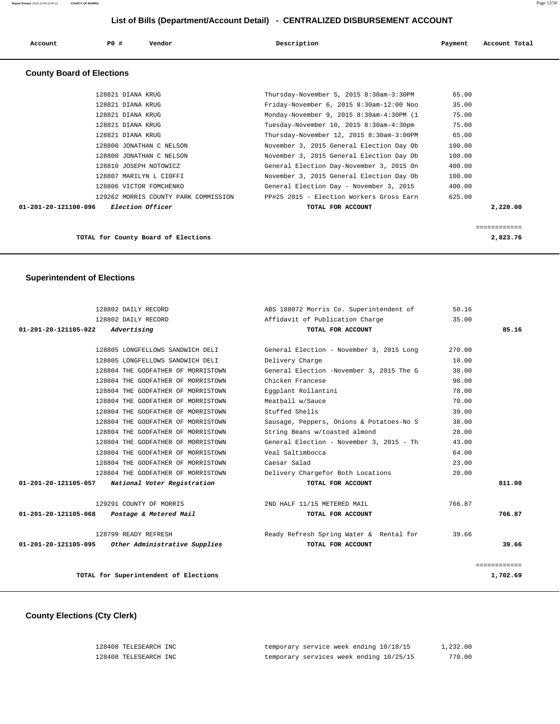| Account                          | PO#<br>Vendor     | Description                              | Payment | Account Total |
|----------------------------------|-------------------|------------------------------------------|---------|---------------|
| <b>County Board of Elections</b> |                   |                                          |         |               |
|                                  | 128821 DIANA KRUG | Thursday-November 5, 2015 8:30am-3:30PM  | 65.00   |               |
|                                  | 128821 DIANA KRUG | Friday-November 6, 2015 8:30am-12:00 Noo | 35.00   |               |
|                                  | 128821 DIANA KRUG | Monday-November 9, 2015 8:30am-4:30PM (1 | 75.00   |               |
|                                  | 128821 DIANA KRUG | Tuesday-November 10, 2015 8:30am-4:30pm  | 75.00   |               |
|                                  | 128821 DIANA KRUG | Thursday-November 12, 2015 8:30am-3:00PM | 65.00   |               |

 128800 JONATHAN C NELSON November 3, 2015 General Election Day Ob 100.00 128800 JONATHAN C NELSON November 3, 2015 General Election Day Ob 100.00 128810 JOSEPH NOTOWICZ General Election Day-November 3, 2015 On 400.00 128807 MARILYN L CIOFFI November 3, 2015 General Election Day Ob 100.00 128806 VICTOR FOMCHENKO General Election Day - November 3, 2015 400.00 129262 MORRIS COUNTY PARK COMMISSION PP#25 2015 - Election Workers Gross Earn 625.00  **01-201-20-121100-096 Election Officer TOTAL FOR ACCOUNT 2,220.00**

**TOTAL for County Board of Elections 2,823.76**

============

| <b>Superintendent of Elections</b> |  |
|------------------------------------|--|
|------------------------------------|--|

|                                                  | 128802 DAILY RECORD                                | ABS 188072 Morris Co. Superintendent of  | 50.16  |                          |
|--------------------------------------------------|----------------------------------------------------|------------------------------------------|--------|--------------------------|
|                                                  | 128802 DAILY RECORD                                | Affidavit of Publication Charge          | 35.00  |                          |
| 01-201-20-121105-022                             | Advertising                                        | TOTAL FOR ACCOUNT                        |        | 85.16                    |
|                                                  |                                                    |                                          |        |                          |
|                                                  | 128805 LONGFELLOWS SANDWICH DELI                   | General Election - November 3, 2015 Long | 270.00 |                          |
|                                                  | 128805 LONGFELLOWS SANDWICH DELI                   | Delivery Charge                          | 10.00  |                          |
|                                                  | 128804 THE GODFATHER OF MORRISTOWN                 | General Election -November 3, 2015 The G | 38.00  |                          |
|                                                  | 128804 THE GODFATHER OF MORRISTOWN                 | Chicken Francese                         | 90.00  |                          |
|                                                  | 128804 THE GODFATHER OF MORRISTOWN                 | Eqqplant Rollantini                      | 78.00  |                          |
|                                                  | 128804 THE GODFATHER OF MORRISTOWN                 | Meatball w/Sauce                         | 70.00  |                          |
|                                                  | 128804 THE GODFATHER OF MORRISTOWN                 | Stuffed Shells                           | 39.00  |                          |
|                                                  | 128804 THE GODFATHER OF MORRISTOWN                 | Sausage, Peppers, Onions & Potatoes-No S | 38.00  |                          |
|                                                  | 128804 THE GODFATHER OF MORRISTOWN                 | String Beans w/toasted almond            | 28.00  |                          |
|                                                  | 128804 THE GODFATHER OF MORRISTOWN                 | General Election - November 3, 2015 - Th | 43.00  |                          |
|                                                  | 128804 THE GODFATHER OF MORRISTOWN                 | Veal Saltimbocca                         | 64.00  |                          |
|                                                  | 128804 THE GODFATHER OF MORRISTOWN                 | Caesar Salad                             | 23.00  |                          |
|                                                  | 128804 THE GODFATHER OF MORRISTOWN                 | Delivery Chargefor Both Locations        | 20.00  |                          |
| 01-201-20-121105-057 National Voter Registration |                                                    | TOTAL FOR ACCOUNT                        |        | 811.00                   |
|                                                  | 129291 COUNTY OF MORRIS                            | 2ND HALF 11/15 METERED MAIL              | 766.87 |                          |
|                                                  |                                                    |                                          |        | 766.87                   |
| 01-201-20-121105-068                             | Postage & Metered Mail                             | TOTAL FOR ACCOUNT                        |        |                          |
|                                                  | 128799 READY REFRESH                               | Ready Refresh Spring Water & Rental for  | 39.66  |                          |
|                                                  | 01-201-20-121105-095 Other Administrative Supplies | TOTAL FOR ACCOUNT                        |        | 39.66                    |
|                                                  |                                                    |                                          |        |                          |
|                                                  | TOTAL for Superintendent of Elections              |                                          |        | ============<br>1,702.69 |
|                                                  |                                                    |                                          |        |                          |

#### **County Elections (Cty Clerk)**

| 128408 TELESEARCH INC | temporary service week ending 10/18/15  | 1,232.00 |
|-----------------------|-----------------------------------------|----------|
| 128408 TELESEARCH INC | temporary services week ending 10/25/15 | 770.00   |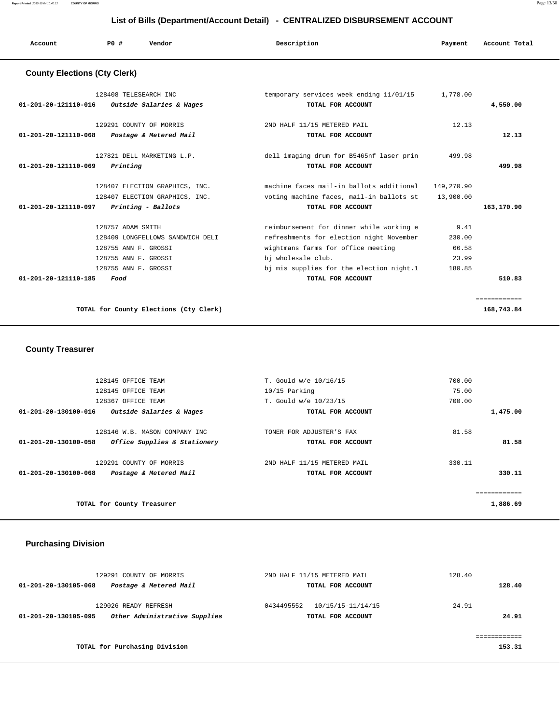**Report Printed** 2015-12-04 10:40:12 **COUNTY OF MORRIS** Page 13/50

# **List of Bills (Department/Account Detail) - CENTRALIZED DISBURSEMENT ACCOUNT**

|                                     | List of Bills (Department/Account Detail) - CENTRALIZED DISBURSEMENT ACCOUNT              |                                                                                        |                                                                                                                                                                                              |                                            |               |  |
|-------------------------------------|-------------------------------------------------------------------------------------------|----------------------------------------------------------------------------------------|----------------------------------------------------------------------------------------------------------------------------------------------------------------------------------------------|--------------------------------------------|---------------|--|
| Account                             | PO#                                                                                       | Vendor                                                                                 | Description                                                                                                                                                                                  | Payment                                    | Account Total |  |
| <b>County Elections (Cty Clerk)</b> |                                                                                           |                                                                                        |                                                                                                                                                                                              |                                            |               |  |
| 01-201-20-121110-016                | 128408 TELESEARCH INC                                                                     | Outside Salaries & Wages                                                               | temporary services week ending 11/01/15<br>TOTAL FOR ACCOUNT                                                                                                                                 | 1,778.00                                   | 4,550.00      |  |
| 01-201-20-121110-068                |                                                                                           | 129291 COUNTY OF MORRIS<br>Postage & Metered Mail                                      | 2ND HALF 11/15 METERED MAIL<br>TOTAL FOR ACCOUNT                                                                                                                                             | 12.13                                      | 12.13         |  |
| 01-201-20-121110-069                | Printing                                                                                  | 127821 DELL MARKETING L.P.                                                             | dell imaging drum for B5465nf laser prin<br>TOTAL FOR ACCOUNT                                                                                                                                | 499.98                                     | 499.98        |  |
| 01-201-20-121110-097                |                                                                                           | 128407 ELECTION GRAPHICS, INC.<br>128407 ELECTION GRAPHICS, INC.<br>Printing - Ballots | machine faces mail-in ballots additional<br>voting machine faces, mail-in ballots st<br>TOTAL FOR ACCOUNT                                                                                    | 149,270.90<br>13,900.00                    | 163,170.90    |  |
|                                     | 128757 ADAM SMITH<br>128755 ANN F. GROSSI<br>128755 ANN F. GROSSI<br>128755 ANN F. GROSSI | 128409 LONGFELLOWS SANDWICH DELI                                                       | reimbursement for dinner while working e<br>refreshments for election night November<br>wightmans farms for office meeting<br>bi wholesale club.<br>bj mis supplies for the election night.1 | 9.41<br>230.00<br>66.58<br>23.99<br>180.85 |               |  |
| 01-201-20-121110-185                | Food                                                                                      |                                                                                        | TOTAL FOR ACCOUNT                                                                                                                                                                            |                                            | 510.83        |  |
|                                     |                                                                                           |                                                                                        |                                                                                                                                                                                              |                                            | ============  |  |

**TOTAL for County Elections (Cty Clerk) 168,743.84**

 **County Treasurer** 

| 128145 OFFICE TEAM                                   | T. Gould w/e 10/16/15       | 700.00   |
|------------------------------------------------------|-----------------------------|----------|
| 128145 OFFICE TEAM                                   | 10/15 Parking               | 75.00    |
| 128367 OFFICE TEAM                                   | T. Gould w/e 10/23/15       | 700.00   |
| Outside Salaries & Wages<br>01-201-20-130100-016     | TOTAL FOR ACCOUNT           | 1,475.00 |
| 128146 W.B. MASON COMPANY INC                        | TONER FOR ADJUSTER'S FAX    | 81.58    |
| 01-201-20-130100-058<br>Office Supplies & Stationery | TOTAL FOR ACCOUNT           | 81.58    |
| 129291 COUNTY OF MORRIS                              | 2ND HALF 11/15 METERED MAIL | 330.11   |
| Postage & Metered Mail<br>01-201-20-130100-068       | TOTAL FOR ACCOUNT           | 330.11   |
|                                                      |                             |          |
| TOTAL for County Treasurer                           |                             | 1,886.69 |
|                                                      |                             |          |

# **Purchasing Division**

|                      | 129291 COUNTY OF MORRIS       | 2ND HALF 11/15 METERED MAIL     | 128.40 |
|----------------------|-------------------------------|---------------------------------|--------|
| 01-201-20-130105-068 | Postage & Metered Mail        | TOTAL FOR ACCOUNT               | 128.40 |
|                      | 129026 READY REFRESH          | 0434495552<br>10/15/15-11/14/15 | 24.91  |
| 01-201-20-130105-095 | Other Administrative Supplies | TOTAL FOR ACCOUNT               | 24.91  |
|                      |                               |                                 |        |
|                      | TOTAL for Purchasing Division |                                 | 153.31 |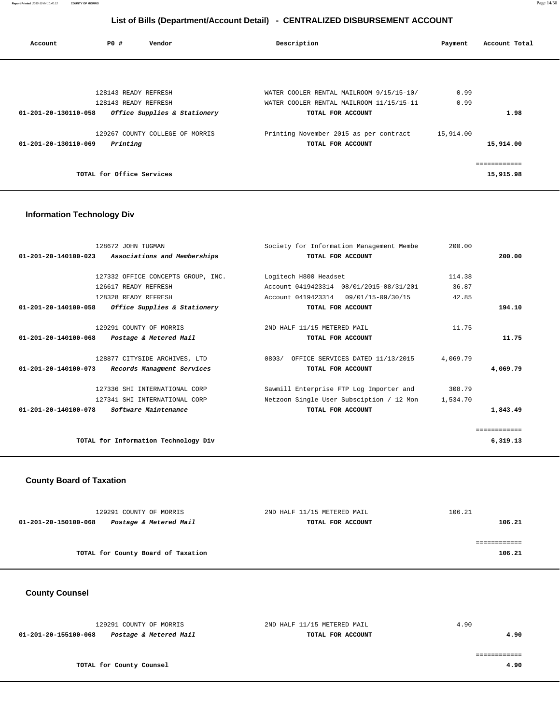**Report Printed** 2015-12-04 10:40:12 **COUNTY OF MORRIS** Page 14/50

# **List of Bills (Department/Account Detail) - CENTRALIZED DISBURSEMENT ACCOUNT**

| Account              | PO#                       | Vendor                          | Description                              | Payment   | Account Total |
|----------------------|---------------------------|---------------------------------|------------------------------------------|-----------|---------------|
|                      |                           |                                 |                                          |           |               |
|                      | 128143 READY REFRESH      |                                 | WATER COOLER RENTAL MAILROOM 9/15/15-10/ | 0.99      |               |
|                      | 128143 READY REFRESH      |                                 | WATER COOLER RENTAL MAILROOM 11/15/15-11 | 0.99      |               |
| 01-201-20-130110-058 |                           | Office Supplies & Stationery    | TOTAL FOR ACCOUNT                        |           | 1.98          |
|                      |                           | 129267 COUNTY COLLEGE OF MORRIS | Printing November 2015 as per contract   | 15,914.00 |               |
| 01-201-20-130110-069 | Printing                  |                                 | TOTAL FOR ACCOUNT                        |           | 15,914.00     |
|                      |                           |                                 |                                          |           |               |
|                      | TOTAL for Office Services |                                 |                                          |           | 15,915.98     |

# **Information Technology Div**

| 128672 JOHN TUGMAN                                       | Society for Information Management Membe          | 200.00   |              |
|----------------------------------------------------------|---------------------------------------------------|----------|--------------|
| 01-201-20-140100-023 Associations and Memberships        | TOTAL FOR ACCOUNT                                 |          | 200.00       |
|                                                          |                                                   |          |              |
| 127332 OFFICE CONCEPTS GROUP, INC. Logitech H800 Headset |                                                   | 114.38   |              |
| 126617 READY REFRESH                                     | Account 0419423314 08/01/2015-08/31/201           | 36.87    |              |
| 128328 READY REFRESH                                     | Account 0419423314 09/01/15-09/30/15              | 42.85    |              |
| 01-201-20-140100-058<br>Office Supplies & Stationery     | TOTAL FOR ACCOUNT                                 |          | 194.10       |
|                                                          |                                                   |          |              |
| 129291 COUNTY OF MORRIS                                  | 2ND HALF 11/15 METERED MAIL                       | 11.75    |              |
| 01-201-20-140100-068 Postage & Metered Mail              | TOTAL FOR ACCOUNT                                 |          | 11.75        |
|                                                          |                                                   |          |              |
| 128877 CITYSIDE ARCHIVES, LTD                            | 0803/ OFFICE SERVICES DATED 11/13/2015            | 4,069.79 |              |
| 01-201-20-140100-073 Records Managment Services          | TOTAL FOR ACCOUNT                                 |          | 4,069.79     |
| 127336 SHI INTERNATIONAL CORP                            | Sawmill Enterprise FTP Log Importer and           | 308.79   |              |
| 127341 SHI INTERNATIONAL CORP                            | Netzoon Single User Subsciption / 12 Mon 1,534.70 |          |              |
| <i>Software Maintenance</i><br>01-201-20-140100-078      | TOTAL FOR ACCOUNT                                 |          | 1,843.49     |
|                                                          |                                                   |          |              |
|                                                          |                                                   |          | ============ |
| TOTAL for Information Technology Div                     |                                                   |          | 6,319.13     |
|                                                          |                                                   |          |              |

# **County Board of Taxation**

| 129291 COUNTY OF MORRIS                        | 2ND HALF 11/15 METERED MAIL | 106.21 |
|------------------------------------------------|-----------------------------|--------|
| Postage & Metered Mail<br>01-201-20-150100-068 | TOTAL FOR ACCOUNT           | 106.21 |
|                                                |                             |        |
|                                                |                             |        |
| TOTAL for County Board of Taxation             |                             | 106.21 |

 **County Counsel** 

| 129291 COUNTY OF MORRIS                        | 2ND HALF 11/15 METERED MAIL | 4.90 |
|------------------------------------------------|-----------------------------|------|
| Postage & Metered Mail<br>01-201-20-155100-068 | TOTAL FOR ACCOUNT           | 4.90 |
|                                                |                             |      |
|                                                |                             |      |
| TOTAL for County Counsel                       |                             | 4.90 |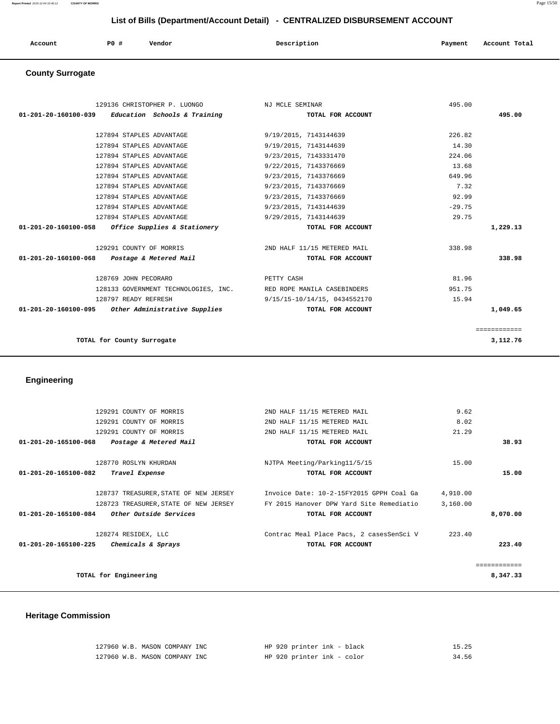| Account | PO# | Vendor<br>. | Description | Payment | Account Total |
|---------|-----|-------------|-------------|---------|---------------|
|         |     |             |             |         |               |

# **County Surrogate**

| 129136 CHRISTOPHER P. LUONGO                                     | NJ MCLE SEMINAR              | 495.00       |
|------------------------------------------------------------------|------------------------------|--------------|
| 01-201-20-160100-039<br>Education Schools & Training             | TOTAL FOR ACCOUNT            | 495.00       |
|                                                                  |                              |              |
| 127894 STAPLES ADVANTAGE                                         | 9/19/2015, 7143144639        | 226.82       |
| 127894 STAPLES ADVANTAGE                                         | 9/19/2015, 7143144639        | 14.30        |
| 127894 STAPLES ADVANTAGE                                         | 9/23/2015, 7143331470        | 224.06       |
| 127894 STAPLES ADVANTAGE                                         | 9/22/2015, 7143376669        | 13.68        |
| 127894 STAPLES ADVANTAGE                                         | 9/23/2015, 7143376669        | 649.96       |
| 127894 STAPLES ADVANTAGE                                         | 9/23/2015, 7143376669        | 7.32         |
| 127894 STAPLES ADVANTAGE                                         | 9/23/2015, 7143376669        | 92.99        |
| 127894 STAPLES ADVANTAGE                                         | 9/23/2015, 7143144639        | $-29.75$     |
| 127894 STAPLES ADVANTAGE                                         | 9/29/2015, 7143144639        | 29.75        |
| Office Supplies & Stationery<br>01-201-20-160100-058             | TOTAL FOR ACCOUNT            | 1,229.13     |
|                                                                  |                              |              |
| 129291 COUNTY OF MORRIS                                          | 2ND HALF 11/15 METERED MAIL  | 338.98       |
| 01-201-20-160100-068<br>Postage & Metered Mail                   | TOTAL FOR ACCOUNT            | 338.98       |
|                                                                  |                              |              |
| 128769 JOHN PECORARO                                             | PETTY CASH                   | 81.96        |
| 128133 GOVERNMENT TECHNOLOGIES, INC. RED ROPE MANILA CASEBINDERS |                              | 951.75       |
| 128797 READY REFRESH                                             | 9/15/15-10/14/15, 0434552170 | 15.94        |
| 01-201-20-160100-095 Other Administrative Supplies               | TOTAL FOR ACCOUNT            | 1,049.65     |
|                                                                  |                              |              |
|                                                                  |                              | ============ |
| TOTAL for County Surrogate                                       |                              | 3,112.76     |
|                                                                  |                              |              |

# **Engineering**

|              | 9.62     | 2ND HALF 11/15 METERED MAIL              | 129291 COUNTY OF MORRIS               |                                |
|--------------|----------|------------------------------------------|---------------------------------------|--------------------------------|
|              | 8.02     | 2ND HALF 11/15 METERED MAIL              | 129291 COUNTY OF MORRIS               |                                |
|              | 21.29    | 2ND HALF 11/15 METERED MAIL              | 129291 COUNTY OF MORRIS               |                                |
| 38.93        |          | TOTAL FOR ACCOUNT                        | Postage & Metered Mail                | $01 - 201 - 20 - 165100 - 068$ |
|              | 15.00    | NJTPA Meeting/Parking11/5/15             | 128770 ROSLYN KHURDAN                 |                                |
| 15.00        |          | TOTAL FOR ACCOUNT                        | Travel Expense                        | 01-201-20-165100-082           |
|              | 4,910.00 | Invoice Date: 10-2-15FY2015 GPPH Coal Ga | 128737 TREASURER, STATE OF NEW JERSEY |                                |
|              | 3,160.00 | FY 2015 Hanover DPW Yard Site Remediatio | 128723 TREASURER, STATE OF NEW JERSEY |                                |
| 8,070.00     |          | TOTAL FOR ACCOUNT                        | Other Outside Services                | 01-201-20-165100-084           |
|              | 223.40   | Contrac Meal Place Pacs, 2 casesSenSci V | 128274 RESIDEX, LLC                   |                                |
| 223.40       |          | TOTAL FOR ACCOUNT                        | Chemicals & Sprays                    | 01-201-20-165100-225           |
| ============ |          |                                          |                                       |                                |
| 8,347.33     |          |                                          | TOTAL for Engineering                 |                                |
|              |          |                                          |                                       |                                |

# **Heritage Commission**

| 127960 W.B. MASON COMPANY INC | HP 920 printer ink - black | 15.25 |
|-------------------------------|----------------------------|-------|
| 127960 W.B. MASON COMPANY INC | HP 920 printer ink - color | 34.56 |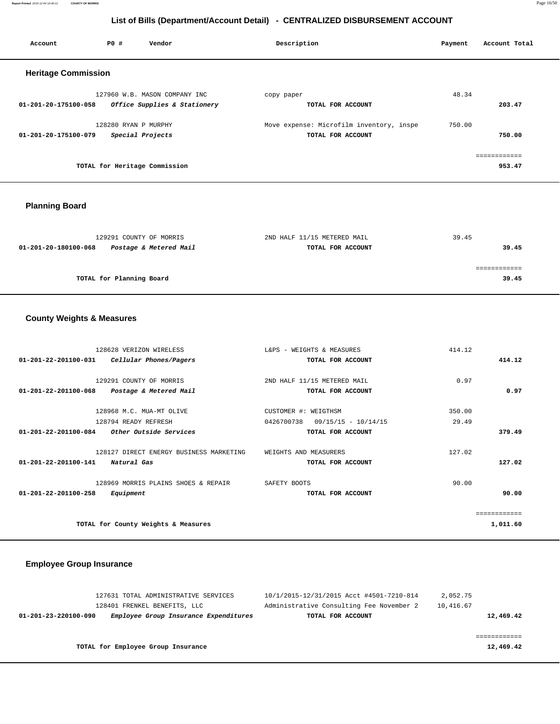**Report Printed** 2015-12-04 10:40:12 **COUNTY OF MORRIS** Page 16/50

# **List of Bills (Department/Account Detail) - CENTRALIZED DISBURSEMENT ACCOUNT**

| Account                    | PO#                  | Vendor                        | Description                              | Payment | Account Total |
|----------------------------|----------------------|-------------------------------|------------------------------------------|---------|---------------|
| <b>Heritage Commission</b> |                      |                               |                                          |         |               |
|                            |                      | 127960 W.B. MASON COMPANY INC | copy paper                               | 48.34   |               |
| 01-201-20-175100-058       |                      | Office Supplies & Stationery  | TOTAL FOR ACCOUNT                        |         | 203.47        |
|                            | 128280 RYAN P MURPHY |                               | Move expense: Microfilm inventory, inspe | 750.00  |               |
| 01-201-20-175100-079       |                      | Special Projects              | TOTAL FOR ACCOUNT                        |         | 750.00        |
|                            |                      |                               |                                          |         | ============  |
|                            |                      | TOTAL for Heritage Commission |                                          |         | 953.47        |
|                            |                      |                               |                                          |         |               |

# **Planning Board**

| 2ND HALF 11/15 METERED MAIL | 39.45 |
|-----------------------------|-------|
| TOTAL FOR ACCOUNT           | 39.45 |
|                             |       |
|                             |       |
|                             | 39.45 |
|                             |       |

# **County Weights & Measures**

| 128628 VERIZON WIRELESS                                  | L&PS - WEIGHTS & MEASURES           | 414.12   |
|----------------------------------------------------------|-------------------------------------|----------|
| $01 - 201 - 22 - 201100 - 031$<br>Cellular Phones/Pagers | TOTAL FOR ACCOUNT                   | 414.12   |
|                                                          |                                     |          |
| 129291 COUNTY OF MORRIS                                  | 2ND HALF 11/15 METERED MAIL         | 0.97     |
| $01 - 201 - 22 - 201100 - 068$<br>Postage & Metered Mail | TOTAL FOR ACCOUNT                   | 0.97     |
| 128968 M.C. MUA-MT OLIVE                                 | CUSTOMER #: WEIGTHSM                | 350.00   |
| 128794 READY REFRESH                                     | 0426700738<br>$09/15/15 - 10/14/15$ | 29.49    |
| 01-201-22-201100-084<br><i>Other Outside Services</i>    | TOTAL FOR ACCOUNT                   | 379.49   |
| 128127 DIRECT ENERGY BUSINESS MARKETING                  | WEIGHTS AND MEASURERS               | 127.02   |
| $01 - 201 - 22 - 201100 - 141$<br>Natural Gas            | TOTAL FOR ACCOUNT                   | 127.02   |
|                                                          |                                     |          |
| 128969 MORRIS PLAINS SHOES & REPAIR                      | SAFETY BOOTS                        | 90.00    |
| $01 - 201 - 22 - 201100 - 258$<br>Equipment              | TOTAL FOR ACCOUNT                   | 90.00    |
|                                                          |                                     |          |
| TOTAL for County Weights & Measures                      |                                     | 1,011.60 |

# **Employee Group Insurance**

| 127631 TOTAL ADMINISTRATIVE SERVICES                          | 10/1/2015-12/31/2015 Acct #4501-7210-814 | 2,052.75  |
|---------------------------------------------------------------|------------------------------------------|-----------|
| 128401 FRENKEL BENEFITS, LLC                                  | Administrative Consulting Fee November 2 | 10,416.67 |
| Employee Group Insurance Expenditures<br>01-201-23-220100-090 | TOTAL FOR ACCOUNT                        | 12,469.42 |
|                                                               |                                          |           |
|                                                               |                                          |           |
| TOTAL for Employee Group Insurance                            |                                          | 12,469.42 |
|                                                               |                                          |           |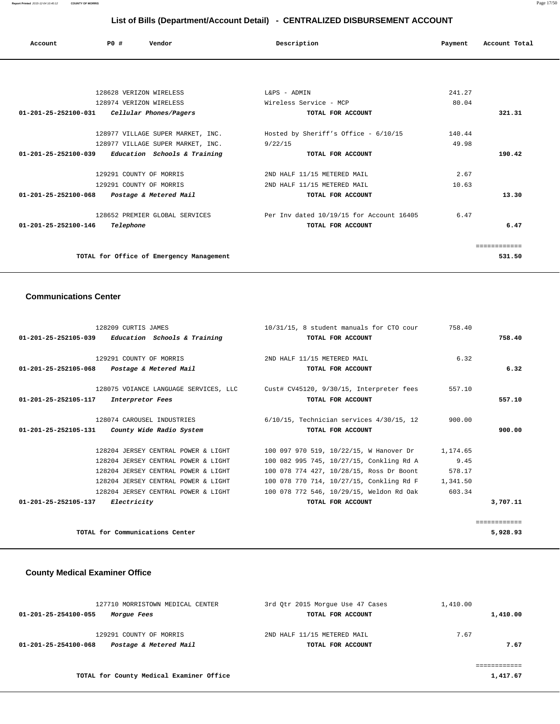| Account                        | PO# | Vendor                            | Description                            | Payment | Account Total |
|--------------------------------|-----|-----------------------------------|----------------------------------------|---------|---------------|
|                                |     |                                   |                                        |         |               |
|                                |     | 128628 VERIZON WIRELESS           | L&PS - ADMIN                           | 241.27  |               |
|                                |     | 128974 VERIZON WIRELESS           | Wireless Service - MCP                 | 80.04   |               |
| $01 - 201 - 25 - 252100 - 031$ |     | Cellular Phones/Pagers            | TOTAL FOR ACCOUNT                      |         | 321.31        |
|                                |     | 128977 VILLAGE SUPER MARKET, INC. | Hosted by Sheriff's Office - $6/10/15$ | 140.44  |               |
|                                |     | 128977 VILLAGE SUPER MARKET, INC. | 9/22/15                                | 49.98   |               |
| 01-201-25-252100-039           |     | Education Schools & Training      | TOTAL FOR ACCOUNT                      |         | 190.42        |

| 129291 COUNTY OF MORRIS                        | 2ND HALF 11/15 METERED MAIL              | 2.67  |        |
|------------------------------------------------|------------------------------------------|-------|--------|
| 129291 COUNTY OF MORRIS                        | 2ND HALF 11/15 METERED MAIL              | 10.63 |        |
| Postage & Metered Mail<br>01-201-25-252100-068 | TOTAL FOR ACCOUNT                        |       | 13.30  |
|                                                |                                          |       |        |
| 128652 PREMIER GLOBAL SERVICES                 | Per Inv dated 10/19/15 for Account 16405 | 6.47  |        |
| Telephone<br>01-201-25-252100-146              | TOTAL FOR ACCOUNT                        |       | 6.47   |
|                                                |                                          |       |        |
|                                                |                                          |       |        |
| TOTAL for Office of Emergency Management       |                                          |       | 531.50 |

### **Communications Center**

| 128209 CURTIS JAMES                                 | 10/31/15, 8 student manuals for CTO cour                                       | 758.40   |              |
|-----------------------------------------------------|--------------------------------------------------------------------------------|----------|--------------|
| $01-201-25-252105-039$ Education Schools & Training | TOTAL FOR ACCOUNT                                                              |          | 758.40       |
| 129291 COUNTY OF MORRIS                             | 2ND HALF 11/15 METERED MAIL                                                    | 6.32     |              |
| 01-201-25-252105-068 Postage & Metered Mail         | TOTAL FOR ACCOUNT                                                              |          | 6.32         |
|                                                     | 128075 VOIANCE LANGUAGE SERVICES, LLC Cust# CV45120, 9/30/15, Interpreter fees | 557.10   |              |
| 01-201-25-252105-117<br>Interpretor Fees            | TOTAL FOR ACCOUNT                                                              |          | 557.10       |
| 128074 CAROUSEL INDUSTRIES                          | $6/10/15$ , Technician services $4/30/15$ , 12                                 | 900.00   |              |
| County Wide Radio System<br>01-201-25-252105-131    | TOTAL FOR ACCOUNT                                                              |          | 900.00       |
| 128204 JERSEY CENTRAL POWER & LIGHT                 | 100 097 970 519, 10/22/15, W Hanover Dr                                        | 1,174.65 |              |
| 128204 JERSEY CENTRAL POWER & LIGHT                 | 100 082 995 745, 10/27/15, Conkling Rd A                                       | 9.45     |              |
| 128204 JERSEY CENTRAL POWER & LIGHT                 | 100 078 774 427, 10/28/15, Ross Dr Boont                                       | 578.17   |              |
| 128204 JERSEY CENTRAL POWER & LIGHT                 | 100 078 770 714, 10/27/15, Conkling Rd F                                       | 1,341.50 |              |
| 128204 JERSEY CENTRAL POWER & LIGHT                 | 100 078 772 546, 10/29/15, Weldon Rd Oak                                       | 603.34   |              |
| 01-201-25-252105-137 Electricity                    | TOTAL FOR ACCOUNT                                                              |          | 3,707.11     |
|                                                     |                                                                                |          | ============ |
| TOTAL for Communications Center                     |                                                                                |          | 5,928.93     |

## **County Medical Examiner Office**

| 127710 MORRISTOWN MEDICAL CENTER               | 3rd Otr 2015 Morque Use 47 Cases | 1,410.00 |
|------------------------------------------------|----------------------------------|----------|
| 01-201-25-254100-055<br><i>Morgue Fees</i>     | TOTAL FOR ACCOUNT                | 1,410.00 |
| 129291 COUNTY OF MORRIS                        | 2ND HALF 11/15 METERED MAIL      | 7.67     |
| Postage & Metered Mail<br>01-201-25-254100-068 | TOTAL FOR ACCOUNT                | 7.67     |
|                                                |                                  |          |
| TOTAL for County Medical Examiner Office       |                                  | 1,417.67 |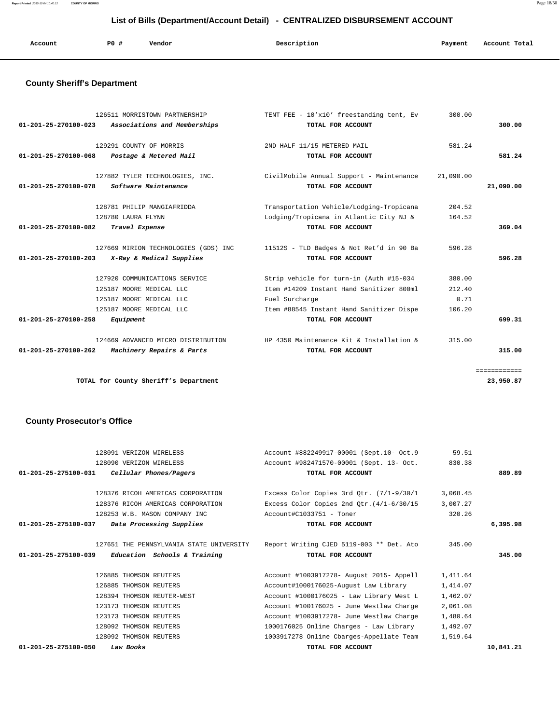**Report Printed** 2015-12-04 10:40:12 **COUNTY OF MORRIS** Page 18/50

# **List of Bills (Department/Account Detail) - CENTRALIZED DISBURSEMENT ACCOUNT**

| Account | <b>PO #</b> | Vendor | Description | Payment | Account Total |
|---------|-------------|--------|-------------|---------|---------------|
|         |             |        |             |         |               |

# **County Sheriff's Department**

| 126511 MORRISTOWN PARTNERSHIP                                  | TENT FEE - 10'x10' freestanding tent, Ev | 300.00    |              |
|----------------------------------------------------------------|------------------------------------------|-----------|--------------|
| $01 - 201 - 25 - 270100 - 023$<br>Associations and Memberships | TOTAL FOR ACCOUNT                        |           | 300.00       |
| 129291 COUNTY OF MORRIS                                        | 2ND HALF 11/15 METERED MAIL              | 581.24    |              |
| $01 - 201 - 25 - 270100 - 068$<br>Postage & Metered Mail       | TOTAL FOR ACCOUNT                        |           | 581.24       |
|                                                                |                                          |           |              |
| 127882 TYLER TECHNOLOGIES, INC.                                | CivilMobile Annual Support - Maintenance | 21,090.00 |              |
| Software Maintenance<br>01-201-25-270100-078                   | TOTAL FOR ACCOUNT                        |           | 21,090.00    |
|                                                                |                                          |           |              |
| 128781 PHILIP MANGIAFRIDDA                                     | Transportation Vehicle/Lodging-Tropicana | 204.52    |              |
| 128780 LAURA FLYNN                                             | Lodging/Tropicana in Atlantic City NJ &  | 164.52    |              |
| $01 - 201 - 25 - 270100 - 082$<br>Travel Expense               | TOTAL FOR ACCOUNT                        |           | 369.04       |
| 127669 MIRION TECHNOLOGIES (GDS) INC                           | 11512S - TLD Badges & Not Ret'd in 90 Ba | 596.28    |              |
| $01 - 201 - 25 - 270100 - 203$<br>X-Ray & Medical Supplies     | TOTAL FOR ACCOUNT                        |           | 596.28       |
|                                                                |                                          |           |              |
| 127920 COMMUNICATIONS SERVICE                                  | Strip vehicle for turn-in (Auth #15-034  | 380.00    |              |
| 125187 MOORE MEDICAL LLC                                       | Item #14209 Instant Hand Sanitizer 800ml | 212.40    |              |
| 125187 MOORE MEDICAL LLC                                       | Fuel Surcharge                           | 0.71      |              |
| 125187 MOORE MEDICAL LLC                                       | Item #88545 Instant Hand Sanitizer Dispe | 106.20    |              |
| 01-201-25-270100-258<br>Equipment                              | TOTAL FOR ACCOUNT                        |           | 699.31       |
| 124669 ADVANCED MICRO DISTRIBUTION                             | HP 4350 Maintenance Kit & Installation & | 315.00    |              |
| $01 - 201 - 25 - 270100 - 262$<br>Machinery Repairs & Parts    | TOTAL FOR ACCOUNT                        |           | 315.00       |
|                                                                |                                          |           |              |
|                                                                |                                          |           | ============ |
| TOTAL for County Sheriff's Department                          |                                          |           | 23,950.87    |

## **County Prosecutor's Office**

| 128091 VERIZON WIRELESS                                        | Account #882249917-00001 (Sept.10- Oct.9                                          | 59.51    |          |
|----------------------------------------------------------------|-----------------------------------------------------------------------------------|----------|----------|
| 128090 VERIZON WIRELESS                                        | Account #982471570-00001 (Sept. 13- Oct.                                          | 830.38   |          |
| Cellular Phones/Pagers<br>01-201-25-275100-031                 | TOTAL FOR ACCOUNT                                                                 |          | 889.89   |
| 128376 RICOH AMERICAS CORPORATION                              | Excess Color Copies 3rd Qtr. (7/1-9/30/1                                          | 3,068.45 |          |
| 128376 RICOH AMERICAS CORPORATION                              | Excess Color Copies 2nd Qtr. $(4/1-6/30/15$                                       | 3,007.27 |          |
| 128253 W.B. MASON COMPANY INC                                  | Account#C1033751 - Toner                                                          | 320.26   |          |
| 01-201-25-275100-037<br>Data Processing Supplies               | TOTAL FOR ACCOUNT                                                                 |          | 6,395.98 |
|                                                                | 127651 THE PENNSYLVANIA STATE UNIVERSITY Report Writing CJED 5119-003 ** Det. Ato | 345.00   |          |
|                                                                |                                                                                   |          |          |
| Education Schools & Training<br>$01 - 201 - 25 - 275100 - 039$ | TOTAL FOR ACCOUNT                                                                 |          | 345.00   |
| 126885 THOMSON REUTERS                                         | Account #1003917278- August 2015- Appell                                          | 1,411.64 |          |
| 126885 THOMSON REUTERS                                         | Account#1000176025-August Law Library                                             | 1,414.07 |          |
| 128394 THOMSON REUTER-WEST                                     | Account #1000176025 - Law Library West L                                          | 1,462.07 |          |
| 123173 THOMSON REUTERS                                         | Account #100176025 - June Westlaw Charge                                          | 2,061.08 |          |
| 123173 THOMSON REUTERS                                         | Account #1003917278- June Westlaw Charge                                          | 1,480.64 |          |
| 128092 THOMSON REUTERS                                         | 1000176025 Online Charges - Law Library                                           | 1,492.07 |          |
| 128092 THOMSON REUTERS                                         | 1003917278 Online Cbarges-Appellate Team                                          | 1,519.64 |          |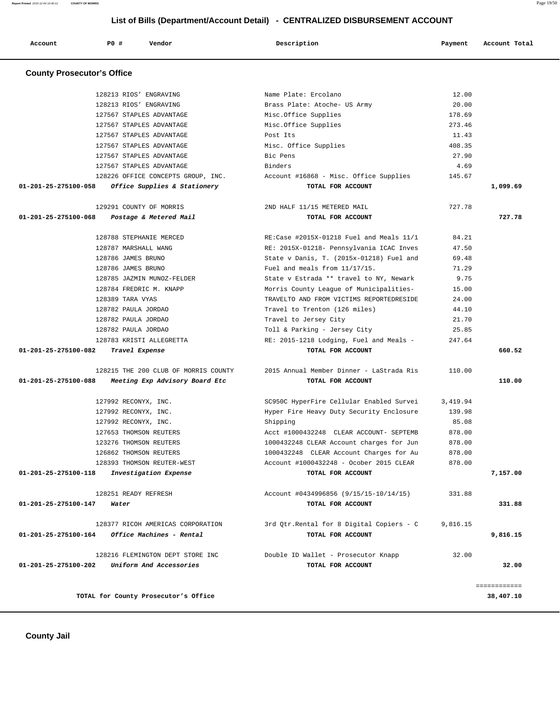**Report Printed** 2015-12-04 10:40:12 **COUNTY OF MORRIS** Page 19/50

# **List of Bills (Department/Account Detail) - CENTRALIZED DISBURSEMENT ACCOUNT**

| Account                           | PO#                     | Vendor                                                        | Description                                                   | Payment  | Account Total |
|-----------------------------------|-------------------------|---------------------------------------------------------------|---------------------------------------------------------------|----------|---------------|
| <b>County Prosecutor's Office</b> |                         |                                                               |                                                               |          |               |
|                                   | 128213 RIOS' ENGRAVING  |                                                               | Name Plate: Ercolano                                          | 12.00    |               |
|                                   | 128213 RIOS' ENGRAVING  |                                                               | Brass Plate: Atoche- US Army                                  | 20.00    |               |
|                                   |                         | 127567 STAPLES ADVANTAGE                                      | Misc.Office Supplies                                          | 178.69   |               |
|                                   |                         | 127567 STAPLES ADVANTAGE                                      | Misc.Office Supplies                                          | 273.46   |               |
|                                   |                         | 127567 STAPLES ADVANTAGE                                      | Post Its                                                      | 11.43    |               |
|                                   |                         | 127567 STAPLES ADVANTAGE                                      | Misc. Office Supplies                                         | 408.35   |               |
|                                   |                         | 127567 STAPLES ADVANTAGE                                      | Bic Pens                                                      | 27.90    |               |
|                                   |                         | 127567 STAPLES ADVANTAGE                                      | Binders                                                       | 4.69     |               |
|                                   |                         | 128226 OFFICE CONCEPTS GROUP, INC.                            | Account #16868 - Misc. Office Supplies                        | 145.67   |               |
| 01-201-25-275100-058              |                         | Office Supplies & Stationery                                  | TOTAL FOR ACCOUNT                                             |          | 1,099.69      |
|                                   | 129291 COUNTY OF MORRIS |                                                               | 2ND HALF 11/15 METERED MAIL                                   | 727.78   |               |
| 01-201-25-275100-068              |                         | Postage & Metered Mail                                        | TOTAL FOR ACCOUNT                                             |          | 727.78        |
|                                   | 128788 STEPHANIE MERCED |                                                               | RE:Case #2015X-01218 Fuel and Meals 11/1                      | 84.21    |               |
|                                   | 128787 MARSHALL WANG    |                                                               | RE: 2015X-01218- Pennsylvania ICAC Inves                      | 47.50    |               |
|                                   | 128786 JAMES BRUNO      |                                                               | State v Danis, T. (2015x-01218) Fuel and                      | 69.48    |               |
|                                   | 128786 JAMES BRUNO      |                                                               | Fuel and meals from 11/17/15.                                 | 71.29    |               |
|                                   |                         | 128785 JAZMIN MUNOZ-FELDER                                    | State v Estrada ** travel to NY, Newark                       | 9.75     |               |
|                                   | 128784 FREDRIC M. KNAPP |                                                               | Morris County League of Municipalities-                       | 15.00    |               |
|                                   | 128389 TARA VYAS        |                                                               | TRAVELTO AND FROM VICTIMS REPORTEDRESIDE                      | 24.00    |               |
|                                   | 128782 PAULA JORDAO     |                                                               | Travel to Trenton (126 miles)                                 | 44.10    |               |
|                                   | 128782 PAULA JORDAO     |                                                               | Travel to Jersey City                                         | 21.70    |               |
|                                   | 128782 PAULA JORDAO     |                                                               | Toll & Parking - Jersey City                                  | 25.85    |               |
|                                   |                         | 128783 KRISTI ALLEGRETTA                                      | RE: 2015-1218 Lodging, Fuel and Meals -                       | 247.64   |               |
| 01-201-25-275100-082              | Travel Expense          |                                                               | TOTAL FOR ACCOUNT                                             |          | 660.52        |
|                                   |                         | 128215 THE 200 CLUB OF MORRIS COUNTY                          | 2015 Annual Member Dinner - LaStrada Ris                      | 110.00   |               |
| $01 - 201 - 25 - 275100 - 088$    |                         | Meeting Exp Advisory Board Etc                                | TOTAL FOR ACCOUNT                                             |          | 110.00        |
|                                   | 127992 RECONYX, INC.    |                                                               | SC950C HyperFire Cellular Enabled Survei                      | 3,419.94 |               |
|                                   | 127992 RECONYX, INC.    |                                                               | Hyper Fire Heavy Duty Security Enclosure                      | 139.98   |               |
|                                   | 127992 RECONYX, INC.    |                                                               | Shipping                                                      | 85.08    |               |
|                                   | 127653 THOMSON REUTERS  |                                                               | Acct #1000432248 CLEAR ACCOUNT- SEPTEMB                       | 878.00   |               |
|                                   | 123276 THOMSON REUTERS  |                                                               | 1000432248 CLEAR Account charges for Jun                      | 878.00   |               |
|                                   | 126862 THOMSON REUTERS  |                                                               | 1000432248 CLEAR Account Charges for Au                       | 878.00   |               |
|                                   |                         | 128393 THOMSON REUTER-WEST                                    | Account #1000432248 - Ocober 2015 CLEAR                       | 878.00   |               |
| 01-201-25-275100-118              |                         | Investigation Expense                                         | TOTAL FOR ACCOUNT                                             |          | 7,157.00      |
|                                   | 128251 READY REFRESH    |                                                               | Account #0434996856 (9/15/15-10/14/15)                        | 331.88   |               |
| 01-201-25-275100-147              | Water                   |                                                               | TOTAL FOR ACCOUNT                                             |          | 331.88        |
| 01-201-25-275100-164              |                         | 128377 RICOH AMERICAS CORPORATION<br>Office Machines - Rental | 3rd Qtr.Rental for 8 Digital Copiers - C<br>TOTAL FOR ACCOUNT | 9,816.15 | 9,816.15      |
|                                   |                         |                                                               |                                                               |          |               |
|                                   |                         | 128216 FLEMINGTON DEPT STORE INC                              | Double ID Wallet - Prosecutor Knapp                           | 32.00    |               |
| 01-201-25-275100-202              |                         | Uniform And Accessories                                       | TOTAL FOR ACCOUNT                                             |          | 32.00         |
|                                   |                         |                                                               |                                                               |          | ============  |

**TOTAL for County Prosecutor's Office 38,407.10**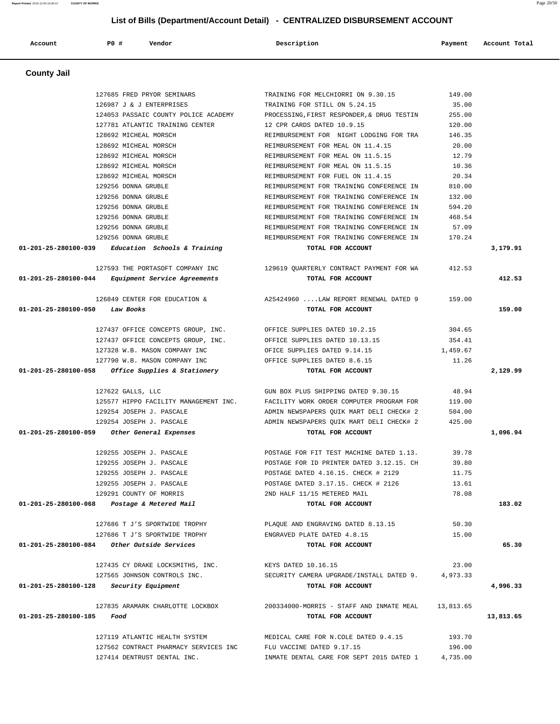**Account P0 # Vendor Description Payment Account Total County Jail**  127685 FRED PRYOR SEMINARS TRAINING FOR MELCHIORRI ON 9.30.15 149.00 126987 J & J ENTERPRISES TRAINING FOR STILL ON 5.24.15 35.00 124053 PASSAIC COUNTY POLICE ACADEMY PROCESSING,FIRST RESPONDER,& DRUG TESTIN 255.00 127781 ATLANTIC TRAINING CENTER 12 CPR CARDS DATED 10.9.15 120.00 128692 MICHEAL MORSCH REIMBURSEMENT FOR NIGHT LODGING FOR TRA 146.35 128692 MICHEAL MORSCH REIMBURSEMENT FOR MEAL ON 11.4.15 20.00 128692 MICHEAL MORSCH REIMBURSEMENT FOR MEAL ON 11.5.15 12.79 128692 MICHEAL MORSCH REIMBURSEMENT FOR MEAL ON 11.5.15 10.36 128692 MICHEAL MORSCH REIMBURSEMENT FOR FUEL ON 11.4.15 20.34 129256 DONNA GRUBLE REIMBURSEMENT FOR TRAINING CONFERENCE IN 810.00 129256 DONNA GRUBLE REIMBURSEMENT FOR TRAINING CONFERENCE IN 132.00 129256 DONNA GRUBLE REIMBURSEMENT FOR TRAINING CONFERENCE IN 594.20 129256 DONNA GRUBLE REIMBURSEMENT FOR TRAINING CONFERENCE IN 468.54 129256 DONNA GRUBLE REIMBURSEMENT FOR TRAINING CONFERENCE IN 57.09 129256 DONNA GRUBLE REIMBURSEMENT FOR TRAINING CONFERENCE IN 170.24  **01-201-25-280100-039 Education Schools & Training TOTAL FOR ACCOUNT 3,179.91** 127593 THE PORTASOFT COMPANY INC 129619 QUARTERLY CONTRACT PAYMENT FOR WA 412.53  **01-201-25-280100-044 Equipment Service Agreements TOTAL FOR ACCOUNT 412.53** 126849 CENTER FOR EDUCATION & A25424960 ....LAW REPORT RENEWAL DATED 9 159.00  **01-201-25-280100-050 Law Books TOTAL FOR ACCOUNT 159.00** 127437 OFFICE CONCEPTS GROUP, INC. OFFICE SUPPLIES DATED 10.2.15 304.65 127437 OFFICE CONCEPTS GROUP, INC. OFFICE SUPPLIES DATED 10.13.15 354.41 127328 W.B. MASON COMPANY INC OFICE SUPPLIES DATED 9.14.15 1,459.67 127790 W.B. MASON COMPANY INC OFFICE SUPPLIES DATED 8.6.15 11.26  **01-201-25-280100-058 Office Supplies & Stationery TOTAL FOR ACCOUNT 2,129.99** 127622 GALLS, LLC GUN BOX PLUS SHIPPING DATED 9.30.15 48.94 125577 HIPPO FACILITY MANAGEMENT INC. FACILITY WORK ORDER COMPUTER PROGRAM FOR 119.00 129254 JOSEPH J. PASCALE ADMIN NEWSPAPERS QUIK MART DELI CHECK# 2 504.00 129254 JOSEPH J. PASCALE ADMIN NEWSPAPERS QUIK MART DELI CHECK# 2 425.00  **01-201-25-280100-059 Other General Expenses TOTAL FOR ACCOUNT 1,096.94** 129255 JOSEPH J. PASCALE POSTAGE FOR FIT TEST MACHINE DATED 1.13. 39.78 129255 JOSEPH J. PASCALE POSTAGE FOR ID PRINTER DATED 3.12.15. CH 39.80 129255 JOSEPH J. PASCALE POSTAGE DATED 4.16.15. CHECK # 2129 11.75 129255 JOSEPH J. PASCALE POSTAGE DATED 3.17.15. CHECK # 2126 13.61 129291 COUNTY OF MORRIS 2ND HALF 11/15 METERED MAIL 78.08  **01-201-25-280100-068 Postage & Metered Mail TOTAL FOR ACCOUNT 183.02** 127686 T J'S SPORTWIDE TROPHY PLAQUE AND ENGRAVING DATED 8.13.15 50.30 127686 T J'S SPORTWIDE TROPHY ENGRAVED PLATE DATED 4.8.15 15.00  **01-201-25-280100-084 Other Outside Services TOTAL FOR ACCOUNT 65.30** 127435 CY DRAKE LOCKSMITHS, INC. KEYS DATED 10.16.15 23.00 127565 JOHNSON CONTROLS INC. SECURITY CAMERA UPGRADE/INSTALL DATED 9. 4,973.33  **01-201-25-280100-128 Security Equipment TOTAL FOR ACCOUNT 4,996.33** 127835 ARAMARK CHARLOTTE LOCKBOX 200334000-MORRIS - STAFF AND INMATE MEAL 13,813.65  **01-201-25-280100-185 Food TOTAL FOR ACCOUNT 13,813.65**

> 127119 ATLANTIC HEALTH SYSTEM MEDICAL CARE FOR N.COLE DATED 9.4.15 193.70 127562 CONTRACT PHARMACY SERVICES INC FLU VACCINE DATED 9.17.15 196.00 127414 DENTRUST DENTAL INC. INMATE DENTAL CARE FOR SEPT 2015 DATED 1 4,735.00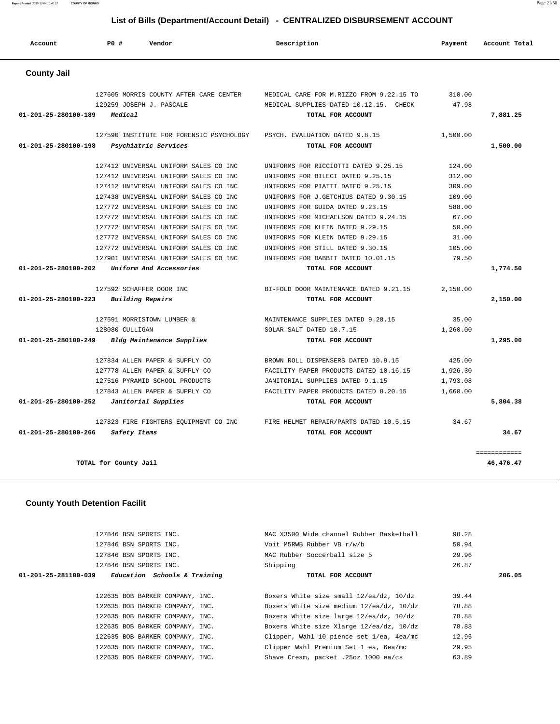**Report Printed** 2015-12-04 10:40:12 **COUNTY OF MORRIS** Page 21/50

#### **List of Bills (Department/Account Detail) - CENTRALIZED DISBURSEMENT ACCOUNT**

| Account              | PO#                   | Vendor                                   | Description                              | Payment  | Account Total             |
|----------------------|-----------------------|------------------------------------------|------------------------------------------|----------|---------------------------|
| <b>County Jail</b>   |                       |                                          |                                          |          |                           |
|                      |                       | 127605 MORRIS COUNTY AFTER CARE CENTER   | MEDICAL CARE FOR M.RIZZO FROM 9.22.15 TO | 310.00   |                           |
|                      |                       | 129259 JOSEPH J. PASCALE                 | MEDICAL SUPPLIES DATED 10.12.15. CHECK   | 47.98    |                           |
| 01-201-25-280100-189 | Medical               |                                          | TOTAL FOR ACCOUNT                        |          | 7,881.25                  |
|                      |                       | 127590 INSTITUTE FOR FORENSIC PSYCHOLOGY | PSYCH. EVALUATION DATED 9.8.15           | 1,500.00 |                           |
| 01-201-25-280100-198 |                       | Psychiatric Services                     | TOTAL FOR ACCOUNT                        |          | 1,500.00                  |
|                      |                       | 127412 UNIVERSAL UNIFORM SALES CO INC    | UNIFORMS FOR RICCIOTTI DATED 9.25.15     | 124.00   |                           |
|                      |                       | 127412 UNIVERSAL UNIFORM SALES CO INC    | UNIFORMS FOR BILECI DATED 9.25.15        | 312.00   |                           |
|                      |                       | 127412 UNIVERSAL UNIFORM SALES CO INC    | UNIFORMS FOR PIATTI DATED 9.25.15        | 309.00   |                           |
|                      |                       | 127438 UNIVERSAL UNIFORM SALES CO INC    | UNIFORMS FOR J.GETCHIUS DATED 9.30.15    | 109.00   |                           |
|                      |                       | 127772 UNIVERSAL UNIFORM SALES CO INC    | UNIFORMS FOR GUIDA DATED 9.23.15         | 588.00   |                           |
|                      |                       | 127772 UNIVERSAL UNIFORM SALES CO INC    | UNIFORMS FOR MICHAELSON DATED 9.24.15    | 67.00    |                           |
|                      |                       | 127772 UNIVERSAL UNIFORM SALES CO INC    | UNIFORMS FOR KLEIN DATED 9.29.15         | 50.00    |                           |
|                      |                       | 127772 UNIVERSAL UNIFORM SALES CO INC    | UNIFORMS FOR KLEIN DATED 9.29.15         | 31.00    |                           |
|                      |                       | 127772 UNIVERSAL UNIFORM SALES CO INC    | UNIFORMS FOR STILL DATED 9.30.15         | 105.00   |                           |
|                      |                       | 127901 UNIVERSAL UNIFORM SALES CO INC    | UNIFORMS FOR BABBIT DATED 10.01.15       | 79.50    |                           |
| 01-201-25-280100-202 |                       | Uniform And Accessories                  | TOTAL FOR ACCOUNT                        |          | 1,774.50                  |
|                      |                       | 127592 SCHAFFER DOOR INC                 | BI-FOLD DOOR MAINTENANCE DATED 9.21.15   | 2,150.00 |                           |
| 01-201-25-280100-223 |                       | <b>Building Repairs</b>                  | TOTAL FOR ACCOUNT                        |          | 2,150.00                  |
|                      |                       | 127591 MORRISTOWN LUMBER &               | MAINTENANCE SUPPLIES DATED 9.28.15       | 35.00    |                           |
|                      | 128080 CULLIGAN       |                                          | SOLAR SALT DATED 10.7.15                 | 1,260.00 |                           |
| 01-201-25-280100-249 |                       | Bldg Maintenance Supplies                | TOTAL FOR ACCOUNT                        |          | 1,295.00                  |
|                      |                       | 127834 ALLEN PAPER & SUPPLY CO           | BROWN ROLL DISPENSERS DATED 10.9.15      | 425.00   |                           |
|                      |                       | 127778 ALLEN PAPER & SUPPLY CO           | FACILITY PAPER PRODUCTS DATED 10.16.15   | 1,926.30 |                           |
|                      |                       | 127516 PYRAMID SCHOOL PRODUCTS           | JANITORIAL SUPPLIES DATED 9.1.15         | 1,793.08 |                           |
|                      |                       | 127843 ALLEN PAPER & SUPPLY CO           | FACILITY PAPER PRODUCTS DATED 8.20.15    | 1,660.00 |                           |
| 01-201-25-280100-252 |                       | Janitorial Supplies                      | TOTAL FOR ACCOUNT                        |          | 5,804.38                  |
|                      |                       | 127823 FIRE FIGHTERS EQUIPMENT CO INC    | FIRE HELMET REPAIR/PARTS DATED 10.5.15   | 34.67    |                           |
| 01-201-25-280100-266 | Safety Items          |                                          | TOTAL FOR ACCOUNT                        |          | 34.67                     |
|                      | TOTAL for County Jail |                                          |                                          |          | essessessess<br>46,476.47 |
|                      |                       |                                          |                                          |          |                           |

# **County Youth Detention Facilit**

| 127846 BSN SPORTS INC.                              | MAC X3500 Wide channel Rubber Basketball | 98.28  |
|-----------------------------------------------------|------------------------------------------|--------|
| 127846 BSN SPORTS INC.                              | Voit M5RWB Rubber VB r/w/b               | 50.94  |
| 127846 BSN SPORTS INC.                              | MAC Rubber Soccerball size 5             | 29.96  |
| 127846 BSN SPORTS INC.                              | Shipping                                 | 26.87  |
| $01-201-25-281100-039$ Education Schools & Training | TOTAL FOR ACCOUNT                        | 206.05 |
|                                                     |                                          |        |
| 122635 BOB BARKER COMPANY, INC.                     | Boxers White size small 12/ea/dz, 10/dz  | 39.44  |
| 122635 BOB BARKER COMPANY, INC.                     | Boxers White size medium 12/ea/dz, 10/dz | 78.88  |
| 122635 BOB BARKER COMPANY, INC.                     | Boxers White size large 12/ea/dz, 10/dz  | 78.88  |
| 122635 BOB BARKER COMPANY, INC.                     | Boxers White size Xlarge 12/ea/dz, 10/dz | 78.88  |
| 122635 BOB BARKER COMPANY, INC.                     | Clipper, Wahl 10 pience set 1/ea, 4ea/mc | 12.95  |
| 122635 BOB BARKER COMPANY, INC.                     | Clipper Wahl Premium Set 1 ea, 6ea/mc    | 29.95  |
| 122635 BOB BARKER COMPANY, INC.                     | Shave Cream, packet .25oz 1000 ea/cs     | 63.89  |
|                                                     |                                          |        |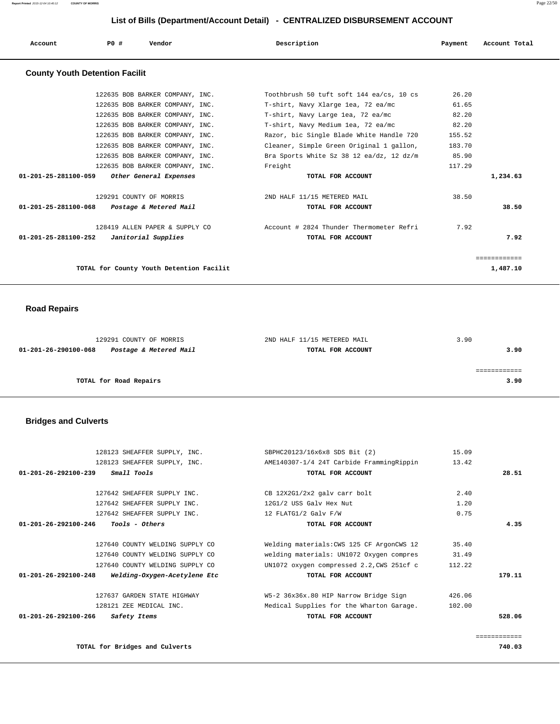**Report Printed** 2015-12-04 10:40:12 **COUNTY OF MORRIS** Page 22/50

## **List of Bills (Department/Account Detail) - CENTRALIZED DISBURSEMENT ACCOUNT**

| Account                                     | PO# | Vendor                                   | Description                              | Payment | Account Total |
|---------------------------------------------|-----|------------------------------------------|------------------------------------------|---------|---------------|
| <b>County Youth Detention Facilit</b>       |     |                                          |                                          |         |               |
|                                             |     | 122635 BOB BARKER COMPANY, INC.          | Toothbrush 50 tuft soft 144 ea/cs, 10 cs | 26.20   |               |
|                                             |     | 122635 BOB BARKER COMPANY, INC.          | T-shirt, Navy Xlarge 1ea, 72 ea/mc       | 61.65   |               |
|                                             |     | 122635 BOB BARKER COMPANY, INC.          | T-shirt, Navy Large lea, 72 ea/mc        | 82.20   |               |
|                                             |     | 122635 BOB BARKER COMPANY, INC.          | T-shirt, Navy Medium lea, 72 ea/mc       | 82.20   |               |
|                                             |     | 122635 BOB BARKER COMPANY, INC.          | Razor, bic Single Blade White Handle 720 | 155.52  |               |
|                                             |     | 122635 BOB BARKER COMPANY, INC.          | Cleaner, Simple Green Original 1 gallon, | 183.70  |               |
|                                             |     | 122635 BOB BARKER COMPANY, INC.          | Bra Sports White Sz 38 12 ea/dz, 12 dz/m | 85.90   |               |
|                                             |     | 122635 BOB BARKER COMPANY, INC.          | Freight                                  | 117.29  |               |
| 01-201-25-281100-059 Other General Expenses |     |                                          | TOTAL FOR ACCOUNT                        |         | 1,234.63      |
|                                             |     | 129291 COUNTY OF MORRIS                  | 2ND HALF 11/15 METERED MAIL              | 38.50   |               |
| 01-201-25-281100-068 Postage & Metered Mail |     |                                          | TOTAL FOR ACCOUNT                        |         | 38.50         |
|                                             |     | 128419 ALLEN PAPER & SUPPLY CO           | Account # 2824 Thunder Thermometer Refri | 7.92    |               |
| $01-201-25-281100-252$ Janitorial Supplies  |     |                                          | TOTAL FOR ACCOUNT                        |         | 7.92          |
|                                             |     |                                          |                                          |         | ============  |
|                                             |     | TOTAL for County Youth Detention Facilit |                                          |         | 1,487.10      |

# **Road Repairs**

| 129291 COUNTY OF MORRIS                        | 2ND HALF 11/15 METERED MAIL | 3.90 |
|------------------------------------------------|-----------------------------|------|
| Postage & Metered Mail<br>01-201-26-290100-068 | TOTAL FOR ACCOUNT           | 3.90 |
|                                                |                             |      |
|                                                |                             |      |
| TOTAL for Road Repairs                         |                             | 3.90 |
|                                                |                             |      |

# **Bridges and Culverts**

| 128123 SHEAFFER SUPPLY, INC.                                   | SBPHC20123/16x6x8 SDS Bit (2)             | 15.09  |              |
|----------------------------------------------------------------|-------------------------------------------|--------|--------------|
| 128123 SHEAFFER SUPPLY, INC.                                   | AME140307-1/4 24T Carbide FrammingRippin  | 13.42  |              |
| Small Tools<br>$01 - 201 - 26 - 292100 - 239$                  | TOTAL FOR ACCOUNT                         |        | 28.51        |
|                                                                |                                           |        |              |
| 127642 SHEAFFER SUPPLY INC.                                    | CB 12X2G1/2x2 galv carr bolt              | 2.40   |              |
| 127642 SHEAFFER SUPPLY INC.                                    | 12G1/2 USS Galv Hex Nut                   | 1.20   |              |
| 127642 SHEAFFER SUPPLY INC.                                    | 12 FLATG1/2 Galv F/W                      | 0.75   |              |
| <i>Tools - Others</i><br>$01 - 201 - 26 - 292100 - 246$        | TOTAL FOR ACCOUNT                         |        | 4.35         |
|                                                                |                                           |        |              |
| 127640 COUNTY WELDING SUPPLY CO                                | Welding materials: CWS 125 CF ArgonCWS 12 | 35.40  |              |
| 127640 COUNTY WELDING SUPPLY CO                                | welding materials: UN1072 Oxygen compres  | 31.49  |              |
| 127640 COUNTY WELDING SUPPLY CO                                | UN1072 oxygen compressed 2.2, CWS 251cf c | 112.22 |              |
| Welding-Oxygen-Acetylene Etc<br>$01 - 201 - 26 - 292100 - 248$ | TOTAL FOR ACCOUNT                         |        | 179.11       |
| 127637 GARDEN STATE HIGHWAY                                    | W5-2 36x36x.80 HIP Narrow Bridge Sign     | 426.06 |              |
| 128121 ZEE MEDICAL INC.                                        | Medical Supplies for the Wharton Garage.  | 102.00 |              |
| $01 - 201 - 26 - 292100 - 266$<br>Safety Items                 | TOTAL FOR ACCOUNT                         |        | 528.06       |
|                                                                |                                           |        |              |
|                                                                |                                           |        | ============ |

**TOTAL for Bridges and Culverts 740.03**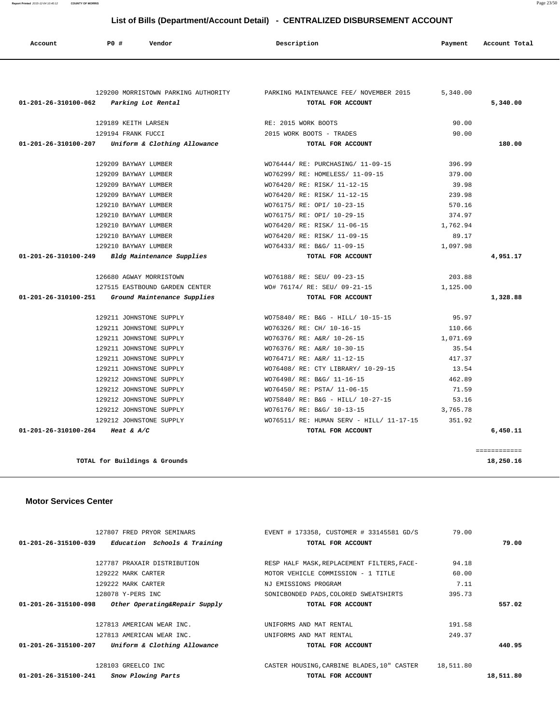| 127807 FRED PRYOR SEMINARS                            | EVENT # 173358, CUSTOMER # 33145581 GD/S   | 79.00     |           |
|-------------------------------------------------------|--------------------------------------------|-----------|-----------|
| $01-201-26-315100-039$ Education Schools & Training   | TOTAL FOR ACCOUNT                          |           | 79.00     |
|                                                       |                                            |           |           |
| 127787 PRAXAIR DISTRIBUTION                           | RESP HALF MASK, REPLACEMENT FILTERS, FACE- | 94.18     |           |
| 129222 MARK CARTER                                    | MOTOR VEHICLE COMMISSION - 1 TITLE         | 60.00     |           |
| 129222 MARK CARTER                                    | NJ EMISSIONS PROGRAM                       | 7.11      |           |
| 128078 Y-PERS INC                                     | SONICBONDED PADS, COLORED SWEATSHIRTS      | 395.73    |           |
| Other Operating&Repair Supply<br>01-201-26-315100-098 | TOTAL FOR ACCOUNT                          |           | 557.02    |
| 127813 AMERICAN WEAR INC.                             | UNIFORMS AND MAT RENTAL                    | 191.58    |           |
| 127813 AMERICAN WEAR INC.                             | UNIFORMS AND MAT RENTAL                    | 249.37    |           |
| 01-201-26-315100-207<br>Uniform & Clothing Allowance  | TOTAL FOR ACCOUNT                          |           | 440.95    |
| 128103 GREELCO INC                                    | CASTER HOUSING, CARBINE BLADES, 10" CASTER | 18,511.80 |           |
| 01-201-26-315100-241<br>Snow Plowing Parts            | TOTAL FOR ACCOUNT                          |           | 18,511.80 |

**TOTAL for Buildings & Grounds 18,250.16**

#### **Motor Services Center**

|                                                     | 129200 MORRISTOWN PARKING AUTHORITY <b>FARKING MAINTENANCE FEE</b> / NOVEMBER 2015 | 5,340.00 |          |
|-----------------------------------------------------|------------------------------------------------------------------------------------|----------|----------|
| 01-201-26-310100-062 Parking Lot Rental             | TOTAL FOR ACCOUNT                                                                  |          | 5,340.00 |
| 129189 KEITH LARSEN                                 | RE: 2015 WORK BOOTS                                                                | 90.00    |          |
| 129194 FRANK FUCCI                                  | 2015 WORK BOOTS - TRADES                                                           | 90.00    |          |
| $01-201-26-310100-207$ Uniform & Clothing Allowance | TOTAL FOR ACCOUNT                                                                  |          | 180.00   |
| 129209 BAYWAY LUMBER                                | WO76444/RE: PURCHASING/ 11-09-15                                                   | 396.99   |          |
| 129209 BAYWAY LUMBER                                | WO76299/RE: HOMELESS/ 11-09-15 379.00                                              |          |          |
| 129209 BAYWAY LUMBER                                | WO76420/ RE: RISK/ 11-12-15                                                        | 39.98    |          |
| 129209 BAYWAY LUMBER                                | WO76420/ RE: RISK/ 11-12-15                                                        | 239.98   |          |
| 129210 BAYWAY LUMBER                                | WO76175/ RE: OPI/ 10-23-15                                                         | 570.16   |          |
| 129210 BAYWAY LUMBER                                | WO76175/ RE: OPI/ 10-29-15                                                         | 374.97   |          |
| 129210 BAYWAY LUMBER                                | WO76420/ RE: RISK/ 11-06-15                                                        | 1,762.94 |          |
| 129210 BAYWAY LUMBER                                | WO76420/ RE: RISK/ 11-09-15                                                        | 89.17    |          |
| 129210 BAYWAY LUMBER                                | WO76433/ RE: B&G/ 11-09-15                                                         | 1,097.98 |          |
| $01-201-26-310100-249$ Bldg Maintenance Supplies    | TOTAL FOR ACCOUNT                                                                  |          | 4,951.17 |
| 126680 AGWAY MORRISTOWN                             | WO76188/ RE: SEU/ 09-23-15                                                         | 203.88   |          |
|                                                     | 127515 EASTBOUND GARDEN CENTER WO# 76174/ RE: SEU/ 09-21-15                        | 1,125.00 |          |
| 01-201-26-310100-251 Ground Maintenance Supplies    | TOTAL FOR ACCOUNT                                                                  |          | 1,328.88 |
| 129211 JOHNSTONE SUPPLY                             | WO75840/ RE: B&G - HILL/ 10-15-15                                                  | 95.97    |          |
| 129211 JOHNSTONE SUPPLY                             | WO76326/ RE: CH/ 10-16-15                                                          | 110.66   |          |
| 129211 JOHNSTONE SUPPLY                             | WO76376/ RE: A&R/ 10-26-15                                                         | 1,071.69 |          |
| 129211 JOHNSTONE SUPPLY                             | WO76376/ RE: A&R/ 10-30-15                                                         | 35.54    |          |
| 129211 JOHNSTONE SUPPLY                             | WO76471/ RE: A&R/ 11-12-15                                                         | 417.37   |          |
| 129211 JOHNSTONE SUPPLY                             | WO76408/ RE: CTY LIBRARY/ 10-29-15                                                 | 13.54    |          |
| 129212 JOHNSTONE SUPPLY                             | WO76498/ RE: B&G/ 11-16-15                                                         | 462.89   |          |
| 129212 JOHNSTONE SUPPLY                             | WO76450/ RE: PSTA/ 11-06-15                                                        | 71.59    |          |
| 129212 JOHNSTONE SUPPLY                             | WO75840/ RE: B&G - HILL/ 10-27-15                                                  | 53.16    |          |
| 129212 JOHNSTONE SUPPLY                             | WO76176/ RE: B&G/ 10-13-15                                                         | 3,765.78 |          |
|                                                     |                                                                                    |          |          |
| 129212 JOHNSTONE SUPPLY                             | WO76511/ RE: HUMAN SERV - HILL/ 11-17-15 351.92                                    |          |          |

 **Account P0 # Vendor Description Payment Account Total**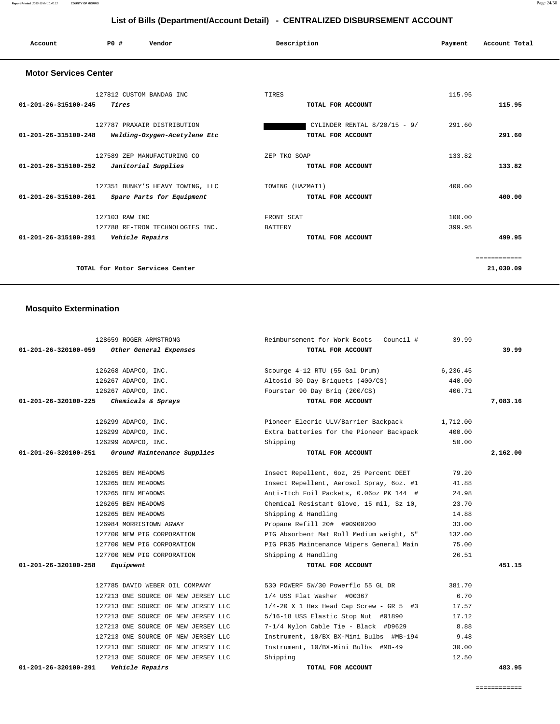#### ============

| 01-201-26-320100-059<br>Other General Expenses       | TOTAL FOR ACCOUNT                         |          | 39.99    |
|------------------------------------------------------|-------------------------------------------|----------|----------|
| 126268 ADAPCO, INC.                                  | Scourge 4-12 RTU (55 Gal Drum)            | 6,236.45 |          |
| 126267 ADAPCO, INC.                                  | Altosid 30 Day Briquets (400/CS)          | 440.00   |          |
| 126267 ADAPCO, INC.                                  | Fourstar 90 Day Brig (200/CS)             | 406.71   |          |
| $01 - 201 - 26 - 320100 - 225$<br>Chemicals & Sprays | TOTAL FOR ACCOUNT                         |          | 7,083.16 |
| 126299 ADAPCO, INC.                                  | Pioneer Elecric ULV/Barrier Backpack      | 1,712.00 |          |
| 126299 ADAPCO, INC.                                  | Extra batteries for the Pioneer Backpack  | 400.00   |          |
| 126299 ADAPCO, INC.                                  | Shipping                                  | 50.00    |          |
| 01-201-26-320100-251<br>Ground Maintenance Supplies  | TOTAL FOR ACCOUNT                         |          | 2,162.00 |
| 126265 BEN MEADOWS                                   | Insect Repellent, 6oz, 25 Percent DEET    | 79.20    |          |
| 126265 BEN MEADOWS                                   | Insect Repellent, Aerosol Spray, 6oz. #1  | 41.88    |          |
| 126265 BEN MEADOWS                                   | Anti-Itch Foil Packets, 0.06oz PK 144 #   | 24.98    |          |
| 126265 BEN MEADOWS                                   | Chemical Resistant Glove, 15 mil, Sz 10,  | 23.70    |          |
| 126265 BEN MEADOWS                                   | Shipping & Handling                       | 14.88    |          |
| 126984 MORRISTOWN AGWAY                              | Propane Refill 20# #90900200              | 33.00    |          |
| 127700 NEW PIG CORPORATION                           | PIG Absorbent Mat Roll Medium weight, 5"  | 132.00   |          |
| 127700 NEW PIG CORPORATION                           | PIG PR35 Maintenance Wipers General Main  | 75.00    |          |
| 127700 NEW PIG CORPORATION                           | Shipping & Handling                       | 26.51    |          |
| 01-201-26-320100-258<br>Equipment                    | TOTAL FOR ACCOUNT                         |          | 451.15   |
| 127785 DAVID WEBER OIL COMPANY                       | 530 POWERF 5W/30 Powerflo 55 GL DR        | 381.70   |          |
| 127213 ONE SOURCE OF NEW JERSEY LLC                  | 1/4 USS Flat Washer #00367                | 6.70     |          |
| 127213 ONE SOURCE OF NEW JERSEY LLC                  | $1/4-20$ X 1 Hex Head Cap Screw - GR 5 #3 | 17.57    |          |
| 127213 ONE SOURCE OF NEW JERSEY LLC                  | 5/16-18 USS Elastic Stop Nut #01890       | 17.12    |          |
| 127213 ONE SOURCE OF NEW JERSEY LLC                  | 7-1/4 Nylon Cable Tie - Black #D9629      | 8.88     |          |
| 127213 ONE SOURCE OF NEW JERSEY LLC                  | Instrument, 10/BX BX-Mini Bulbs #MB-194   | 9.48     |          |
| 127213 ONE SOURCE OF NEW JERSEY LLC                  | Instrument, 10/BX-Mini Bulbs #MB-49       | 30.00    |          |
| 127213 ONE SOURCE OF NEW JERSEY LLC                  | Shipping                                  | 12.50    |          |
| $01 - 201 - 26 - 320100 - 291$<br>Vehicle Repairs    | TOTAL FOR ACCOUNT                         |          | 483.95   |
|                                                      |                                           |          |          |

#### **Mosquito Extermination**

| 127812 CUSTOM BANDAG INC                                       | TIRES                          | 115.95       |
|----------------------------------------------------------------|--------------------------------|--------------|
| $01 - 201 - 26 - 315100 - 245$<br>Tires                        | TOTAL FOR ACCOUNT              | 115.95       |
| 127787 PRAXAIR DISTRIBUTION                                    | CYLINDER RENTAL $8/20/15 - 9/$ | 291.60       |
| $01 - 201 - 26 - 315100 - 248$<br>Welding-Oxygen-Acetylene Etc | TOTAL FOR ACCOUNT              | 291.60       |
| 127589 ZEP MANUFACTURING CO                                    | ZEP TKO SOAP                   | 133.82       |
| 01-201-26-315100-252<br>Janitorial Supplies                    | TOTAL FOR ACCOUNT              | 133.82       |
| 127351 BUNKY'S HEAVY TOWING, LLC                               | TOWING (HAZMAT1)               | 400.00       |
| 01-201-26-315100-261<br>Spare Parts for Equipment              | TOTAL FOR ACCOUNT              | 400.00       |
| 127103 RAW INC                                                 | FRONT SEAT                     | 100.00       |
| 127788 RE-TRON TECHNOLOGIES INC.                               | <b>BATTERY</b>                 | 399.95       |
| $01 - 201 - 26 - 315100 - 291$<br>Vehicle Repairs              | TOTAL FOR ACCOUNT              | 499.95       |
|                                                                |                                | ============ |
| TOTAL for Motor Services Center                                |                                | 21,030.09    |

128659 ROGER ARMSTRONG Reimbursement for Work Boots - Council # 39.99

 **List of Bills (Department/Account Detail) - CENTRALIZED DISBURSEMENT ACCOUNT**

 **Account P0 # Vendor Description Payment Account Total**

# **Motor Services Center**

# **Report Printed** 2015-12-04 10:40:12 **COUNTY OF MORRIS** Page 24/50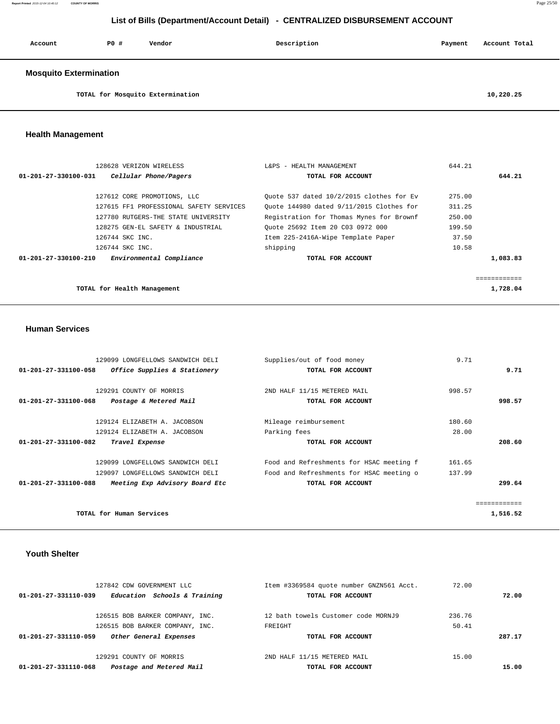| Account                       | PO# | Vendor | Description | Payment | Account Total |
|-------------------------------|-----|--------|-------------|---------|---------------|
| <b>Mosquito Extermination</b> |     |        |             |         |               |

**TOTAL for Mosquito Extermination 10,220.25**

## **Health Management**

| 128628 VERIZON WIRELESS                                    | L&PS - HEALTH MANAGEMENT                 | 644.21   |
|------------------------------------------------------------|------------------------------------------|----------|
| $01 - 201 - 27 - 330100 - 031$<br>Cellular Phone/Pagers    | TOTAL FOR ACCOUNT                        | 644.21   |
| 127612 CORE PROMOTIONS, LLC                                | Ouote 537 dated 10/2/2015 clothes for Ev | 275.00   |
| 127615 FF1 PROFESSIONAL SAFETY SERVICES                    | Ouote 144980 dated 9/11/2015 Clothes for | 311.25   |
| 127780 RUTGERS-THE STATE UNIVERSITY                        | Registration for Thomas Mynes for Brownf | 250.00   |
| 128275 GEN-EL SAFETY & INDUSTRIAL                          | Ouote 25692 Item 20 C03 0972 000         | 199.50   |
| 126744 SKC INC.                                            | Item 225-2416A-Wipe Template Paper       | 37.50    |
| 126744 SKC INC.                                            | shipping                                 | 10.58    |
| $01 - 201 - 27 - 330100 - 210$<br>Environmental Compliance | TOTAL FOR ACCOUNT                        | 1,083.83 |
|                                                            |                                          |          |
|                                                            |                                          |          |
| TOTAL for Health Management                                |                                          | 1,728.04 |

#### **Human Services**

| 129099 LONGFELLOWS SANDWICH DELI                       | Supplies/out of food money               | 9.71   |          |
|--------------------------------------------------------|------------------------------------------|--------|----------|
| Office Supplies & Stationery<br>01-201-27-331100-058   | TOTAL FOR ACCOUNT                        |        | 9.71     |
|                                                        |                                          |        |          |
| 129291 COUNTY OF MORRIS                                | 2ND HALF 11/15 METERED MAIL              | 998.57 |          |
| 01-201-27-331100-068<br>Postage & Metered Mail         | TOTAL FOR ACCOUNT                        |        | 998.57   |
|                                                        |                                          |        |          |
| 129124 ELIZABETH A. JACOBSON                           | Mileage reimbursement                    | 180.60 |          |
| 129124 ELIZABETH A. JACOBSON                           | Parking fees                             | 28.00  |          |
| $01 - 201 - 27 - 331100 - 082$<br>Travel Expense       | TOTAL FOR ACCOUNT                        |        | 208.60   |
| 129099 LONGFELLOWS SANDWICH DELI                       | Food and Refreshments for HSAC meeting f | 161.65 |          |
| 129097 LONGFELLOWS SANDWICH DELI                       | Food and Refreshments for HSAC meeting o | 137.99 |          |
| 01-201-27-331100-088<br>Meeting Exp Advisory Board Etc | TOTAL FOR ACCOUNT                        |        | 299.64   |
|                                                        |                                          |        |          |
| TOTAL for Human Services                               |                                          |        | 1,516.52 |
|                                                        |                                          |        |          |

### **Youth Shelter**

| 127842 CDW GOVERNMENT LLC                            | Item #3369584 quote number GNZN561 Acct. | 72.00  |        |
|------------------------------------------------------|------------------------------------------|--------|--------|
| Education Schools & Training<br>01-201-27-331110-039 | TOTAL FOR ACCOUNT                        |        | 72.00  |
| 126515 BOB BARKER COMPANY, INC.                      | 12 bath towels Customer code MORNJ9      | 236.76 |        |
| 126515 BOB BARKER COMPANY, INC.                      | FREIGHT                                  | 50.41  |        |
| 01-201-27-331110-059<br>Other General Expenses       | TOTAL FOR ACCOUNT                        |        | 287.17 |
| 129291 COUNTY OF MORRIS                              | 2ND HALF 11/15 METERED MAIL              | 15.00  |        |
| Postage and Metered Mail<br>01-201-27-331110-068     | TOTAL FOR ACCOUNT                        |        | 15.00  |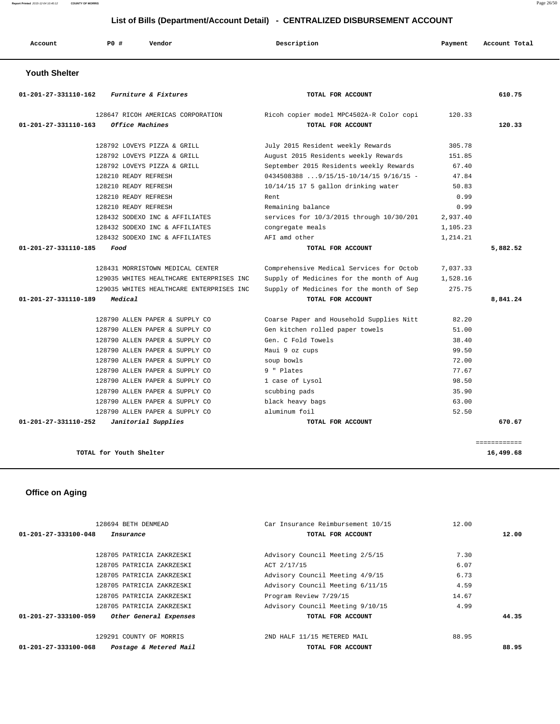**Report Printed** 2015-12-04 10:40:12 **COUNTY OF MORRIS** Page 26/50

# **List of Bills (Department/Account Detail) - CENTRALIZED DISBURSEMENT ACCOUNT**

| Account<br>. | P0 # | Vendor | Description | Payment | Account Total<br>. |
|--------------|------|--------|-------------|---------|--------------------|
|--------------|------|--------|-------------|---------|--------------------|

 **Youth Shelter** 

| 610.75   |          | TOTAL FOR ACCOUNT                        | Furniture & Fixtures                     | 01-201-27-331110-162 |
|----------|----------|------------------------------------------|------------------------------------------|----------------------|
|          | 120.33   | Ricoh copier model MPC4502A-R Color copi | 128647 RICOH AMERICAS CORPORATION        |                      |
| 120.33   |          | TOTAL FOR ACCOUNT                        | Office Machines                          | 01-201-27-331110-163 |
|          | 305.78   | July 2015 Resident weekly Rewards        | 128792 LOVEYS PIZZA & GRILL              |                      |
|          | 151.85   | August 2015 Residents weekly Rewards     | 128792 LOVEYS PIZZA & GRILL              |                      |
|          | 67.40    | September 2015 Residents weekly Rewards  | 128792 LOVEYS PIZZA & GRILL              |                      |
|          | 47.84    | $0434508388$ 9/15/15-10/14/15 9/16/15 -  | 128210 READY REFRESH                     |                      |
|          | 50.83    | 10/14/15 17 5 gallon drinking water      | 128210 READY REFRESH                     |                      |
|          | 0.99     | Rent.                                    | 128210 READY REFRESH                     |                      |
|          | 0.99     | Remaining balance                        | 128210 READY REFRESH                     |                      |
|          | 2,937.40 | services for 10/3/2015 through 10/30/201 | 128432 SODEXO INC & AFFILIATES           |                      |
|          | 1,105.23 | congregate meals                         | 128432 SODEXO INC & AFFILIATES           |                      |
|          | 1,214.21 | AFI amd other                            | 128432 SODEXO INC & AFFILIATES           |                      |
| 5,882.52 |          | TOTAL FOR ACCOUNT                        | Food                                     | 01-201-27-331110-185 |
|          | 7,037.33 | Comprehensive Medical Services for Octob | 128431 MORRISTOWN MEDICAL CENTER         |                      |
|          | 1,528.16 | Supply of Medicines for the month of Aug | 129035 WHITES HEALTHCARE ENTERPRISES INC |                      |
|          | 275.75   | Supply of Medicines for the month of Sep | 129035 WHITES HEALTHCARE ENTERPRISES INC |                      |
| 8,841.24 |          | TOTAL FOR ACCOUNT                        | Medical                                  | 01-201-27-331110-189 |
|          | 82.20    | Coarse Paper and Household Supplies Nitt | 128790 ALLEN PAPER & SUPPLY CO           |                      |
|          | 51.00    | Gen kitchen rolled paper towels          | 128790 ALLEN PAPER & SUPPLY CO           |                      |
|          | 38.40    | Gen. C Fold Towels                       | 128790 ALLEN PAPER & SUPPLY CO           |                      |
|          | 99.50    | Maui 9 oz cups                           | 128790 ALLEN PAPER & SUPPLY CO           |                      |
|          | 72.00    | soup bowls                               | 128790 ALLEN PAPER & SUPPLY CO           |                      |
|          | 77.67    | 9 " Plates                               | 128790 ALLEN PAPER & SUPPLY CO           |                      |
|          | 98.50    | 1 case of Lysol                          | 128790 ALLEN PAPER & SUPPLY CO           |                      |
|          |          | scubbing pads                            | 128790 ALLEN PAPER & SUPPLY CO           |                      |
|          | 35.90    |                                          |                                          |                      |
|          | 63.00    | black heavy bags                         | 128790 ALLEN PAPER & SUPPLY CO           |                      |
|          | 52.50    | aluminum foil                            | 128790 ALLEN PAPER & SUPPLY CO           |                      |

 **Office on Aging** 

| Postage & Metered Mail<br>01-201-27-333100-068 | TOTAL FOR ACCOUNT                 |       | 88.95 |
|------------------------------------------------|-----------------------------------|-------|-------|
| 129291 COUNTY OF MORRIS                        | 2ND HALF 11/15 METERED MAIL       | 88.95 |       |
| 01-201-27-333100-059<br>Other General Expenses | TOTAL FOR ACCOUNT                 |       | 44.35 |
| 128705 PATRICIA ZAKRZESKI                      | Advisory Council Meeting 9/10/15  | 4.99  |       |
| 128705 PATRICIA ZAKRZESKI                      | Program Review 7/29/15            | 14.67 |       |
| 128705 PATRICIA ZAKRZESKI                      | Advisory Council Meeting 6/11/15  | 4.59  |       |
| 128705 PATRICIA ZAKRZESKI                      | Advisory Council Meeting 4/9/15   | 6.73  |       |
| 128705 PATRICIA ZAKRZESKI                      | ACT 2/17/15                       | 6.07  |       |
| 128705 PATRICIA ZAKRZESKI                      | Advisory Council Meeting 2/5/15   | 7.30  |       |
| $01 - 201 - 27 - 333100 - 048$<br>Insurance    | TOTAL FOR ACCOUNT                 |       | 12.00 |
| 128694 BETH DENMEAD                            | Car Insurance Reimbursement 10/15 | 12.00 |       |
|                                                |                                   |       |       |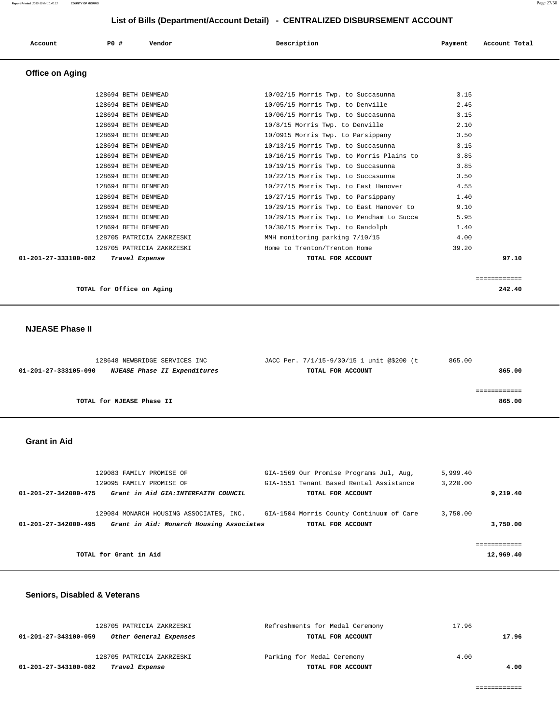|                        | List of Bills (Department/Account Detail) - CENTRALIZED DISBURSEMENT ACCOUNT |                           |                                          |         |               |
|------------------------|------------------------------------------------------------------------------|---------------------------|------------------------------------------|---------|---------------|
| Account                | PO#                                                                          | Vendor                    | Description                              | Payment | Account Total |
| <b>Office on Aging</b> |                                                                              |                           |                                          |         |               |
|                        | 128694 BETH DENMEAD                                                          |                           | 10/02/15 Morris Twp. to Succasunna       | 3.15    |               |
|                        | 128694 BETH DENMEAD                                                          |                           | 10/05/15 Morris Twp. to Denville         | 2.45    |               |
|                        | 128694 BETH DENMEAD                                                          |                           | 10/06/15 Morris Twp. to Succasunna       | 3.15    |               |
|                        | 128694 BETH DENMEAD                                                          |                           | 10/8/15 Morris Twp. to Denville          | 2.10    |               |
|                        | 128694 BETH DENMEAD                                                          |                           | 10/0915 Morris Twp. to Parsippany        | 3.50    |               |
|                        | 128694 BETH DENMEAD                                                          |                           | 10/13/15 Morris Twp. to Succasunna       | 3.15    |               |
|                        | 128694 BETH DENMEAD                                                          |                           | 10/16/15 Morris Twp. to Morris Plains to | 3.85    |               |
|                        | 128694 BETH DENMEAD                                                          |                           | 10/19/15 Morris Twp. to Succasunna       | 3.85    |               |
|                        | 128694 BETH DENMEAD                                                          |                           | 10/22/15 Morris Twp. to Succasunna       | 3.50    |               |
|                        | 128694 BETH DENMEAD                                                          |                           | 10/27/15 Morris Twp. to East Hanover     | 4.55    |               |
|                        | 128694 BETH DENMEAD                                                          |                           | 10/27/15 Morris Twp. to Parsippany       | 1.40    |               |
|                        | 128694 BETH DENMEAD                                                          |                           | 10/29/15 Morris Twp. to East Hanover to  | 9.10    |               |
|                        | 128694 BETH DENMEAD                                                          |                           | 10/29/15 Morris Twp. to Mendham to Succa | 5.95    |               |
|                        | 128694 BETH DENMEAD                                                          |                           | 10/30/15 Morris Twp. to Randolph         | 1.40    |               |
|                        |                                                                              | 128705 PATRICIA ZAKRZESKI | MMH monitoring parking 7/10/15           | 4.00    |               |
|                        |                                                                              | 128705 PATRICIA ZAKRZESKI | Home to Trenton/Trenton Home             | 39.20   |               |

 **01-201-27-333100-082 Travel Expense TOTAL FOR ACCOUNT 97.10**

 ============ **TOTAL for Office on Aging 242.40**

#### **NJEASE Phase II**

|                      | 128648 NEWBRIDGE SERVICES INC |                                     | JACC Per. 7/1/15-9/30/15 1 unit @\$200 (t | 865.00 |
|----------------------|-------------------------------|-------------------------------------|-------------------------------------------|--------|
| 01-201-27-333105-090 |                               | <i>NJEASE Phase II Expenditures</i> | TOTAL FOR ACCOUNT                         | 865.00 |
|                      |                               |                                     |                                           |        |
|                      |                               |                                     |                                           |        |
|                      | TOTAL for NJEASE Phase II     |                                     |                                           | 865.00 |
|                      |                               |                                     |                                           |        |

### **Grant in Aid**

| 5,999.40  |
|-----------|
| 3,220,00  |
| 9,219.40  |
|           |
| 3,750.00  |
| 3,750.00  |
|           |
|           |
| 12,969.40 |
|           |

#### **Seniors, Disabled & Veterans**

|                                                |                                                                     |                                                 | 4.00  |
|------------------------------------------------|---------------------------------------------------------------------|-------------------------------------------------|-------|
|                                                |                                                                     |                                                 |       |
| Other General Expenses<br>01-201-27-343100-059 | TOTAL FOR ACCOUNT                                                   |                                                 | 17.96 |
| 128705 PATRICIA ZAKRZESKI                      | Refreshments for Medal Ceremony                                     | 17.96                                           |       |
|                                                | 128705 PATRICIA ZAKRZESKI<br>01-201-27-343100-082<br>Travel Expense | Parking for Medal Ceremony<br>TOTAL FOR ACCOUNT | 4.00  |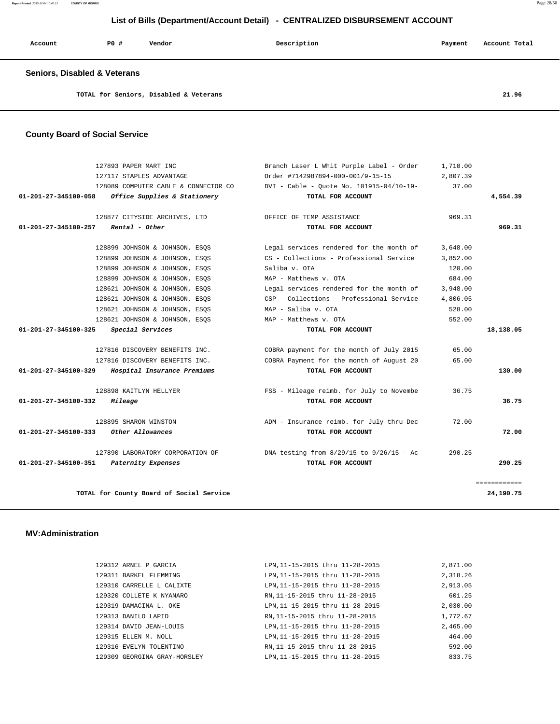**Report Printed** 2015-12-04 10:40:12 **COUNTY OF MORRIS** Page 28/50

# **List of Bills (Department/Account Detail) - CENTRALIZED DISBURSEMENT ACCOUNT**

| Account                                 | PO# | Vendor                                 | Description | Payment | Account Total |
|-----------------------------------------|-----|----------------------------------------|-------------|---------|---------------|
| <b>Seniors, Disabled &amp; Veterans</b> |     |                                        |             |         |               |
|                                         |     | TOTAL for Seniors, Disabled & Veterans |             |         | 21.96         |

```
 County Board of Social Service
```

| 127893 PAPER MART INC                                | Branch Laser L Whit Purple Label - Order     | 1,710.00 |              |
|------------------------------------------------------|----------------------------------------------|----------|--------------|
| 127117 STAPLES ADVANTAGE                             | Order #7142987894-000-001/9-15-15            | 2,807.39 |              |
| 128089 COMPUTER CABLE & CONNECTOR CO                 | DVI - Cable - Ouote No. 101915-04/10-19-     | 37.00    |              |
| Office Supplies & Stationery<br>01-201-27-345100-058 | TOTAL FOR ACCOUNT                            |          | 4,554.39     |
| 128877 CITYSIDE ARCHIVES, LTD                        | OFFICE OF TEMP ASSISTANCE                    | 969.31   |              |
| 01-201-27-345100-257<br>Rental - Other               | TOTAL FOR ACCOUNT                            |          | 969.31       |
| 128899 JOHNSON & JOHNSON, ESQS                       | Legal services rendered for the month of     | 3,648.00 |              |
| 128899 JOHNSON & JOHNSON, ESOS                       | CS - Collections - Professional Service      | 3,852.00 |              |
| 128899 JOHNSON & JOHNSON, ESQS                       | Saliba v. OTA                                | 120.00   |              |
| 128899 JOHNSON & JOHNSON, ESOS                       | MAP - Matthews v. OTA                        | 684.00   |              |
| 128621 JOHNSON & JOHNSON, ESOS                       | Legal services rendered for the month of     | 3,948.00 |              |
| 128621 JOHNSON & JOHNSON, ESOS                       | CSP - Collections - Professional Service     | 4,806.05 |              |
| 128621 JOHNSON & JOHNSON, ESOS                       | MAP - Saliba v. OTA                          | 528.00   |              |
| 128621 JOHNSON & JOHNSON, ESOS                       | MAP - Matthews v. OTA                        | 552.00   |              |
| Special Services<br>01-201-27-345100-325             | TOTAL FOR ACCOUNT                            |          | 18,138.05    |
| 127816 DISCOVERY BENEFITS INC.                       | COBRA payment for the month of July 2015     | 65.00    |              |
| 127816 DISCOVERY BENEFITS INC.                       | COBRA Payment for the month of August 20     | 65.00    |              |
| Hospital Insurance Premiums<br>01-201-27-345100-329  | TOTAL FOR ACCOUNT                            |          | 130.00       |
| 128898 KAITLYN HELLYER                               | FSS - Mileage reimb. for July to Novembe     | 36.75    |              |
| 01-201-27-345100-332<br>Mileage                      | TOTAL FOR ACCOUNT                            |          | 36.75        |
| 128895 SHARON WINSTON                                | ADM - Insurance reimb. for July thru Dec     | 72.00    |              |
| 01-201-27-345100-333<br>Other Allowances             | TOTAL FOR ACCOUNT                            |          | 72.00        |
| 127890 LABORATORY CORPORATION OF                     | DNA testing from $8/29/15$ to $9/26/15$ - Ac | 290.25   |              |
| 01-201-27-345100-351<br>Paternity Expenses           | TOTAL FOR ACCOUNT                            |          | 290.25       |
|                                                      |                                              |          | ============ |
| TOTAL for County Board of Social Service             |                                              |          | 24,190.75    |

### **MV:Administration**

| 129312 ARNEL P GARCIA        | LPN.11-15-2015 thru 11-28-2015  | 2,871.00 |
|------------------------------|---------------------------------|----------|
| 129311 BARKEL FLEMMING       | LPN, 11-15-2015 thru 11-28-2015 | 2,318.26 |
| 129310 CARRELLE L CALIXTE    | LPN.11-15-2015 thru 11-28-2015  | 2,913.05 |
| 129320 COLLETE K NYANARO     | RN, 11-15-2015 thru 11-28-2015  | 601.25   |
| 129319 DAMACINA L. OKE       | LPN, 11-15-2015 thru 11-28-2015 | 2,030.00 |
| 129313 DANILO LAPID          | RN.11-15-2015 thru 11-28-2015   | 1,772.67 |
| 129314 DAVID JEAN-LOUIS      | LPN, 11-15-2015 thru 11-28-2015 | 2,465.00 |
| 129315 ELLEN M. NOLL         | LPN, 11-15-2015 thru 11-28-2015 | 464.00   |
| 129316 EVELYN TOLENTINO      | RN.11-15-2015 thru 11-28-2015   | 592.00   |
| 129309 GEORGINA GRAY-HORSLEY | LPN.11-15-2015 thru 11-28-2015  | 833.75   |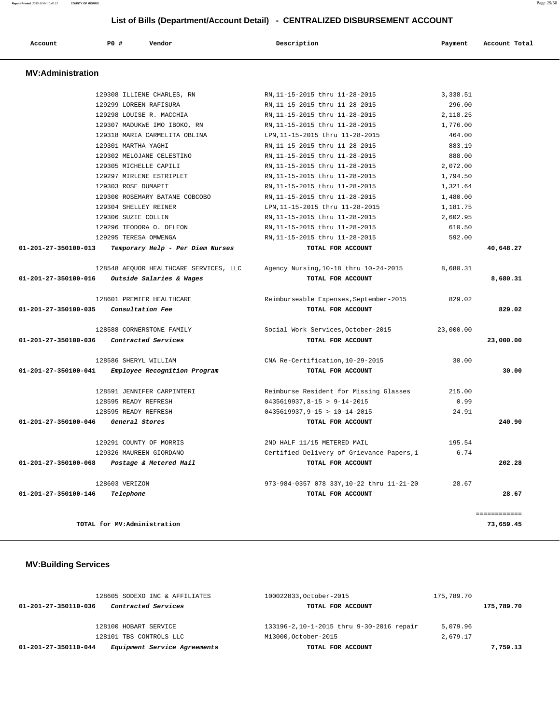| Account                  | PO#            | Vendor                                 | Description                               | Payment   | Account Total |
|--------------------------|----------------|----------------------------------------|-------------------------------------------|-----------|---------------|
| <b>MV:Administration</b> |                |                                        |                                           |           |               |
|                          |                | 129308 ILLIENE CHARLES, RN             | RN, 11-15-2015 thru 11-28-2015            | 3,338.51  |               |
|                          |                | 129299 LOREEN RAFISURA                 | RN, 11-15-2015 thru 11-28-2015            | 296.00    |               |
|                          |                | 129298 LOUISE R. MACCHIA               | RN, 11-15-2015 thru 11-28-2015            | 2,118.25  |               |
|                          |                | 129307 MADUKWE IMO IBOKO, RN           | RN, 11-15-2015 thru 11-28-2015            | 1,776.00  |               |
|                          |                | 129318 MARIA CARMELITA OBLINA          | LPN, 11-15-2015 thru 11-28-2015           | 464.00    |               |
|                          |                | 129301 MARTHA YAGHI                    | RN, 11-15-2015 thru 11-28-2015            | 883.19    |               |
|                          |                | 129302 MELOJANE CELESTINO              | RN, 11-15-2015 thru 11-28-2015            | 888.00    |               |
|                          |                | 129305 MICHELLE CAPILI                 | RN, 11-15-2015 thru 11-28-2015            | 2,072.00  |               |
|                          |                | 129297 MIRLENE ESTRIPLET               | RN, 11-15-2015 thru 11-28-2015            | 1,794.50  |               |
|                          |                | 129303 ROSE DUMAPIT                    | RN, 11-15-2015 thru 11-28-2015            | 1,321.64  |               |
|                          |                | 129300 ROSEMARY BATANE COBCOBO         | RN, 11-15-2015 thru 11-28-2015            | 1,480.00  |               |
|                          |                | 129304 SHELLEY REINER                  | LPN, 11-15-2015 thru 11-28-2015           | 1,181.75  |               |
|                          |                | 129306 SUZIE COLLIN                    | RN.11-15-2015 thru 11-28-2015             | 2,602.95  |               |
|                          |                | 129296 TEODORA O. DELEON               | RN.11-15-2015 thru 11-28-2015             | 610.50    |               |
|                          |                | 129295 TERESA OMWENGA                  | RN, 11-15-2015 thru 11-28-2015            | 592.00    |               |
| 01-201-27-350100-013     |                | Temporary Help - Per Diem Nurses       | TOTAL FOR ACCOUNT                         |           | 40,648.27     |
|                          |                | 128548 AEQUOR HEALTHCARE SERVICES, LLC | Agency Nursing, 10-18 thru 10-24-2015     | 8,680.31  |               |
| 01-201-27-350100-016     |                | Outside Salaries & Wages               | TOTAL FOR ACCOUNT                         |           | 8,680.31      |
|                          |                | 128601 PREMIER HEALTHCARE              | Reimburseable Expenses, September-2015    | 829.02    |               |
| 01-201-27-350100-035     |                | Consultation Fee                       | TOTAL FOR ACCOUNT                         |           | 829.02        |
|                          |                | 128588 CORNERSTONE FAMILY              | Social Work Services, October-2015        | 23,000.00 |               |
| 01-201-27-350100-036     |                | Contracted Services                    | TOTAL FOR ACCOUNT                         |           | 23,000.00     |
|                          |                | 128586 SHERYL WILLIAM                  | CNA Re-Certification, 10-29-2015          | 30.00     |               |
| 01-201-27-350100-041     |                | Employee Recognition Program           | TOTAL FOR ACCOUNT                         |           | 30.00         |
|                          |                | 128591 JENNIFER CARPINTERI             | Reimburse Resident for Missing Glasses    | 215.00    |               |
|                          |                | 128595 READY REFRESH                   | $0435619937, 8-15 > 9-14-2015$            | 0.99      |               |
|                          |                | 128595 READY REFRESH                   | $0435619937, 9-15 > 10-14-2015$           | 24.91     |               |
| 01-201-27-350100-046     |                | General Stores                         | TOTAL FOR ACCOUNT                         |           | 240.90        |
|                          |                | 129291 COUNTY OF MORRIS                | 2ND HALF 11/15 METERED MAIL               | 195.54    |               |
|                          |                | 129326 MAUREEN GIORDANO                | Certified Delivery of Grievance Papers, 1 | 6.74      |               |
| 01-201-27-350100-068     |                | Postage & Metered Mail                 | TOTAL FOR ACCOUNT                         |           | 202.28        |
|                          | 128603 VERIZON |                                        | 973-984-0357 078 33Y, 10-22 thru 11-21-20 | 28.67     |               |
| 01-201-27-350100-146     |                | Telephone                              | TOTAL FOR ACCOUNT                         |           | 28.67         |
|                          |                |                                        |                                           |           | ============  |
|                          |                | TOTAL for MV:Administration            |                                           |           | 73,659.45     |

# **MV:Building Services**

| 128605 SODEXO INC & AFFILIATES                       | 100022833, October-2015                  | 175,789.70 |            |
|------------------------------------------------------|------------------------------------------|------------|------------|
| Contracted Services<br>01-201-27-350110-036          | TOTAL FOR ACCOUNT                        |            | 175,789.70 |
|                                                      |                                          |            |            |
| 128100 HOBART SERVICE                                | 133196-2,10-1-2015 thru 9-30-2016 repair | 5,079.96   |            |
| 128101 TBS CONTROLS LLC                              | M13000, October-2015                     | 2,679.17   |            |
| Equipment Service Agreements<br>01-201-27-350110-044 | TOTAL FOR ACCOUNT                        |            | 7,759.13   |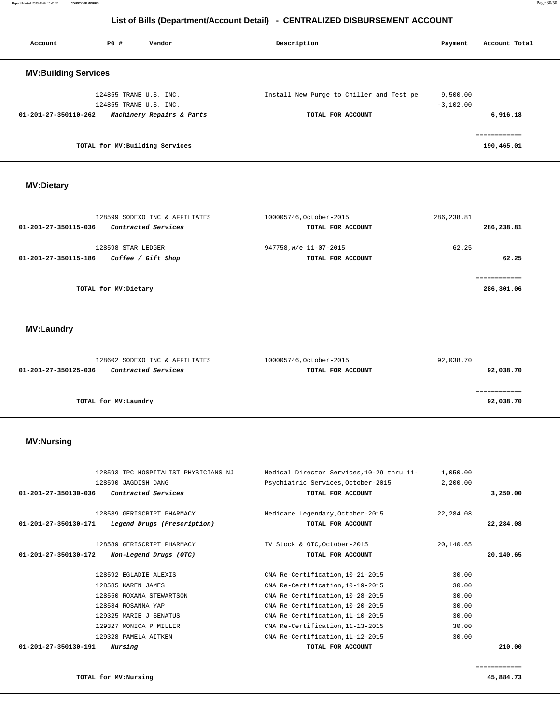**Report Printed** 2015-12-04 10:40:12 **COUNTY OF MORRIS** Page 30/50

# **List of Bills (Department/Account Detail) - CENTRALIZED DISBURSEMENT ACCOUNT**

| Account                     | PO#                    | Vendor                          | Description                              | Payment     | Account Total |
|-----------------------------|------------------------|---------------------------------|------------------------------------------|-------------|---------------|
| <b>MV:Building Services</b> |                        |                                 |                                          |             |               |
|                             | 124855 TRANE U.S. INC. |                                 | Install New Purge to Chiller and Test pe | 9,500.00    |               |
|                             | 124855 TRANE U.S. INC. |                                 |                                          | $-3,102.00$ |               |
| 01-201-27-350110-262        |                        | Machinery Repairs & Parts       | TOTAL FOR ACCOUNT                        |             | 6,916.18      |
|                             |                        |                                 |                                          |             | ------------  |
|                             |                        | TOTAL for MV: Building Services |                                          |             | 190,465.01    |

 **MV:Dietary** 

| 128599 SODEXO INC & AFFILIATES              | 100005746, October-2015 | 286, 238.81 |
|---------------------------------------------|-------------------------|-------------|
| Contracted Services<br>01-201-27-350115-036 | TOTAL FOR ACCOUNT       | 286,238.81  |
| 128598 STAR LEDGER                          | 947758, w/e 11-07-2015  | 62.25       |
| Coffee / Gift Shop<br>01-201-27-350115-186  | TOTAL FOR ACCOUNT       | 62.25       |
|                                             |                         |             |
| TOTAL for MV:Dietary                        |                         | 286,301.06  |

 **MV:Laundry** 

| 128602 SODEXO INC & AFFILIATES                     | 100005746, October-2015 | 92,038.70 |
|----------------------------------------------------|-------------------------|-----------|
| <i>Contracted Services</i><br>01-201-27-350125-036 | TOTAL FOR ACCOUNT       | 92,038.70 |
|                                                    |                         |           |
|                                                    |                         |           |
| TOTAL for MV:Laundry                               |                         | 92,038.70 |
|                                                    |                         |           |

# **MV:Nursing**

| 128593 IPC HOSPITALIST PHYSICIANS NJ<br>128590 JAGDISH DANG | Medical Director Services, 10-29 thru 11-<br>Psychiatric Services, October-2015 | 1,050.00<br>2,200.00 |           |
|-------------------------------------------------------------|---------------------------------------------------------------------------------|----------------------|-----------|
| $01 - 201 - 27 - 350130 - 036$<br>Contracted Services       | TOTAL FOR ACCOUNT                                                               |                      | 3,250.00  |
| 128589 GERISCRIPT PHARMACY                                  | Medicare Legendary, October-2015                                                | 22,284.08            |           |
| 01-201-27-350130-171<br>Legend Drugs (Prescription)         | TOTAL FOR ACCOUNT                                                               |                      | 22,284.08 |
| 128589 GERISCRIPT PHARMACY                                  | IV Stock & OTC, October-2015                                                    | 20,140.65            |           |
| $01 - 201 - 27 - 350130 - 172$<br>Non-Legend Drugs (OTC)    | TOTAL FOR ACCOUNT                                                               |                      | 20,140.65 |
| 128592 EGLADIE ALEXIS                                       | CNA Re-Certification, 10-21-2015                                                | 30.00                |           |
| 128585 KAREN JAMES                                          | CNA Re-Certification, 10-19-2015                                                | 30.00                |           |
| 128550 ROXANA STEWARTSON                                    | CNA Re-Certification, 10-28-2015                                                | 30.00                |           |
| 128584 ROSANNA YAP                                          | CNA Re-Certification, 10-20-2015                                                | 30.00                |           |
| 129325 MARIE J SENATUS                                      | CNA Re-Certification, 11-10-2015                                                | 30.00                |           |
| 129327 MONICA P MILLER                                      | CNA Re-Certification, 11-13-2015                                                | 30.00                |           |
| 129328 PAMELA AITKEN                                        | CNA Re-Certification, 11-12-2015                                                | 30.00                |           |
| $01 - 201 - 27 - 350130 - 191$<br>Nursing                   | TOTAL FOR ACCOUNT                                                               |                      | 210.00    |

============

**TOTAL for MV:Nursing 45,884.73**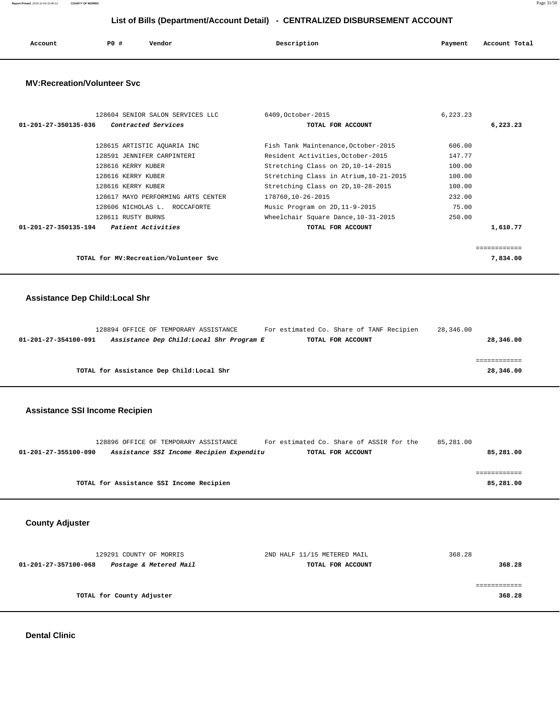**Report Printed** 2015-12-04 10:40:12 **COUNTY OF MORRIS** Page 31/50

# **List of Bills (Department/Account Detail) - CENTRALIZED DISBURSEMENT ACCOUNT**

| Account | <b>PO #</b> | Vendor | Description | Payment | Account Total |
|---------|-------------|--------|-------------|---------|---------------|
|         |             |        |             |         |               |

### **MV:Recreation/Volunteer Svc**

| 128604 SENIOR SALON SERVICES LLC                  | 6409, October-2015                     | 6,223.23 |              |
|---------------------------------------------------|----------------------------------------|----------|--------------|
| Contracted Services<br>01-201-27-350135-036       | TOTAL FOR ACCOUNT                      |          | 6,223.23     |
|                                                   |                                        |          |              |
| 128615 ARTISTIC AOUARIA INC                       | Fish Tank Maintenance, October-2015    | 606.00   |              |
| 128591 JENNIFER CARPINTERI                        | Resident Activities, October-2015      | 147.77   |              |
| 128616 KERRY KUBER                                | Stretching Class on 2D, 10-14-2015     | 100.00   |              |
| 128616 KERRY KUBER                                | Stretching Class in Atrium, 10-21-2015 | 100.00   |              |
| 128616 KERRY KUBER                                | Stretching Class on 2D, 10-28-2015     | 100.00   |              |
| 128617 MAYO PERFORMING ARTS CENTER                | 178760,10-26-2015                      | 232.00   |              |
| 128606 NICHOLAS L. ROCCAFORTE                     | Music Program on 2D, 11-9-2015         | 75.00    |              |
| 128611 RUSTY BURNS                                | Wheelchair Square Dance, 10-31-2015    | 250.00   |              |
| <i>Patient Activities</i><br>01-201-27-350135-194 | TOTAL FOR ACCOUNT                      |          | 1,610.77     |
|                                                   |                                        |          |              |
|                                                   |                                        |          | ============ |
| TOTAL for MV: Recreation/Volunteer Svc            |                                        |          | 7,834.00     |
|                                                   |                                        |          |              |

## **Assistance Dep Child:Local Shr**

|                      | 128894 OFFICE OF TEMPORARY ASSISTANCE     |                                          | For estimated Co. Share of TANF Recipien | 28,346.00 |  |
|----------------------|-------------------------------------------|------------------------------------------|------------------------------------------|-----------|--|
| 01-201-27-354100-091 |                                           | Assistance Dep Child:Local Shr Program E | TOTAL FOR ACCOUNT                        | 28,346.00 |  |
|                      |                                           |                                          |                                          |           |  |
|                      |                                           |                                          |                                          |           |  |
|                      | TOTAL for Assistance Dep Child: Local Shr |                                          |                                          | 28,346.00 |  |

## **Assistance SSI Income Recipien**

|                      | 128896 OFFICE OF TEMPORARY ASSISTANCE    |                                          | For estimated Co. Share of ASSIR for the | 85,281.00 |
|----------------------|------------------------------------------|------------------------------------------|------------------------------------------|-----------|
| 01-201-27-355100-090 |                                          | Assistance SSI Income Recipien Expenditu | TOTAL FOR ACCOUNT                        | 85,281.00 |
|                      |                                          |                                          |                                          |           |
|                      |                                          |                                          |                                          |           |
|                      | TOTAL for Assistance SSI Income Recipien |                                          |                                          | 85,281.00 |
|                      |                                          |                                          |                                          |           |

 **County Adjuster** 

|                      | 129291 COUNTY OF MORRIS   | 2ND HALF 11/15 METERED MAIL | 368.28 |
|----------------------|---------------------------|-----------------------------|--------|
| 01-201-27-357100-068 | Postage & Metered Mail    | TOTAL FOR ACCOUNT           | 368.28 |
|                      | TOTAL for County Adjuster |                             | 368.28 |

#### **Dental Clinic**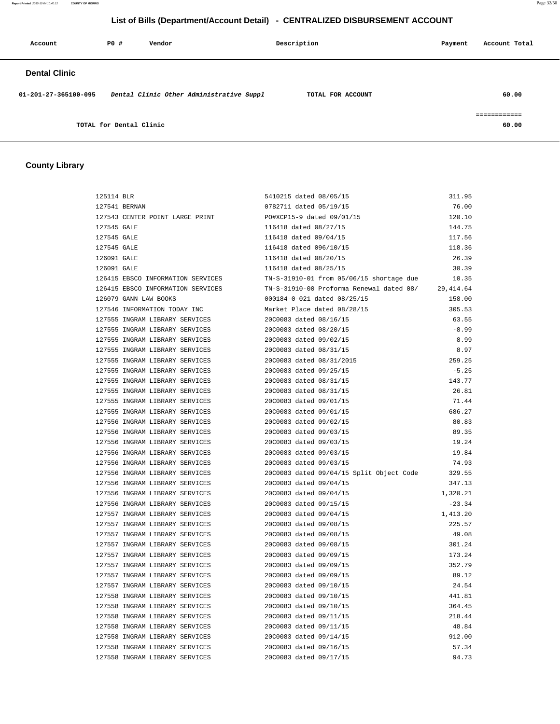**Report Printed** 2015-12-04 10:40:12 **COUNTY OF MORRIS** Page 32/50

# **List of Bills (Department/Account Detail) - CENTRALIZED DISBURSEMENT ACCOUNT**

| Account              | PO#                     | Vendor                                   | Description       | Payment | Account Total         |
|----------------------|-------------------------|------------------------------------------|-------------------|---------|-----------------------|
| <b>Dental Clinic</b> |                         |                                          |                   |         |                       |
| 01-201-27-365100-095 |                         | Dental Clinic Other Administrative Suppl | TOTAL FOR ACCOUNT |         | 60.00                 |
|                      | TOTAL for Dental Clinic |                                          |                   |         | ============<br>60.00 |

# **County Library**

| 125114 BLR                        | 5410215 dated 08/05/15      |                                          | 311.95     |
|-----------------------------------|-----------------------------|------------------------------------------|------------|
| 127541 BERNAN                     | 0782711 dated 05/19/15      |                                          | 76.00      |
| 127543 CENTER POINT LARGE PRINT   | PO#XCP15-9 dated 09/01/15   |                                          | 120.10     |
| 127545 GALE                       | 116418 dated 08/27/15       |                                          | 144.75     |
| 127545 GALE                       | 116418 dated 09/04/15       |                                          | 117.56     |
| 127545 GALE                       | 116418 dated 096/10/15      |                                          | 118.36     |
| 126091 GALE                       | 116418 dated 08/20/15       |                                          | 26.39      |
| 126091 GALE                       | 116418 dated 08/25/15       |                                          | 30.39      |
| 126415 EBSCO INFORMATION SERVICES |                             | TN-S-31910-01 from 05/06/15 shortage due | 10.35      |
| 126415 EBSCO INFORMATION SERVICES |                             | TN-S-31910-00 Proforma Renewal dated 08/ | 29, 414.64 |
| 126079 GANN LAW BOOKS             | 000184-0-021 dated 08/25/15 |                                          | 158.00     |
| 127546 INFORMATION TODAY INC      | Market Place dated 08/28/15 |                                          | 305.53     |
| 127555 INGRAM LIBRARY SERVICES    | 20C0083 dated 08/16/15      |                                          | 63.55      |
| 127555 INGRAM LIBRARY SERVICES    | 20C0083 dated 08/20/15      |                                          | $-8.99$    |
| 127555 INGRAM LIBRARY SERVICES    | 20C0083 dated 09/02/15      |                                          | 8.99       |
| 127555 INGRAM LIBRARY SERVICES    | 20C0083 dated 08/31/15      |                                          | 8.97       |
| 127555 INGRAM LIBRARY SERVICES    | 20C0083 dated 08/31/2015    |                                          | 259.25     |
| 127555 INGRAM LIBRARY SERVICES    | 20C0083 dated 09/25/15      |                                          | $-5.25$    |
| 127555 INGRAM LIBRARY SERVICES    | 20C0083 dated 08/31/15      |                                          | 143.77     |
| 127555 INGRAM LIBRARY SERVICES    | 20C0083 dated 08/31/15      |                                          | 26.81      |
| 127555 INGRAM LIBRARY SERVICES    | 20C0083 dated 09/01/15      |                                          | 71.44      |
| 127555 INGRAM LIBRARY SERVICES    | 20C0083 dated 09/01/15      |                                          | 686.27     |
| 127556 INGRAM LIBRARY SERVICES    | 20C0083 dated 09/02/15      |                                          | 80.83      |
| 127556 INGRAM LIBRARY SERVICES    | 20C0083 dated 09/03/15      |                                          | 89.35      |
| 127556 INGRAM LIBRARY SERVICES    | 20C0083 dated 09/03/15      |                                          | 19.24      |
| 127556 INGRAM LIBRARY SERVICES    | 20C0083 dated 09/03/15      |                                          | 19.84      |
| 127556 INGRAM LIBRARY SERVICES    | 20C0083 dated 09/03/15      |                                          | 74.93      |
| 127556 INGRAM LIBRARY SERVICES    |                             | 20C0083 dated 09/04/15 Split Object Code | 329.55     |
| 127556 INGRAM LIBRARY SERVICES    | 20C0083 dated 09/04/15      |                                          | 347.13     |
| 127556 INGRAM LIBRARY SERVICES    | 20C0083 dated 09/04/15      |                                          | 1,320.21   |
| 127556 INGRAM LIBRARY SERVICES    | 20C0083 dated 09/15/15      |                                          | $-23.34$   |
| 127557 INGRAM LIBRARY SERVICES    | 20C0083 dated 09/04/15      |                                          | 1,413.20   |
| 127557 INGRAM LIBRARY SERVICES    | 20C0083 dated 09/08/15      |                                          | 225.57     |
| 127557 INGRAM LIBRARY SERVICES    | 20C0083 dated 09/08/15      |                                          | 49.08      |
| 127557 INGRAM LIBRARY SERVICES    | 20C0083 dated 09/08/15      |                                          | 301.24     |
| 127557 INGRAM LIBRARY SERVICES    | 20C0083 dated 09/09/15      |                                          | 173.24     |
| 127557 INGRAM LIBRARY SERVICES    | 20C0083 dated 09/09/15      |                                          | 352.79     |
| 127557 INGRAM LIBRARY SERVICES    | 20C0083 dated 09/09/15      |                                          | 89.12      |
| 127557 INGRAM LIBRARY SERVICES    | 20C0083 dated 09/10/15      |                                          | 24.54      |
| 127558 INGRAM LIBRARY SERVICES    | 20C0083 dated 09/10/15      |                                          | 441.81     |
| 127558 INGRAM LIBRARY SERVICES    | 20C0083 dated 09/10/15      |                                          | 364.45     |
| 127558 INGRAM LIBRARY SERVICES    | 20C0083 dated 09/11/15      |                                          | 218.44     |
| 127558 INGRAM LIBRARY SERVICES    | 20C0083 dated 09/11/15      |                                          | 48.84      |
| 127558 INGRAM LIBRARY SERVICES    | 20C0083 dated 09/14/15      |                                          | 912.00     |
| 127558 INGRAM LIBRARY SERVICES    | 20C0083 dated 09/16/15      |                                          | 57.34      |
| 127558 INGRAM LIBRARY SERVICES    | 20C0083 dated 09/17/15      |                                          | 94.73      |
|                                   |                             |                                          |            |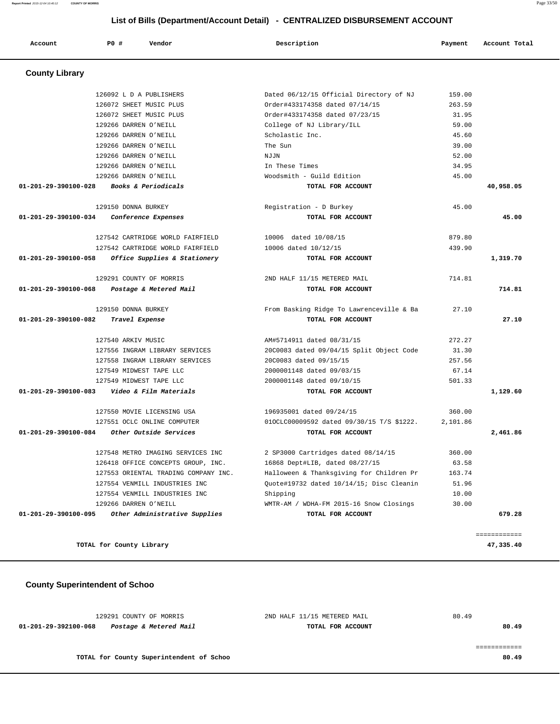129291 COUNTY OF MORRIS 2ND HALF 11/15 METERED MAIL 80.49  **01-201-29-392100-068 Postage & Metered Mail TOTAL FOR ACCOUNT 80.49** ============ **TOTAL for County Superintendent of Schoo 80.49**

## **County Superintendent of Schoo**

| <b>County Library</b>          |                                      |                                           |          |           |
|--------------------------------|--------------------------------------|-------------------------------------------|----------|-----------|
|                                | 126092 L D A PUBLISHERS              | Dated 06/12/15 Official Directory of NJ   | 159.00   |           |
|                                | 126072 SHEET MUSIC PLUS              | Order#433174358 dated 07/14/15            | 263.59   |           |
|                                | 126072 SHEET MUSIC PLUS              | Order#433174358 dated 07/23/15            | 31.95    |           |
|                                | 129266 DARREN O'NEILL                | College of NJ Library/ILL                 | 59.00    |           |
|                                | 129266 DARREN O'NEILL                | Scholastic Inc.                           | 45.60    |           |
|                                | 129266 DARREN O'NEILL                | The Sun                                   | 39.00    |           |
|                                | 129266 DARREN O'NEILL                | NJJN                                      | 52.00    |           |
|                                | 129266 DARREN O'NEILL                | In These Times                            | 34.95    |           |
|                                | 129266 DARREN O'NEILL                | Woodsmith - Guild Edition                 | 45.00    |           |
| 01-201-29-390100-028           | Books & Periodicals                  | TOTAL FOR ACCOUNT                         |          | 40,958.05 |
|                                | 129150 DONNA BURKEY                  | Registration - D Burkey                   | 45.00    |           |
| $01 - 201 - 29 - 390100 - 034$ | Conference Expenses                  | TOTAL FOR ACCOUNT                         |          | 45.00     |
|                                | 127542 CARTRIDGE WORLD FAIRFIELD     | 10006 dated 10/08/15                      | 879.80   |           |
|                                | 127542 CARTRIDGE WORLD FAIRFIELD     | 10006 dated 10/12/15                      | 439.90   |           |
| 01-201-29-390100-058           | Office Supplies & Stationery         | TOTAL FOR ACCOUNT                         |          | 1,319.70  |
|                                | 129291 COUNTY OF MORRIS              | 2ND HALF 11/15 METERED MAIL               | 714.81   |           |
| 01-201-29-390100-068           | Postage & Metered Mail               | TOTAL FOR ACCOUNT                         |          | 714.81    |
|                                | 129150 DONNA BURKEY                  | From Basking Ridge To Lawrenceville & Ba  | 27.10    |           |
| 01-201-29-390100-082           | Travel Expense                       | TOTAL FOR ACCOUNT                         |          | 27.10     |
|                                | 127540 ARKIV MUSIC                   | AM#5714911 dated 08/31/15                 | 272.27   |           |
|                                | 127556 INGRAM LIBRARY SERVICES       | 20C0083 dated 09/04/15 Split Object Code  | 31.30    |           |
|                                | 127558 INGRAM LIBRARY SERVICES       | 20C0083 dated 09/15/15                    | 257.56   |           |
|                                | 127549 MIDWEST TAPE LLC              | 2000001148 dated 09/03/15                 | 67.14    |           |
|                                | 127549 MIDWEST TAPE LLC              | 2000001148 dated 09/10/15                 | 501.33   |           |
| $01 - 201 - 29 - 390100 - 083$ | Video & Film Materials               | TOTAL FOR ACCOUNT                         |          | 1,129.60  |
|                                | 127550 MOVIE LICENSING USA           | 196935001 dated 09/24/15                  | 360.00   |           |
|                                | 127551 OCLC ONLINE COMPUTER          | 010CLC00009592 dated 09/30/15 T/S \$1222. | 2,101.86 |           |
| 01-201-29-390100-084           | Other Outside Services               | TOTAL FOR ACCOUNT                         |          | 2,461.86  |
|                                | 127548 METRO IMAGING SERVICES INC    | 2 SP3000 Cartridges dated 08/14/15        | 360.00   |           |
|                                | 126418 OFFICE CONCEPTS GROUP, INC.   | 16868 Dept#LIB, dated 08/27/15            | 63.58    |           |
|                                | 127553 ORIENTAL TRADING COMPANY INC. | Halloween & Thanksgiving for Children Pr  | 163.74   |           |
|                                | 127554 VENMILL INDUSTRIES INC        | Ouote#19732 dated 10/14/15; Disc Cleanin  | 51.96    |           |
|                                | 127554 VENMILL INDUSTRIES INC        | Shipping                                  | 10.00    |           |
|                                |                                      |                                           |          |           |
|                                | 129266 DARREN O'NEILL                | WMTR-AM / WDHA-FM 2015-16 Snow Closings   | 30.00    |           |

**TOTAL for County Library 47,335.40**

# **List of Bills (Department/Account Detail) - CENTRALIZED DISBURSEMENT ACCOUNT**

 **Account P0 # Vendor Description Payment Account Total**

**Report Printed** 2015-12-04 10:40:12 **COUNTY OF MORRIS** Page 33/50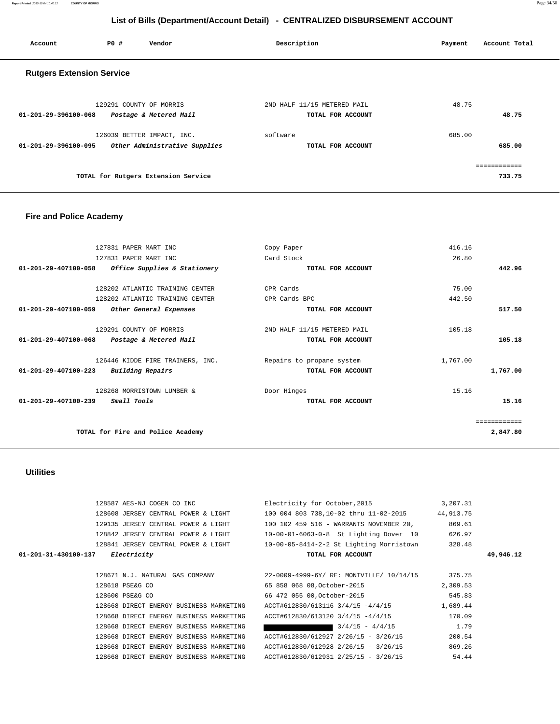**Report Printed** 2015-12-04 10:40:12 **COUNTY OF MORRIS** Page 34/50

# **List of Bills (Department/Account Detail) - CENTRALIZED DISBURSEMENT ACCOUNT**

| Account                          | PO# | Vendor                                                      | Description                 |                   | Payment | Account Total          |
|----------------------------------|-----|-------------------------------------------------------------|-----------------------------|-------------------|---------|------------------------|
| <b>Rutgers Extension Service</b> |     |                                                             |                             |                   |         |                        |
| $01 - 201 - 29 - 396100 - 068$   |     | 129291 COUNTY OF MORRIS<br>Postage & Metered Mail           | 2ND HALF 11/15 METERED MAIL | TOTAL FOR ACCOUNT | 48.75   | 48.75                  |
| 01-201-29-396100-095             |     | 126039 BETTER IMPACT, INC.<br>Other Administrative Supplies | software                    | TOTAL FOR ACCOUNT | 685.00  | 685.00                 |
|                                  |     | TOTAL for Rutgers Extension Service                         |                             |                   |         | ============<br>733.75 |

# **Fire and Police Academy**

|                                | 127831 PAPER MART INC             | Copy Paper                  | 416.16       |
|--------------------------------|-----------------------------------|-----------------------------|--------------|
|                                | 127831 PAPER MART INC             | Card Stock                  | 26.80        |
| 01-201-29-407100-058           | Office Supplies & Stationery      | TOTAL FOR ACCOUNT           | 442.96       |
|                                | 128202 ATLANTIC TRAINING CENTER   | CPR Cards                   | 75.00        |
|                                | 128202 ATLANTIC TRAINING CENTER   | CPR Cards-BPC               | 442.50       |
| 01-201-29-407100-059           | Other General Expenses            | TOTAL FOR ACCOUNT           | 517.50       |
|                                | 129291 COUNTY OF MORRIS           | 2ND HALF 11/15 METERED MAIL | 105.18       |
| 01-201-29-407100-068           | Postage & Metered Mail            | TOTAL FOR ACCOUNT           | 105.18       |
|                                | 126446 KIDDE FIRE TRAINERS, INC.  | Repairs to propane system   | 1,767.00     |
| $01 - 201 - 29 - 407100 - 223$ | Building Repairs                  | TOTAL FOR ACCOUNT           | 1,767.00     |
|                                | 128268 MORRISTOWN LUMBER &        | Door Hinges                 | 15.16        |
| $01 - 201 - 29 - 407100 - 239$ | <i>Small Tools</i>                | TOTAL FOR ACCOUNT           | 15.16        |
|                                |                                   |                             | ============ |
|                                | TOTAL for Fire and Police Academy |                             | 2,847.80     |
|                                |                                   |                             |              |

 **Utilities** 

|                      | 128587 AES-NJ COGEN CO INC              | Electricity for October, 2015            | 3,207.31  |           |
|----------------------|-----------------------------------------|------------------------------------------|-----------|-----------|
|                      | 128608 JERSEY CENTRAL POWER & LIGHT     | 100 004 803 738,10-02 thru 11-02-2015    | 44,913.75 |           |
|                      | 129135 JERSEY CENTRAL POWER & LIGHT     | 100 102 459 516 - WARRANTS NOVEMBER 20,  | 869.61    |           |
|                      | 128842 JERSEY CENTRAL POWER & LIGHT     | 10-00-01-6063-0-8 St Lighting Dover 10   | 626.97    |           |
|                      | 128841 JERSEY CENTRAL POWER & LIGHT     | 10-00-05-8414-2-2 St Lighting Morristown | 328.48    |           |
| 01-201-31-430100-137 | Electricity                             | TOTAL FOR ACCOUNT                        |           | 49,946.12 |
|                      |                                         |                                          |           |           |
|                      | 128671 N.J. NATURAL GAS COMPANY         | 22-0009-4999-6Y/ RE: MONTVILLE/ 10/14/15 | 375.75    |           |
|                      | 128618 PSE&G CO                         | 65 858 068 08, October-2015              | 2,309.53  |           |
|                      | 128600 PSE&G CO                         | 66 472 055 00, October-2015              | 545.83    |           |
|                      | 128668 DIRECT ENERGY BUSINESS MARKETING | ACCT#612830/613116 3/4/15 -4/4/15        | 1,689.44  |           |
|                      | 128668 DIRECT ENERGY BUSINESS MARKETING | ACCT#612830/613120 3/4/15 -4/4/15        | 170.09    |           |
|                      | 128668 DIRECT ENERGY BUSINESS MARKETING | $3/4/15 - 4/4/15$                        | 1.79      |           |
|                      | 128668 DIRECT ENERGY BUSINESS MARKETING | ACCT#612830/612927 2/26/15 - 3/26/15     | 200.54    |           |
|                      | 128668 DIRECT ENERGY BUSINESS MARKETING | ACCT#612830/612928 2/26/15 - 3/26/15     | 869.26    |           |
|                      | 128668 DIRECT ENERGY BUSINESS MARKETING | ACCT#612830/612931 2/25/15 - 3/26/15     | 54.44     |           |
|                      |                                         |                                          |           |           |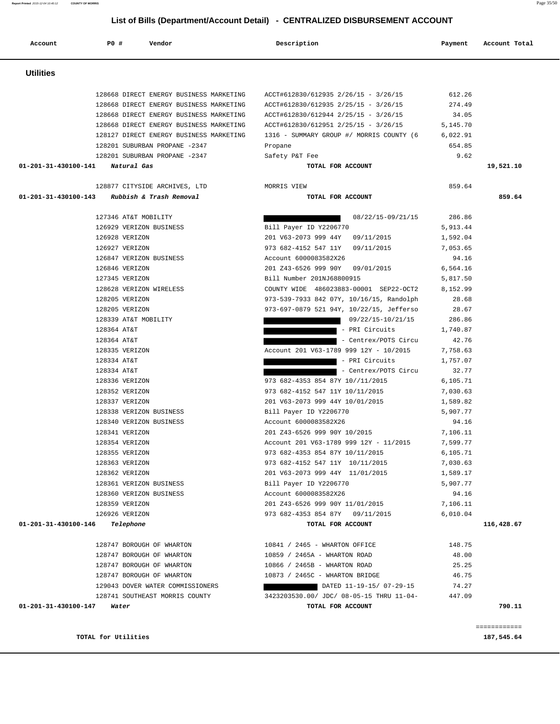#### **TOTAL for Utilities 187,545.64**

| 187,545.64 |  |  |
|------------|--|--|

| <b>Utilities</b>                             |                                          |          |            |
|----------------------------------------------|------------------------------------------|----------|------------|
| 128668 DIRECT ENERGY BUSINESS MARKETING      | ACCT#612830/612935 2/26/15 - 3/26/15     | 612.26   |            |
| 128668 DIRECT ENERGY BUSINESS MARKETING      | ACCT#612830/612935 2/25/15 - 3/26/15     | 274.49   |            |
| 128668 DIRECT ENERGY BUSINESS MARKETING      | ACCT#612830/612944 2/25/15 - 3/26/15     | 34.05    |            |
| 128668 DIRECT ENERGY BUSINESS MARKETING      | ACCT#612830/612951 2/25/15 - 3/26/15     | 5,145.70 |            |
| 128127 DIRECT ENERGY BUSINESS MARKETING      | 1316 - SUMMARY GROUP #/ MORRIS COUNTY (6 | 6,022.91 |            |
| 128201 SUBURBAN PROPANE -2347                | Propane                                  | 654.85   |            |
| 128201 SUBURBAN PROPANE -2347                | Safety P&T Fee                           | 9.62     |            |
| 01-201-31-430100-141 Natural Gas             | TOTAL FOR ACCOUNT                        |          | 19,521.10  |
| 128877 CITYSIDE ARCHIVES, LTD                | MORRIS VIEW                              | 859.64   |            |
| 01-201-31-430100-143 Rubbish & Trash Removal | TOTAL FOR ACCOUNT                        |          | 859.64     |
| 127346 AT&T MOBILITY                         | 08/22/15-09/21/15                        | 286.86   |            |
| 126929 VERIZON BUSINESS                      | Bill Payer ID Y2206770                   | 5,913.44 |            |
| 126928 VERIZON                               | 201 V63-2073 999 44Y 09/11/2015          | 1,592.04 |            |
| 126927 VERIZON                               | 973 682-4152 547 11Y 09/11/2015          | 7,053.65 |            |
| 126847 VERIZON BUSINESS                      | Account 6000083582X26                    | 94.16    |            |
| 126846 VERIZON                               | 201 Z43-6526 999 90Y 09/01/2015          | 6,564.16 |            |
| 127345 VERIZON                               | Bill Number 201NJ68800915                | 5,817.50 |            |
| 128628 VERIZON WIRELESS                      | COUNTY WIDE 486023883-00001 SEP22-OCT2   | 8,152.99 |            |
| 128205 VERIZON                               | 973-539-7933 842 07Y, 10/16/15, Randolph | 28.68    |            |
| 128205 VERIZON                               | 973-697-0879 521 94Y, 10/22/15, Jefferso | 28.67    |            |
| 128339 AT&T MOBILITY                         | 09/22/15-10/21/15                        | 286.86   |            |
| 128364 AT&T                                  | - PRI Circuits                           | 1,740.87 |            |
| 128364 AT&T                                  | - Centrex/POTS Circu                     | 42.76    |            |
| 128335 VERIZON                               | Account 201 V63-1789 999 12Y - 10/2015   | 7,758.63 |            |
| 128334 AT&T                                  | - PRI Circuits                           | 1,757.07 |            |
| 128334 AT&T                                  | - Centrex/POTS Circu                     | 32.77    |            |
| 128336 VERIZON                               | 973 682-4353 854 87Y 10//11/2015         | 6,105.71 |            |
| 128352 VERIZON                               | 973 682-4152 547 11Y 10/11/2015          | 7,030.63 |            |
| 128337 VERIZON                               | 201 V63-2073 999 44Y 10/01/2015          | 1,589.82 |            |
| 128338 VERIZON BUSINESS                      | Bill Payer ID Y2206770                   | 5,907.77 |            |
| 128340 VERIZON BUSINESS                      | Account 6000083582X26                    | 94.16    |            |
| 128341 VERIZON                               | 201 Z43-6526 999 90Y 10/2015             | 7,106.11 |            |
| 128354 VERIZON                               | Account 201 V63-1789 999 12Y - 11/2015   | 7,599.77 |            |
| 128355 VERIZON                               | 973 682-4353 854 87Y 10/11/2015          | 6,105.71 |            |
| 128363 VERIZON                               | 973 682-4152 547 11Y 10/11/2015          | 7,030.63 |            |
| 128362 VERIZON                               | 201 V63-2073 999 44Y 11/01/2015          | 1,589.17 |            |
| 128361 VERIZON BUSINESS                      | Bill Payer ID Y2206770                   | 5,907.77 |            |
| 128360 VERIZON BUSINESS                      | Account 6000083582X26                    | 94.16    |            |
| 128359 VERIZON                               | 201 Z43-6526 999 90Y 11/01/2015          | 7,106.11 |            |
| 126926 VERIZON                               | 973 682-4353 854 87Y 09/11/2015          | 6,010.04 |            |
| 01-201-31-430100-146 Telephone               | TOTAL FOR ACCOUNT                        |          | 116,428.67 |
| 128747 BOROUGH OF WHARTON                    | 10841 / 2465 - WHARTON OFFICE            | 148.75   |            |
| 128747 BOROUGH OF WHARTON                    | 10859 / 2465A - WHARTON ROAD             | 48.00    |            |
| 128747 BOROUGH OF WHARTON                    | 10866 / 2465B - WHARTON ROAD             | 25.25    |            |
| 128747 BOROUGH OF WHARTON                    | 10873 / 2465C - WHARTON BRIDGE           | 46.75    |            |
| 129043 DOVER WATER COMMISSIONERS             | DATED 11-19-15/07-29-15                  | 74.27    |            |
| 128741 SOUTHEAST MORRIS COUNTY               | 3423203530.00/ JDC/ 08-05-15 THRU 11-04- | 447.09   |            |
| 01-201-31-430100-147<br>Water                | TOTAL FOR ACCOUNT                        |          | 790.11     |

# **List of Bills (Department/Account Detail) - CENTRALIZED DISBURSEMENT ACCOUNT**

Account **PO #** Vendor **Description Description Payment** Account Total

**Report Printed** 2015-12-04 10:40:12 **COUNTY OF MORRIS** Page 35/50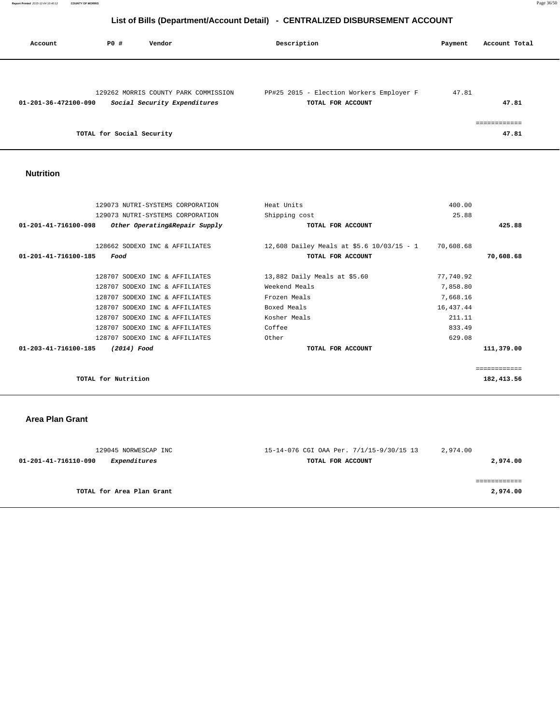| Account              | PO#                       | Vendor                                                               | Description                                                   | Payment | Account Total |
|----------------------|---------------------------|----------------------------------------------------------------------|---------------------------------------------------------------|---------|---------------|
| 01-201-36-472100-090 |                           | 129262 MORRIS COUNTY PARK COMMISSION<br>Social Security Expenditures | PP#25 2015 - Election Workers Employer F<br>TOTAL FOR ACCOUNT | 47.81   | 47.81         |
|                      | TOTAL for Social Security |                                                                      |                                                               |         | 47.81         |

 **Nutrition** 

| 129073 NUTRI-SYSTEMS CORPORATION<br>Shipping cost<br>25.88<br>425.88<br>$01 - 201 - 41 - 716100 - 098$<br>Other Operating&Repair Supply<br>TOTAL FOR ACCOUNT<br>128662 SODEXO INC & AFFILIATES<br>12,608 Dailey Meals at \$5.6 10/03/15 - 1<br>70,608.68<br>70,608.68<br>01-201-41-716100-185<br>TOTAL FOR ACCOUNT<br>Food<br>13,882 Daily Meals at $$5.60$<br>128707 SODEXO INC & AFFILIATES<br>77,740.92<br>Weekend Meals<br>7,858.80<br>128707 SODEXO INC & AFFILIATES<br>Frozen Meals<br>7,668.16<br>128707 SODEXO INC & AFFILIATES<br>Boxed Meals<br>16,437.44<br>128707 SODEXO INC & AFFILIATES<br>211.11<br>128707 SODEXO INC & AFFILIATES<br>Kosher Meals<br>833.49<br>128707 SODEXO INC & AFFILIATES<br>Coffee<br>128707 SODEXO INC & AFFILIATES<br>Other<br>629.08<br>111,379.00<br>01-203-41-716100-185<br>(2014) Food<br>TOTAL FOR ACCOUNT | 129073 NUTRI-SYSTEMS CORPORATION | Heat Units | 400.00 |              |
|--------------------------------------------------------------------------------------------------------------------------------------------------------------------------------------------------------------------------------------------------------------------------------------------------------------------------------------------------------------------------------------------------------------------------------------------------------------------------------------------------------------------------------------------------------------------------------------------------------------------------------------------------------------------------------------------------------------------------------------------------------------------------------------------------------------------------------------------------------|----------------------------------|------------|--------|--------------|
|                                                                                                                                                                                                                                                                                                                                                                                                                                                                                                                                                                                                                                                                                                                                                                                                                                                        |                                  |            |        |              |
|                                                                                                                                                                                                                                                                                                                                                                                                                                                                                                                                                                                                                                                                                                                                                                                                                                                        |                                  |            |        |              |
|                                                                                                                                                                                                                                                                                                                                                                                                                                                                                                                                                                                                                                                                                                                                                                                                                                                        |                                  |            |        |              |
|                                                                                                                                                                                                                                                                                                                                                                                                                                                                                                                                                                                                                                                                                                                                                                                                                                                        |                                  |            |        |              |
|                                                                                                                                                                                                                                                                                                                                                                                                                                                                                                                                                                                                                                                                                                                                                                                                                                                        |                                  |            |        |              |
|                                                                                                                                                                                                                                                                                                                                                                                                                                                                                                                                                                                                                                                                                                                                                                                                                                                        |                                  |            |        |              |
|                                                                                                                                                                                                                                                                                                                                                                                                                                                                                                                                                                                                                                                                                                                                                                                                                                                        |                                  |            |        |              |
|                                                                                                                                                                                                                                                                                                                                                                                                                                                                                                                                                                                                                                                                                                                                                                                                                                                        |                                  |            |        |              |
|                                                                                                                                                                                                                                                                                                                                                                                                                                                                                                                                                                                                                                                                                                                                                                                                                                                        |                                  |            |        |              |
|                                                                                                                                                                                                                                                                                                                                                                                                                                                                                                                                                                                                                                                                                                                                                                                                                                                        |                                  |            |        |              |
|                                                                                                                                                                                                                                                                                                                                                                                                                                                                                                                                                                                                                                                                                                                                                                                                                                                        |                                  |            |        |              |
|                                                                                                                                                                                                                                                                                                                                                                                                                                                                                                                                                                                                                                                                                                                                                                                                                                                        |                                  |            |        |              |
|                                                                                                                                                                                                                                                                                                                                                                                                                                                                                                                                                                                                                                                                                                                                                                                                                                                        |                                  |            |        |              |
|                                                                                                                                                                                                                                                                                                                                                                                                                                                                                                                                                                                                                                                                                                                                                                                                                                                        |                                  |            |        | ============ |
| TOTAL for Nutrition<br>182,413.56                                                                                                                                                                                                                                                                                                                                                                                                                                                                                                                                                                                                                                                                                                                                                                                                                      |                                  |            |        |              |
|                                                                                                                                                                                                                                                                                                                                                                                                                                                                                                                                                                                                                                                                                                                                                                                                                                                        |                                  |            |        |              |

 **Area Plan Grant** 

| 129045 NORWESCAP INC                        | 15-14-076 CGI OAA Per. 7/1/15-9/30/15 13 | 2,974.00 |
|---------------------------------------------|------------------------------------------|----------|
| <i>Expenditures</i><br>01-201-41-716110-090 | TOTAL FOR ACCOUNT                        | 2,974.00 |
|                                             |                                          |          |
|                                             |                                          |          |
| TOTAL for Area Plan Grant                   |                                          | 2,974.00 |
|                                             |                                          |          |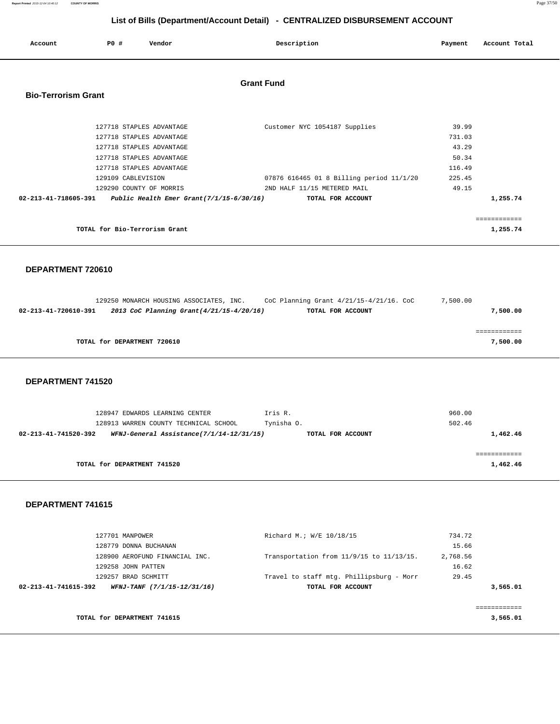**Report Printed** 2015-12-04 10:40:12 **COUNTY OF MORRIS** Page 37/50

# **List of Bills (Department/Account Detail) - CENTRALIZED DISBURSEMENT ACCOUNT**

| Account                    | PO#                | Vendor                                                                                                                                   | Description                                                                                  | Payment                                     | Account Total            |
|----------------------------|--------------------|------------------------------------------------------------------------------------------------------------------------------------------|----------------------------------------------------------------------------------------------|---------------------------------------------|--------------------------|
| <b>Bio-Terrorism Grant</b> |                    |                                                                                                                                          | <b>Grant Fund</b>                                                                            |                                             |                          |
|                            |                    | 127718 STAPLES ADVANTAGE<br>127718 STAPLES ADVANTAGE<br>127718 STAPLES ADVANTAGE<br>127718 STAPLES ADVANTAGE<br>127718 STAPLES ADVANTAGE | Customer NYC 1054187 Supplies                                                                | 39.99<br>731.03<br>43.29<br>50.34<br>116.49 |                          |
|                            | 129109 CABLEVISION | 129290 COUNTY OF MORRIS<br>02-213-41-718605-391 Public Health Emer Grant(7/1/15-6/30/16)                                                 | 07876 616465 01 8 Billing period 11/1/20<br>2ND HALF 11/15 METERED MAIL<br>TOTAL FOR ACCOUNT | 225.45<br>49.15                             | 1,255.74                 |
|                            |                    | TOTAL for Bio-Terrorism Grant                                                                                                            |                                                                                              |                                             | ------------<br>1,255.74 |

### **DEPARTMENT 720610**

|                      | 129250 MONARCH HOUSING ASSOCIATES, INC. |                                          | CoC Planning Grant $4/21/15-4/21/16$ . CoC | 7,500.00 |          |
|----------------------|-----------------------------------------|------------------------------------------|--------------------------------------------|----------|----------|
| 02-213-41-720610-391 |                                         | 2013 CoC Planning Grant(4/21/15-4/20/16) | TOTAL FOR ACCOUNT                          |          | 7,500.00 |
|                      |                                         |                                          |                                            |          |          |
|                      |                                         |                                          |                                            |          |          |
|                      | TOTAL for DEPARTMENT 720610             |                                          |                                            |          | 7,500.00 |
|                      |                                         |                                          |                                            |          |          |

#### **DEPARTMENT 741520**

| 128947 EDWARDS LEARNING CENTER                                   | Iris R.           | 960.00   |
|------------------------------------------------------------------|-------------------|----------|
| 128913 WARREN COUNTY TECHNICAL SCHOOL                            | Tynisha 0.        | 502.46   |
| WFNJ-General Assistance(7/1/14-12/31/15)<br>02-213-41-741520-392 | TOTAL FOR ACCOUNT | 1,462.46 |
|                                                                  |                   |          |
|                                                                  |                   |          |
| TOTAL for DEPARTMENT 741520                                      |                   | 1,462.46 |

|                      | 127701 MANPOWER                | Richard M.; W/E 10/18/15                 | 734.72   |          |
|----------------------|--------------------------------|------------------------------------------|----------|----------|
|                      | 128779 DONNA BUCHANAN          |                                          | 15.66    |          |
|                      | 128900 AEROFUND FINANCIAL INC. | Transportation from 11/9/15 to 11/13/15. | 2,768.56 |          |
|                      | 129258 JOHN PATTEN             |                                          | 16.62    |          |
|                      | 129257 BRAD SCHMITT            | Travel to staff mtg. Phillipsburg - Morr | 29.45    |          |
| 02-213-41-741615-392 | WFNJ-TANF (7/1/15-12/31/16)    | TOTAL FOR ACCOUNT                        |          | 3,565.01 |
|                      |                                |                                          |          |          |
|                      |                                |                                          |          |          |
|                      | TOTAL for DEPARTMENT 741615    |                                          |          | 3,565.01 |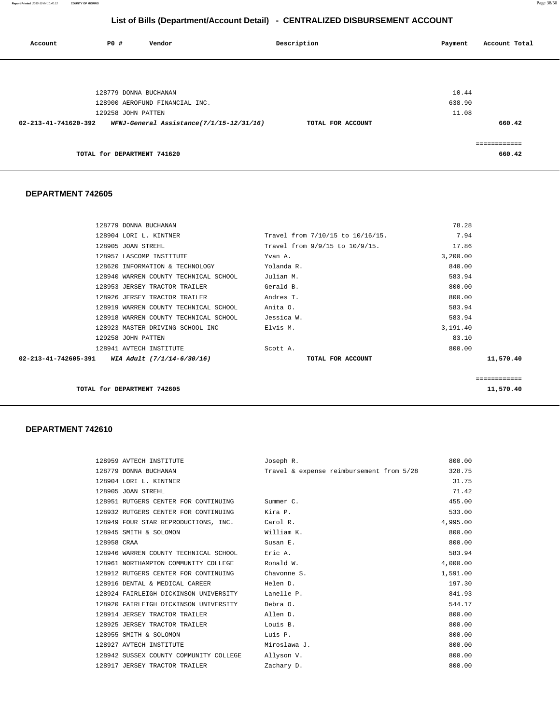**Report Printed** 2015-12-04 10:40:12 **COUNTY OF MORRIS** Page 38/50

# **List of Bills (Department/Account Detail) - CENTRALIZED DISBURSEMENT ACCOUNT**

| Account              | PO#                         | Vendor                                   | Description       | Payment | Account Total |
|----------------------|-----------------------------|------------------------------------------|-------------------|---------|---------------|
|                      |                             |                                          |                   |         |               |
|                      | 128779 DONNA BUCHANAN       |                                          |                   | 10.44   |               |
|                      |                             | 128900 AEROFUND FINANCIAL INC.           |                   | 638.90  |               |
|                      | 129258 JOHN PATTEN          |                                          |                   | 11.08   |               |
| 02-213-41-741620-392 |                             | WFNJ-General Assistance(7/1/15-12/31/16) | TOTAL FOR ACCOUNT |         | 660.42        |
|                      |                             |                                          |                   |         |               |
|                      | TOTAL for DEPARTMENT 741620 |                                          |                   |         | 660.42        |
|                      |                             |                                          |                   |         |               |

#### **DEPARTMENT 742605**

|                      | 128779 DONNA BUCHANAN                 |                                  | 78.28    |              |
|----------------------|---------------------------------------|----------------------------------|----------|--------------|
|                      | 128904 LORI L. KINTNER                | Travel from 7/10/15 to 10/16/15. | 7.94     |              |
| 128905 JOAN STREHL   |                                       | Travel from 9/9/15 to 10/9/15.   | 17.86    |              |
|                      | 128957 LASCOMP INSTITUTE              | Yvan A.                          | 3,200.00 |              |
|                      | 128620 INFORMATION & TECHNOLOGY       | Yolanda R.                       | 840.00   |              |
|                      | 128940 WARREN COUNTY TECHNICAL SCHOOL | Julian M.                        | 583.94   |              |
|                      | 128953 JERSEY TRACTOR TRAILER         | Gerald B.                        | 800.00   |              |
|                      | 128926 JERSEY TRACTOR TRAILER         | Andres T.                        | 800.00   |              |
|                      | 128919 WARREN COUNTY TECHNICAL SCHOOL | Anita O.                         | 583.94   |              |
|                      | 128918 WARREN COUNTY TECHNICAL SCHOOL | Jessica W.                       | 583.94   |              |
|                      | 128923 MASTER DRIVING SCHOOL INC      | Elvis M.                         | 3,191.40 |              |
| 129258 JOHN PATTEN   |                                       |                                  | 83.10    |              |
|                      | 128941 AVTECH INSTITUTE               | Scott A.                         | 800.00   |              |
| 02-213-41-742605-391 | WIA Adult (7/1/14-6/30/16)            | TOTAL FOR ACCOUNT                |          | 11,570.40    |
|                      |                                       |                                  |          |              |
|                      |                                       |                                  |          | ============ |

**TOTAL for DEPARTMENT 742605** 11,570.40

| 128959 AVTECH INSTITUTE                          | Joseph R.                                | 800.00   |
|--------------------------------------------------|------------------------------------------|----------|
| 128779 DONNA BUCHANAN                            | Travel & expense reimbursement from 5/28 | 328.75   |
| 128904 LORI L. KINTNER                           |                                          | 31.75    |
| 128905 JOAN STREHL                               |                                          | 71.42    |
| 128951 RUTGERS CENTER FOR CONTINUING             | Summer C.                                | 455.00   |
| 128932 RUTGERS CENTER FOR CONTINUING Kira P.     |                                          | 533.00   |
| 128949 FOUR STAR REPRODUCTIONS, INC. Carol R.    |                                          | 4,995.00 |
| 128945 SMITH & SOLOMON                           | William K.                               | 800.00   |
| 128958 CRAA                                      | Susan E.                                 | 800.00   |
| 128946 WARREN COUNTY TECHNICAL SCHOOL            | Eric A.                                  | 583.94   |
| 128961 NORTHAMPTON COMMUNITY COLLEGE Ronald W.   |                                          | 4,000.00 |
| 128912 RUTGERS CENTER FOR CONTINUING             | Chavonne S.                              | 1,591.00 |
| 128916 DENTAL & MEDICAL CAREER                   | Helen D.                                 | 197.30   |
| 128924 FAIRLEIGH DICKINSON UNIVERSITY Lanelle P. |                                          | 841.93   |
| 128920 FAIRLEIGH DICKINSON UNIVERSITY Debra O.   |                                          | 544.17   |
| 128914 JERSEY TRACTOR TRAILER<br>Allen D.        |                                          | 800.00   |
| 128925 JERSEY TRACTOR TRAILER                    | Louis B.                                 | 800.00   |
| 128955 SMITH & SOLOMON                           | Luis P.                                  | 800.00   |
| 128927 AVTECH INSTITUTE                          | Miroslawa J.                             | 800.00   |
| 128942 SUSSEX COUNTY COMMUNITY COLLEGE           | Allyson V.                               | 800.00   |
| 128917 JERSEY TRACTOR TRAILER                    | Zachary D.                               | 800.00   |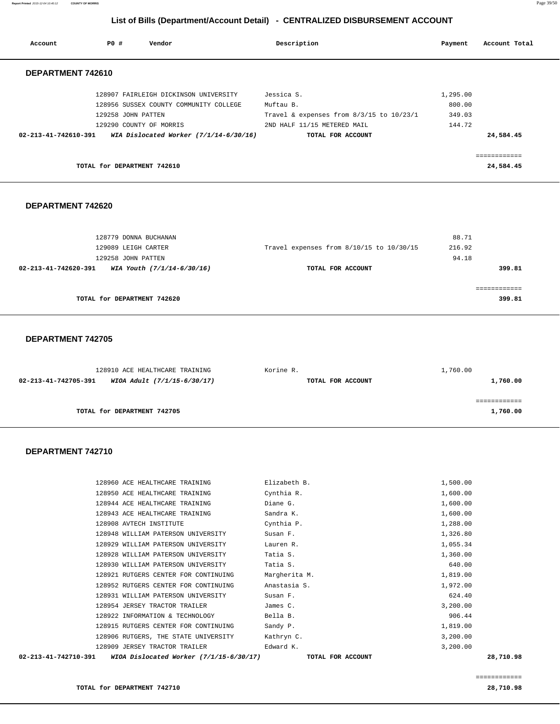**Report Printed** 2015-12-04 10:40:12 **COUNTY OF MORRIS** Page 39/50

# **List of Bills (Department/Account Detail) - CENTRALIZED DISBURSEMENT ACCOUNT**

| Account              | PO# | Vendor                                   | Description                                  | Payment  | Account Total |
|----------------------|-----|------------------------------------------|----------------------------------------------|----------|---------------|
| DEPARTMENT 742610    |     |                                          |                                              |          |               |
|                      |     | 128907 FAIRLEIGH DICKINSON UNIVERSITY    | Jessica S.                                   | 1,295.00 |               |
|                      |     | 128956 SUSSEX COUNTY COMMUNITY COLLEGE   | Muftau B.                                    | 800.00   |               |
|                      |     | 129258 JOHN PATTEN                       | Travel & expenses from $8/3/15$ to $10/23/1$ | 349.03   |               |
|                      |     | 129290 COUNTY OF MORRIS                  | 2ND HALF 11/15 METERED MAIL                  | 144.72   |               |
| 02-213-41-742610-391 |     | WIA Dislocated Worker $(7/1/14-6/30/16)$ | TOTAL FOR ACCOUNT                            |          | 24,584.45     |
|                      |     |                                          |                                              |          |               |
|                      |     | TOTAL for DEPARTMENT 742610              |                                              |          | 24,584.45     |

### **DEPARTMENT 742620**

| 128779 DONNA BUCHANAN                              |                                          | 88.71  |
|----------------------------------------------------|------------------------------------------|--------|
| 129089 LEIGH CARTER                                | Travel expenses from 8/10/15 to 10/30/15 | 216.92 |
| 129258 JOHN PATTEN                                 |                                          | 94.18  |
| WIA Youth (7/1/14-6/30/16)<br>02-213-41-742620-391 | TOTAL FOR ACCOUNT                        | 399.81 |
|                                                    |                                          |        |
|                                                    |                                          |        |
| TOTAL for DEPARTMENT 742620                        |                                          | 399.81 |
|                                                    |                                          |        |

#### **DEPARTMENT 742705**

| 128910 ACE HEALTHCARE TRAINING                      | Korine R.         | 1,760.00 |
|-----------------------------------------------------|-------------------|----------|
| WIOA Adult (7/1/15-6/30/17)<br>02-213-41-742705-391 | TOTAL FOR ACCOUNT | 1,760.00 |
|                                                     |                   |          |
|                                                     |                   |          |
| TOTAL for DEPARTMENT 742705                         |                   | 1,760.00 |

| 02-213-41-742710-391<br>WIOA Dislocated Worker $(7/1/15-6/30/17)$ | TOTAL FOR ACCOUNT | 28,710.98 |
|-------------------------------------------------------------------|-------------------|-----------|
| 128909 JERSEY TRACTOR TRAILER                                     | Edward K.         | 3,200.00  |
| 128906 RUTGERS, THE STATE UNIVERSITY                              | Kathryn C.        | 3,200.00  |
| 128915 RUTGERS CENTER FOR CONTINUING                              | Sandy P.          | 1,819.00  |
| 128922 INFORMATION & TECHNOLOGY                                   | Bella B.          | 906.44    |
| 128954 JERSEY TRACTOR TRAILER                                     | James C.          | 3,200.00  |
| 128931 WILLIAM PATERSON UNIVERSITY                                | Susan F.          | 624.40    |
| 128952 RUTGERS CENTER FOR CONTINUING                              | Anastasia S.      | 1,972.00  |
| 128921 RUTGERS CENTER FOR CONTINUING                              | Margherita M.     | 1,819.00  |
| 128930 WILLIAM PATERSON UNIVERSITY                                | Tatia S.          | 640.00    |
| 128928 WILLIAM PATERSON UNIVERSITY                                | Tatia S.          | 1,360.00  |
| 128929 WILLIAM PATERSON UNIVERSITY                                | Lauren R.         | 1,055.34  |
| 128948 WILLIAM PATERSON UNIVERSITY                                | Susan F.          | 1,326.80  |
| 128908 AVTECH INSTITUTE                                           | Cynthia P.        | 1,288.00  |
| 128943 ACE HEALTHCARE TRAINING                                    | Sandra K.         | 1,600.00  |
| 128944 ACE HEALTHCARE TRAINING                                    | Diane G.          | 1,600.00  |
| 128950 ACE HEALTHCARE TRAINING                                    | Cynthia R.        | 1,600.00  |
| 128960 ACE HEALTHCARE TRAINING                                    | Elizabeth B.      | 1,500.00  |
|                                                                   |                   |           |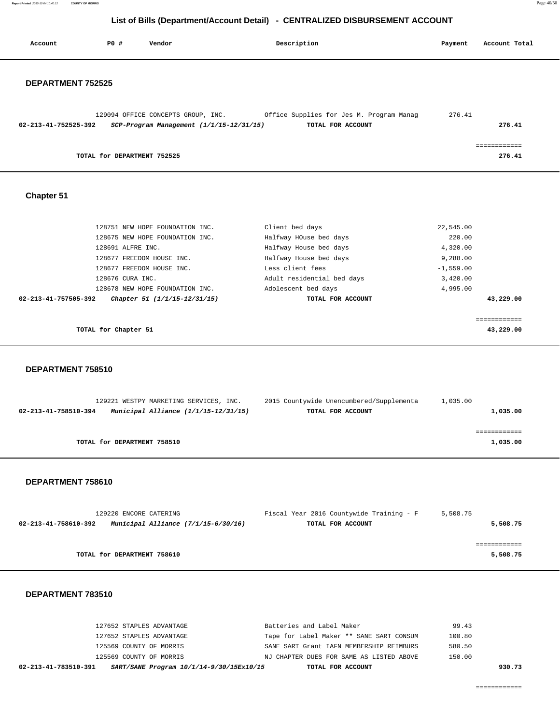**Report Printed** 2015-12-04 10:40:12 **COUNTY OF MORRIS** Page 40/50

# **List of Bills (Department/Account Detail) - CENTRALIZED DISBURSEMENT ACCOUNT**

| Account                        | P0 #                        | Vendor                                                                             | Description                                                   | Payment     | Account Total             |
|--------------------------------|-----------------------------|------------------------------------------------------------------------------------|---------------------------------------------------------------|-------------|---------------------------|
| <b>DEPARTMENT 752525</b>       |                             |                                                                                    |                                                               |             |                           |
| 02-213-41-752525-392           |                             | 129094 OFFICE CONCEPTS GROUP, INC.<br>$SCP-Program$ Management $(1/1/15-12/31/15)$ | Office Supplies for Jes M. Program Manag<br>TOTAL FOR ACCOUNT | 276.41      | 276.41                    |
|                                | TOTAL for DEPARTMENT 752525 |                                                                                    |                                                               |             | ============<br>276.41    |
| Chapter 51                     |                             |                                                                                    |                                                               |             |                           |
|                                |                             | 128751 NEW HOPE FOUNDATION INC.                                                    | Client bed days                                               | 22,545.00   |                           |
|                                |                             | 128675 NEW HOPE FOUNDATION INC.                                                    | Halfway HOuse bed days                                        | 220.00      |                           |
|                                | 128691 ALFRE INC.           |                                                                                    | Halfway House bed days                                        | 4,320.00    |                           |
|                                |                             | 128677 FREEDOM HOUSE INC.                                                          | Halfway House bed days                                        | 9,288.00    |                           |
|                                |                             | 128677 FREEDOM HOUSE INC.                                                          | Less client fees                                              | $-1,559.00$ |                           |
|                                | 128676 CURA INC.            |                                                                                    | Adult residential bed days                                    | 3,420.00    |                           |
|                                |                             | 128678 NEW HOPE FOUNDATION INC.                                                    | Adolescent bed days                                           | 4,995.00    |                           |
| $02 - 213 - 41 - 757505 - 392$ |                             | Chapter 51 (1/1/15-12/31/15)                                                       | TOTAL FOR ACCOUNT                                             |             | 43,229.00                 |
|                                | TOTAL for Chapter 51        |                                                                                    |                                                               |             | ============<br>43,229.00 |
| DEPARTMENT 758510              |                             |                                                                                    |                                                               |             |                           |

|                      | 129221 WESTPY MARKETING SERVICES, INC. |  |  | 2015 Countywide Unencumbered/Supplementa | 1,035.00 |          |
|----------------------|----------------------------------------|--|--|------------------------------------------|----------|----------|
| 02-213-41-758510-394 | Municipal Alliance $(1/1/15-12/31/15)$ |  |  | TOTAL FOR ACCOUNT                        |          | 1,035.00 |
|                      |                                        |  |  |                                          |          |          |
|                      |                                        |  |  |                                          |          |          |
|                      | TOTAL for DEPARTMENT 758510            |  |  |                                          |          | 1,035.00 |

#### **DEPARTMENT 758610**

| 129220 ENCORE CATERING                                        | Fiscal Year 2016 Countywide Training - F | 5,508.75 |
|---------------------------------------------------------------|------------------------------------------|----------|
| Municipal Alliance $(7/1/15-6/30/16)$<br>02-213-41-758610-392 | TOTAL FOR ACCOUNT                        | 5,508.75 |
|                                                               |                                          |          |
|                                                               |                                          |          |
| TOTAL for DEPARTMENT 758610                                   |                                          | 5,508.75 |

| SART/SANE Program 10/1/14-9/30/15Ex10/15<br>02-213-41-783510-391<br>TOTAL FOR ACCOUNT | 930.73 |
|---------------------------------------------------------------------------------------|--------|
| 125569 COUNTY OF MORRIS<br>NJ CHAPTER DUES FOR SAME AS LISTED ABOVE                   | 150.00 |
| 125569 COUNTY OF MORRIS<br>SANE SART Grant IAFN MEMBERSHIP REIMBURS                   | 580.50 |
| Tape for Label Maker ** SANE SART CONSUM<br>127652 STAPLES ADVANTAGE                  | 100.80 |
| Batteries and Label Maker<br>127652 STAPLES ADVANTAGE                                 | 99.43  |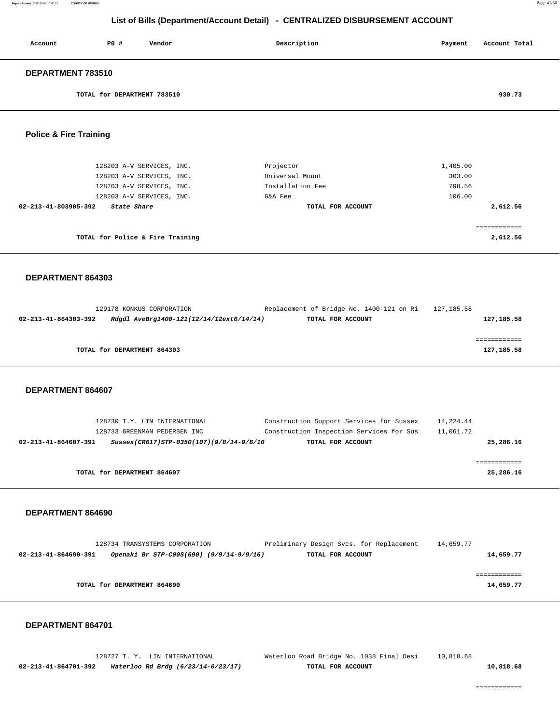| Account           | PO#                         | Vendor | Description | Payment | Account Total |
|-------------------|-----------------------------|--------|-------------|---------|---------------|
| DEPARTMENT 783510 |                             |        |             |         |               |
|                   | TOTAL for DEPARTMENT 783510 |        |             |         | 930.73        |

 **Police & Fire Training** 

| 128203 A-V SERVICES, INC.<br>128203 A-V SERVICES, INC. | Projector<br>Universal Mount | 1,405.00<br>303.00 |
|--------------------------------------------------------|------------------------------|--------------------|
| 128203 A-V SERVICES, INC.                              | Installation Fee             | 798.56             |
| 128203 A-V SERVICES, INC.                              | G&A Fee                      | 106.00             |
| 02-213-41-803905-392<br>State Share                    | TOTAL FOR ACCOUNT            | 2,612.56           |
| TOTAL for Police & Fire Training                       |                              | 2,612.56           |

#### **DEPARTMENT 864303**

|                      | 129178 KONKUS CORPORATION                | Replacement of Bridge No. 1400-121 on Ri | 127,185.58 |
|----------------------|------------------------------------------|------------------------------------------|------------|
| 02-213-41-864303-392 | Rdgdl AveBrg1400-121(12/14/12ext6/14/14) | TOTAL FOR ACCOUNT                        | 127,185.58 |
|                      |                                          |                                          |            |
|                      |                                          |                                          |            |
|                      | TOTAL for DEPARTMENT 864303              |                                          | 127,185.58 |

#### **DEPARTMENT 864607**

| Construction Support Services for Sussex<br>128730 T.Y. LIN INTERNATIONAL<br>14,224.44                                                                                                      |  |
|---------------------------------------------------------------------------------------------------------------------------------------------------------------------------------------------|--|
| Construction Inspection Services for Sus<br>11,061.72<br>128733 GREENMAN PEDERSEN INC<br>25,286.16<br>02-213-41-864607-391<br>Sussex(CR617)STP-0350(107)(9/8/14-9/8/16<br>TOTAL FOR ACCOUNT |  |
|                                                                                                                                                                                             |  |
| TOTAL for DEPARTMENT 864607<br>25,286.16                                                                                                                                                    |  |

### **DEPARTMENT 864690**

|                      | 128734 TRANSYSTEMS CORPORATION           | Preliminary Design Svcs. for Replacement | 14,659.77 |
|----------------------|------------------------------------------|------------------------------------------|-----------|
| 02-213-41-864690-391 | Openaki Br STP-C00S(690) (9/9/14-9/9/16) | TOTAL FOR ACCOUNT                        | 14,659.77 |
|                      |                                          |                                          |           |
|                      |                                          |                                          |           |
|                      | TOTAL for DEPARTMENT 864690              |                                          | 14,659.77 |
|                      |                                          |                                          |           |

#### **DEPARTMENT 864701**

|                      | 128727 T.Y. LIN INTERNATIONAL      | Waterloo Road Bridge No. 1038 Final Desi | 10,818.68 |           |
|----------------------|------------------------------------|------------------------------------------|-----------|-----------|
| 02-213-41-864701-392 | Waterloo Rd Brdg (6/23/14-6/23/17) | TOTAL FOR ACCOUNT                        |           | 10,818.68 |

============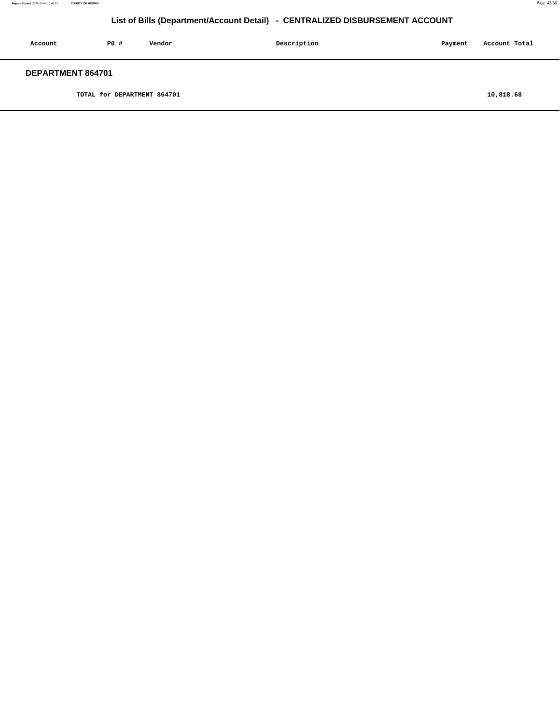| Account                  | PO# | Vendor | Description | Payment | Account Total |
|--------------------------|-----|--------|-------------|---------|---------------|
| <b>DEPARTMENT 864701</b> |     |        |             |         |               |

**TOTAL for DEPARTMENT 864701 10,818.68**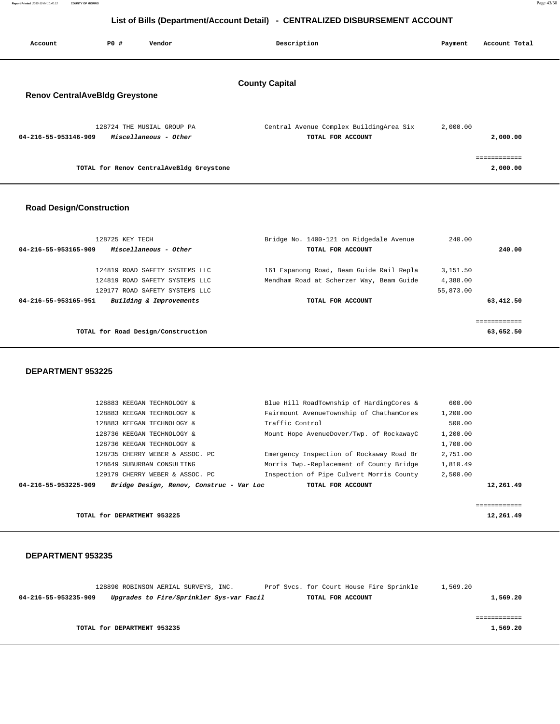| Account                               | PO# | Vendor                                              | Description                                                  | Payment  | Account Total |
|---------------------------------------|-----|-----------------------------------------------------|--------------------------------------------------------------|----------|---------------|
| <b>Renov CentralAveBldg Greystone</b> |     |                                                     | <b>County Capital</b>                                        |          |               |
| 04-216-55-953146-909                  |     | 128724 THE MUSIAL GROUP PA<br>Miscellaneous - Other | Central Avenue Complex BuildingArea Six<br>TOTAL FOR ACCOUNT | 2,000.00 | 2,000.00      |
|                                       |     |                                                     |                                                              |          |               |
|                                       |     | TOTAL for Renov CentralAveBldg Greystone            |                                                              |          | 2,000.00      |

## **Road Design/Construction**

| 128725 KEY TECH<br>Miscellaneous - Other<br>04-216-55-953165-909 | Bridge No. 1400-121 on Ridgedale Avenue<br>TOTAL FOR ACCOUNT                         | 240.00<br>240.00     |
|------------------------------------------------------------------|--------------------------------------------------------------------------------------|----------------------|
| 124819 ROAD SAFETY SYSTEMS LLC<br>124819 ROAD SAFETY SYSTEMS LLC | 161 Espanong Road, Beam Guide Rail Repla<br>Mendham Road at Scherzer Way, Beam Guide | 3,151.50<br>4,388.00 |
| 129177 ROAD SAFETY SYSTEMS LLC                                   |                                                                                      | 55,873.00            |
| 04-216-55-953165-951<br>Building & Improvements                  | TOTAL FOR ACCOUNT                                                                    | 63,412.50            |
| TOTAL for Road Design/Construction                               |                                                                                      | 63,652.50            |
|                                                                  |                                                                                      |                      |

#### **DEPARTMENT 953225**

| 128883 KEEGAN TECHNOLOGY &                                       | Blue Hill RoadTownship of HardingCores & | 600.00      |
|------------------------------------------------------------------|------------------------------------------|-------------|
| 128883 KEEGAN TECHNOLOGY &                                       | Fairmount AvenueTownship of ChathamCores | 1,200.00    |
| 128883 KEEGAN TECHNOLOGY &                                       | Traffic Control                          | 500.00      |
| 128736 KEEGAN TECHNOLOGY &                                       | Mount Hope AvenueDover/Twp. of RockawayC | 1,200.00    |
| 128736 KEEGAN TECHNOLOGY &                                       |                                          | 1,700.00    |
| 128735 CHERRY WEBER & ASSOC. PC                                  | Emergency Inspection of Rockaway Road Br | 2,751.00    |
| 128649 SUBURBAN CONSULTING                                       | Morris Twp.-Replacement of County Bridge | 1,810.49    |
| 129179 CHERRY WEBER & ASSOC. PC                                  | Inspection of Pipe Culvert Morris County | 2.500.00    |
| Bridge Design, Renov, Construc - Var Loc<br>04-216-55-953225-909 | TOTAL FOR ACCOUNT                        | 12,261.49   |
|                                                                  |                                          |             |
|                                                                  |                                          | =========== |
| TOTAL for DEPARTMENT 953225                                      |                                          | 12,261.49   |

|                      |                             | 128890 ROBINSON AERIAL SURVEYS, INC.     |  |                   | Prof Svcs. for Court House Fire Sprinkle | 1,569.20 |          |
|----------------------|-----------------------------|------------------------------------------|--|-------------------|------------------------------------------|----------|----------|
| 04-216-55-953235-909 |                             | Upgrades to Fire/Sprinkler Sys-var Facil |  | TOTAL FOR ACCOUNT |                                          |          | 1,569.20 |
|                      |                             |                                          |  |                   |                                          |          |          |
|                      |                             |                                          |  |                   |                                          |          |          |
|                      |                             |                                          |  |                   |                                          |          |          |
|                      | TOTAL for DEPARTMENT 953235 |                                          |  |                   |                                          |          | 1,569.20 |
|                      |                             |                                          |  |                   |                                          |          |          |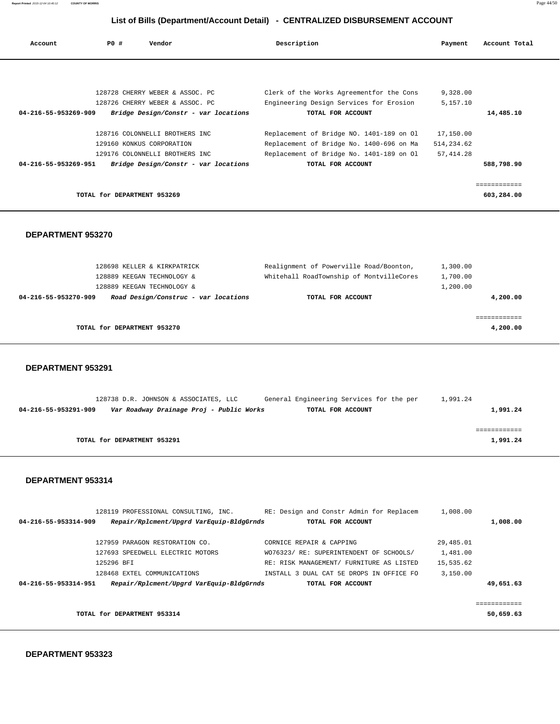| Account              | PO#                         | Vendor                               | Description                              | Payment    | Account Total |
|----------------------|-----------------------------|--------------------------------------|------------------------------------------|------------|---------------|
|                      |                             |                                      |                                          |            |               |
|                      |                             |                                      |                                          |            |               |
|                      |                             | 128728 CHERRY WEBER & ASSOC. PC      | Clerk of the Works Agreementfor the Cons | 9,328.00   |               |
|                      |                             | 128726 CHERRY WEBER & ASSOC. PC      | Engineering Design Services for Erosion  | 5,157.10   |               |
| 04-216-55-953269-909 |                             | Bridge Design/Constr - var locations | TOTAL FOR ACCOUNT                        |            | 14,485.10     |
|                      |                             | 128716 COLONNELLI BROTHERS INC       | Replacement of Bridge NO. 1401-189 on Ol | 17,150.00  |               |
|                      |                             | 129160 KONKUS CORPORATION            | Replacement of Bridge No. 1400-696 on Ma | 514,234.62 |               |
|                      |                             | 129176 COLONNELLI BROTHERS INC       | Replacement of Bridge No. 1401-189 on Ol | 57, 414.28 |               |
| 04-216-55-953269-951 |                             | Bridge Design/Constr - var locations | TOTAL FOR ACCOUNT                        |            | 588,798.90    |
|                      |                             |                                      |                                          |            |               |
|                      | TOTAL for DEPARTMENT 953269 |                                      |                                          |            | 603,284.00    |

#### **DEPARTMENT 953270**

| 128698 KELLER & KIRKPATRICK                                  | Realignment of Powerville Road/Boonton,  | 1,300.00 |
|--------------------------------------------------------------|------------------------------------------|----------|
| 128889 KEEGAN TECHNOLOGY &                                   | Whitehall RoadTownship of MontvilleCores | 1,700.00 |
| 128889 KEEGAN TECHNOLOGY &                                   |                                          | 1,200.00 |
| Road Design/Construc - var locations<br>04-216-55-953270-909 | TOTAL FOR ACCOUNT                        | 4,200.00 |
|                                                              |                                          |          |
|                                                              |                                          |          |
| TOTAL for DEPARTMENT 953270                                  |                                          | 4,200.00 |
|                                                              |                                          |          |

#### **DEPARTMENT 953291**

|                      | 128738 D.R. JOHNSON & ASSOCIATES, LLC    | General Engineering Services for the per | 1,991.24 |          |
|----------------------|------------------------------------------|------------------------------------------|----------|----------|
| 04-216-55-953291-909 | Var Roadway Drainage Proj - Public Works | TOTAL FOR ACCOUNT                        |          | 1,991.24 |
|                      |                                          |                                          |          |          |
|                      |                                          |                                          |          |          |
|                      | TOTAL for DEPARTMENT 953291              |                                          |          | 1,991.24 |
|                      |                                          |                                          |          |          |

#### **DEPARTMENT 953314**

|                      | 128119 PROFESSIONAL CONSULTING, INC.     | RE: Design and Constr Admin for Replacem | 1,008.00  |              |
|----------------------|------------------------------------------|------------------------------------------|-----------|--------------|
| 04-216-55-953314-909 | Repair/Rplcment/Upgrd VarEquip-BldgGrnds | TOTAL FOR ACCOUNT                        |           | 1,008.00     |
|                      |                                          |                                          |           |              |
|                      | 127959 PARAGON RESTORATION CO.           | CORNICE REPAIR & CAPPING                 | 29,485.01 |              |
|                      | 127693 SPEEDWELL ELECTRIC MOTORS         | WO76323/ RE: SUPERINTENDENT OF SCHOOLS/  | 1,481.00  |              |
|                      | 125296 BFT                               | RE: RISK MANAGEMENT/ FURNITURE AS LISTED | 15,535.62 |              |
|                      | 128468 EXTEL COMMUNICATIONS              | INSTALL 3 DUAL CAT 5E DROPS IN OFFICE FO | 3,150.00  |              |
| 04-216-55-953314-951 | Repair/Rplcment/Upgrd VarEquip-BldgGrnds | TOTAL FOR ACCOUNT                        |           | 49,651.63    |
|                      |                                          |                                          |           |              |
|                      |                                          |                                          |           | ============ |
|                      | TOTAL for DEPARTMENT 953314              |                                          |           | 50,659.63    |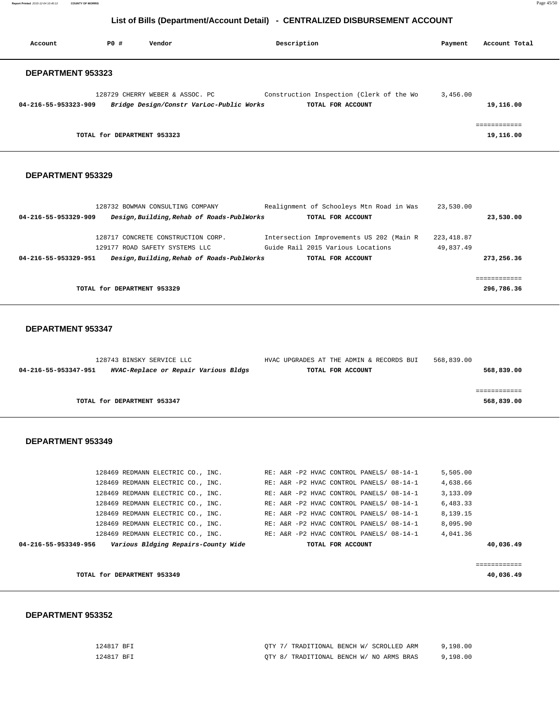**Report Printed** 2015-12-04 10:40:12 **COUNTY OF MORRIS** Page 45/50

# **List of Bills (Department/Account Detail) - CENTRALIZED DISBURSEMENT ACCOUNT**

| Account                  | PO#                         | Vendor                                                                      | Description                                                   | Payment  | Account Total |
|--------------------------|-----------------------------|-----------------------------------------------------------------------------|---------------------------------------------------------------|----------|---------------|
| <b>DEPARTMENT 953323</b> |                             |                                                                             |                                                               |          |               |
| 04-216-55-953323-909     |                             | 128729 CHERRY WEBER & ASSOC. PC<br>Bridge Design/Constr VarLoc-Public Works | Construction Inspection (Clerk of the Wo<br>TOTAL FOR ACCOUNT | 3,456.00 | 19,116.00     |
|                          | TOTAL for DEPARTMENT 953323 |                                                                             |                                                               |          | 19,116.00     |

#### **DEPARTMENT 953329**

|                      | 128732 BOWMAN CONSULTING COMPANY           | Realignment of Schooleys Mtn Road in Was | 23,530.00   |             |
|----------------------|--------------------------------------------|------------------------------------------|-------------|-------------|
| 04-216-55-953329-909 | Design, Building, Rehab of Roads-PublWorks | TOTAL FOR ACCOUNT                        |             | 23,530.00   |
|                      | 128717 CONCRETE CONSTRUCTION CORP.         | Intersection Improvements US 202 (Main R | 223, 418.87 |             |
|                      | 129177 ROAD SAFETY SYSTEMS LLC             | Guide Rail 2015 Various Locations        | 49,837.49   |             |
| 04-216-55-953329-951 | Design, Building, Rehab of Roads-PublWorks | TOTAL FOR ACCOUNT                        |             | 273,256.36  |
|                      |                                            |                                          |             |             |
|                      |                                            |                                          |             | =========== |
|                      | TOTAL for DEPARTMENT 953329                |                                          |             | 296,786.36  |

#### **DEPARTMENT 953347**

| 128743 BINSKY SERVICE LLC                                    | HVAC UPGRADES AT THE ADMIN & RECORDS BUI | 568,839.00 |
|--------------------------------------------------------------|------------------------------------------|------------|
| HVAC-Replace or Repair Various Bldgs<br>04-216-55-953347-951 | TOTAL FOR ACCOUNT                        | 568,839.00 |
|                                                              |                                          |            |
|                                                              |                                          |            |
| TOTAL for DEPARTMENT 953347                                  |                                          | 568,839.00 |

#### **DEPARTMENT 953349**

| 04-216-55-953349-956 |  | Various Bldging Repairs-County Wide |  |  |  | TOTAL FOR ACCOUNT |                                          |          | 40,036.49 |
|----------------------|--|-------------------------------------|--|--|--|-------------------|------------------------------------------|----------|-----------|
|                      |  | 128469 REDMANN ELECTRIC CO., INC.   |  |  |  |                   | RE: A&R -P2 HVAC CONTROL PANELS/ 08-14-1 | 4,041.36 |           |
|                      |  | 128469 REDMANN ELECTRIC CO., INC.   |  |  |  |                   | RE: A&R -P2 HVAC CONTROL PANELS/ 08-14-1 | 8,095.90 |           |
|                      |  | 128469 REDMANN ELECTRIC CO., INC.   |  |  |  |                   | RE: A&R -P2 HVAC CONTROL PANELS/ 08-14-1 | 8,139.15 |           |
|                      |  | 128469 REDMANN ELECTRIC CO., INC.   |  |  |  |                   | RE: A&R -P2 HVAC CONTROL PANELS/ 08-14-1 | 6,483.33 |           |
|                      |  | 128469 REDMANN ELECTRIC CO., INC.   |  |  |  |                   | RE: A&R -P2 HVAC CONTROL PANELS/ 08-14-1 | 3,133.09 |           |
|                      |  | 128469 REDMANN ELECTRIC CO., INC.   |  |  |  |                   | RE: A&R -P2 HVAC CONTROL PANELS/ 08-14-1 | 4,638.66 |           |
|                      |  | 128469 REDMANN ELECTRIC CO., INC.   |  |  |  |                   | RE: A&R -P2 HVAC CONTROL PANELS/ 08-14-1 | 5,505.00 |           |

**TOTAL for DEPARTMENT 953349** 40,036.49

| 124817 BFI | OTY 7/ TRADITIONAL BENCH W/ SCROLLED ARM | 9.198.00 |
|------------|------------------------------------------|----------|
| 124817 BFT | OTY 8/ TRADITIONAL BENCH W/ NO ARMS BRAS | 9,198.00 |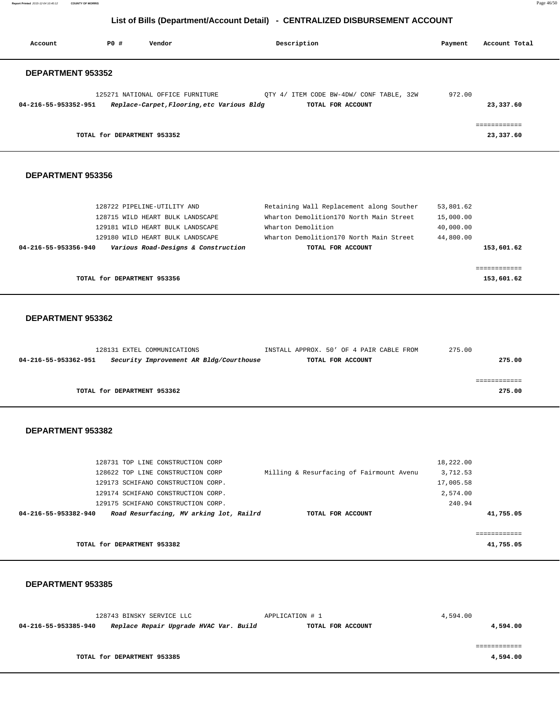**Report Printed** 2015-12-04 10:40:12 **COUNTY OF MORRIS** Page 46/50

# **List of Bills (Department/Account Detail) - CENTRALIZED DISBURSEMENT ACCOUNT**

| Account              | PO#                         | Vendor                           | Description                                |                                                               | Payment | Account Total             |
|----------------------|-----------------------------|----------------------------------|--------------------------------------------|---------------------------------------------------------------|---------|---------------------------|
| DEPARTMENT 953352    |                             |                                  |                                            |                                                               |         |                           |
| 04-216-55-953352-951 |                             | 125271 NATIONAL OFFICE FURNITURE | Replace-Carpet, Flooring, etc Various Bldg | OTY 4/ ITEM CODE BW-4DW/ CONF TABLE, 32W<br>TOTAL FOR ACCOUNT | 972.00  | 23,337.60                 |
|                      | TOTAL for DEPARTMENT 953352 |                                  |                                            |                                                               |         | ============<br>23,337.60 |

#### **DEPARTMENT 953356**

| Various Road-Designs & Construction<br>04-216-55-953356-940 | TOTAL FOR ACCOUNT                        | 153,601.62 |
|-------------------------------------------------------------|------------------------------------------|------------|
| 129180 WILD HEART BULK LANDSCAPE                            | Wharton Demolition170 North Main Street  | 44,800.00  |
| 129181 WILD HEART BULK LANDSCAPE                            | Wharton Demolition                       | 40,000.00  |
| 128715 WILD HEART BULK LANDSCAPE                            | Wharton Demolition170 North Main Street  | 15,000.00  |
| 128722 PIPELINE-UTILITY AND                                 | Retaining Wall Replacement along Souther | 53,801.62  |

#### **DEPARTMENT 953362**

|                      |                             | 128131 EXTEL COMMUNICATIONS |                                         | INSTALL APPROX. 50' OF 4 PAIR CABLE FROM |                   |  | 275.00 |
|----------------------|-----------------------------|-----------------------------|-----------------------------------------|------------------------------------------|-------------------|--|--------|
| 04-216-55-953362-951 |                             |                             | Security Improvement AR Bldg/Courthouse |                                          | TOTAL FOR ACCOUNT |  | 275.00 |
|                      |                             |                             |                                         |                                          |                   |  |        |
|                      |                             |                             |                                         |                                          |                   |  |        |
|                      | TOTAL for DEPARTMENT 953362 |                             |                                         |                                          |                   |  | 275.00 |
|                      |                             |                             |                                         |                                          |                   |  |        |

#### **DEPARTMENT 953382**

|                      | TOTAL for DEPARTMENT 953382 |                                         |  |                                          |           | 41,755.05 |
|----------------------|-----------------------------|-----------------------------------------|--|------------------------------------------|-----------|-----------|
| 04-216-55-953382-940 |                             | Road Resurfacing, MV arking lot, Railrd |  | TOTAL FOR ACCOUNT                        |           | 41,755.05 |
|                      |                             | 129175 SCHIFANO CONSTRUCTION CORP.      |  |                                          | 240.94    |           |
|                      |                             | 129174 SCHIFANO CONSTRUCTION CORP.      |  |                                          | 2,574.00  |           |
|                      |                             | 129173 SCHIFANO CONSTRUCTION CORP.      |  |                                          | 17,005.58 |           |
|                      |                             | 128622 TOP LINE CONSTRUCTION CORP       |  | Milling & Resurfacing of Fairmount Avenu | 3,712.53  |           |
|                      |                             | 128731 TOP LINE CONSTRUCTION CORP       |  |                                          | 18,222.00 |           |

|                      | 128743 BINSKY SERVICE LLC              | APPLICATION # 1   | 4,594.00 |
|----------------------|----------------------------------------|-------------------|----------|
| 04-216-55-953385-940 | Replace Repair Upgrade HVAC Var. Build | TOTAL FOR ACCOUNT | 4,594.00 |
|                      |                                        |                   |          |
|                      |                                        |                   |          |
|                      | TOTAL for DEPARTMENT 953385            |                   | 4,594.00 |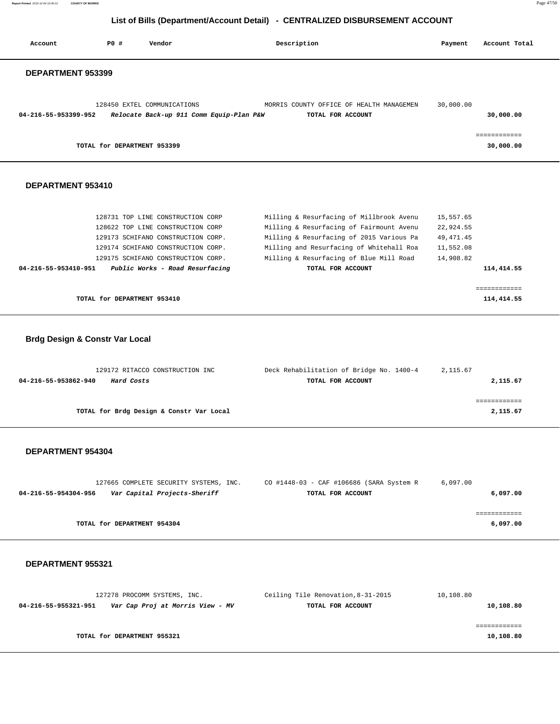**Report Printed** 2015-12-04 10:40:12 **COUNTY OF MORRIS** Page 47/50

# **List of Bills (Department/Account Detail) - CENTRALIZED DISBURSEMENT ACCOUNT**

| Account                                   | PO#                         | Vendor                                                                  | Description                                                   | Payment    | Account Total             |
|-------------------------------------------|-----------------------------|-------------------------------------------------------------------------|---------------------------------------------------------------|------------|---------------------------|
| DEPARTMENT 953399                         |                             |                                                                         |                                                               |            |                           |
| 04-216-55-953399-952                      |                             | 128450 EXTEL COMMUNICATIONS<br>Relocate Back-up 911 Comm Equip-Plan P&W | MORRIS COUNTY OFFICE OF HEALTH MANAGEMEN<br>TOTAL FOR ACCOUNT | 30,000.00  | 30,000.00                 |
|                                           | TOTAL for DEPARTMENT 953399 |                                                                         |                                                               |            | ============<br>30,000.00 |
| DEPARTMENT 953410                         |                             |                                                                         |                                                               |            |                           |
|                                           |                             | 128731 TOP LINE CONSTRUCTION CORP                                       | Milling & Resurfacing of Millbrook Avenu                      | 15,557.65  |                           |
|                                           |                             | 128622 TOP LINE CONSTRUCTION CORP                                       | Milling & Resurfacing of Fairmount Avenu                      | 22,924.55  |                           |
|                                           |                             | 129173 SCHIFANO CONSTRUCTION CORP.                                      | Milling & Resurfacing of 2015 Various Pa                      | 49, 471.45 |                           |
|                                           |                             | 129174 SCHIFANO CONSTRUCTION CORP.                                      | Milling and Resurfacing of Whitehall Roa                      | 11,552.08  |                           |
|                                           |                             | 129175 SCHIFANO CONSTRUCTION CORP.                                      | Milling & Resurfacing of Blue Mill Road                       | 14,908.82  |                           |
| 04-216-55-953410-951                      |                             | Public Works - Road Resurfacing                                         | TOTAL FOR ACCOUNT                                             |            | 114,414.55                |
|                                           |                             |                                                                         |                                                               |            | ============              |
|                                           | TOTAL for DEPARTMENT 953410 |                                                                         |                                                               |            | 114,414.55                |
| <b>Brdg Design &amp; Constr Var Local</b> |                             |                                                                         |                                                               |            |                           |
| 04-216-55-953862-940                      | Hard Costs                  | 129172 RITACCO CONSTRUCTION INC                                         | Deck Rehabilitation of Bridge No. 1400-4<br>TOTAL FOR ACCOUNT | 2,115.67   | 2,115.67                  |

**TOTAL for Brdg Design & Constr Var Local 2,115.67**

## **DEPARTMENT 954304**

|                      | 127665 COMPLETE SECURITY SYSTEMS, INC. |  | CO #1448-03 - CAF #106686 (SARA System R |                   | 6,097.00 |          |
|----------------------|----------------------------------------|--|------------------------------------------|-------------------|----------|----------|
| 04-216-55-954304-956 | Var Capital Projects-Sheriff           |  |                                          | TOTAL FOR ACCOUNT |          | 6,097.00 |
|                      |                                        |  |                                          |                   |          |          |
|                      |                                        |  |                                          |                   |          |          |
|                      | TOTAL for DEPARTMENT 954304            |  |                                          |                   |          | 6,097.00 |

============

| 127278 PROCOMM SYSTEMS, INC.                             | Ceiling Tile Renovation, 8-31-2015 | 10,108.80 |
|----------------------------------------------------------|------------------------------------|-----------|
| Var Cap Proj at Morris View - MV<br>04-216-55-955321-951 | TOTAL FOR ACCOUNT                  | 10,108.80 |
|                                                          |                                    |           |
|                                                          |                                    |           |
| TOTAL for DEPARTMENT 955321                              |                                    | 10,108.80 |
|                                                          |                                    |           |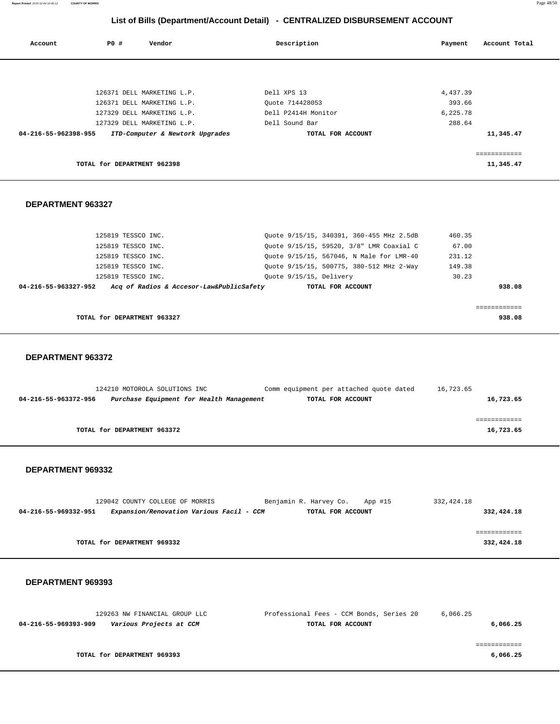**Report Printed** 2015-12-04 10:40:12 **COUNTY OF MORRIS** Page 48/50

# **List of Bills (Department/Account Detail) - CENTRALIZED DISBURSEMENT ACCOUNT**

| Account              | PO# | Vendor                          | Description         |                   | Payment  | Account Total |
|----------------------|-----|---------------------------------|---------------------|-------------------|----------|---------------|
|                      |     |                                 |                     |                   |          |               |
|                      |     | 126371 DELL MARKETING L.P.      | Dell XPS 13         |                   | 4,437.39 |               |
|                      |     | 126371 DELL MARKETING L.P.      | Ouote 714428053     |                   | 393.66   |               |
|                      |     | 127329 DELL MARKETING L.P.      | Dell P2414H Monitor |                   | 6,225.78 |               |
|                      |     | 127329 DELL MARKETING L.P.      | Dell Sound Bar      |                   | 288.64   |               |
| 04-216-55-962398-955 |     | ITD-Computer & Newtork Upgrades |                     | TOTAL FOR ACCOUNT |          | 11,345.47     |
|                      |     |                                 |                     |                   |          | ============  |
|                      |     | TOTAL for DEPARTMENT 962398     |                     |                   |          | 11,345.47     |

### **DEPARTMENT 963327**

| 125819 TESSCO INC.          | Ouote 9/15/15, 340391, 360-455 MHz 2.5dB                      | 460.35 |
|-----------------------------|---------------------------------------------------------------|--------|
| 125819 TESSCO INC.          | Ouote 9/15/15, 59520, 3/8" LMR Coaxial C                      | 67.00  |
| 125819 TESSCO INC.          | Ouote 9/15/15, 567046, N Male for LMR-40                      | 231.12 |
| 125819 TESSCO INC.          | Ouote 9/15/15, 500775, 380-512 MHz 2-Way                      | 149.38 |
| 125819 TESSCO INC.          | Ouote 9/15/15, Delivery                                       | 30.23  |
| 04-216-55-963327-952        | Acq of Radios & Accesor-Law&PublicSafety<br>TOTAL FOR ACCOUNT | 938.08 |
|                             |                                                               |        |
|                             |                                                               |        |
| TOTAL for DEPARTMENT 963327 |                                                               | 938.08 |

#### **DEPARTMENT 963372**

|                      | 124210 MOTOROLA SOLUTIONS INC            | Comm equipment per attached quote dated | 16,723.65 |
|----------------------|------------------------------------------|-----------------------------------------|-----------|
| 04-216-55-963372-956 | Purchase Equipment for Health Management | TOTAL FOR ACCOUNT                       | 16,723.65 |
|                      |                                          |                                         |           |
|                      |                                          |                                         |           |
|                      | TOTAL for DEPARTMENT 963372              |                                         | 16,723.65 |
|                      |                                          |                                         |           |

#### **DEPARTMENT 969332**

|                      | 129042 COUNTY COLLEGE OF MORRIS |                                          |  | Benjamin R. Harvey Co. App #15 |  | 332,424.18 |            |
|----------------------|---------------------------------|------------------------------------------|--|--------------------------------|--|------------|------------|
| 04-216-55-969332-951 |                                 | Expansion/Renovation Various Facil - CCM |  | TOTAL FOR ACCOUNT              |  |            | 332,424.18 |
|                      |                                 |                                          |  |                                |  |            |            |
|                      |                                 |                                          |  |                                |  |            |            |
|                      | TOTAL for DEPARTMENT 969332     |                                          |  |                                |  |            | 332,424.18 |

| 129263 NW FINANCIAL GROUP LLC                   | Professional Fees - CCM Bonds, Series 20 | 6,066.25 |
|-------------------------------------------------|------------------------------------------|----------|
| Various Projects at CCM<br>04-216-55-969393-909 | TOTAL FOR ACCOUNT                        | 6,066.25 |
|                                                 |                                          |          |
|                                                 |                                          |          |
| TOTAL for DEPARTMENT 969393                     |                                          | 6,066.25 |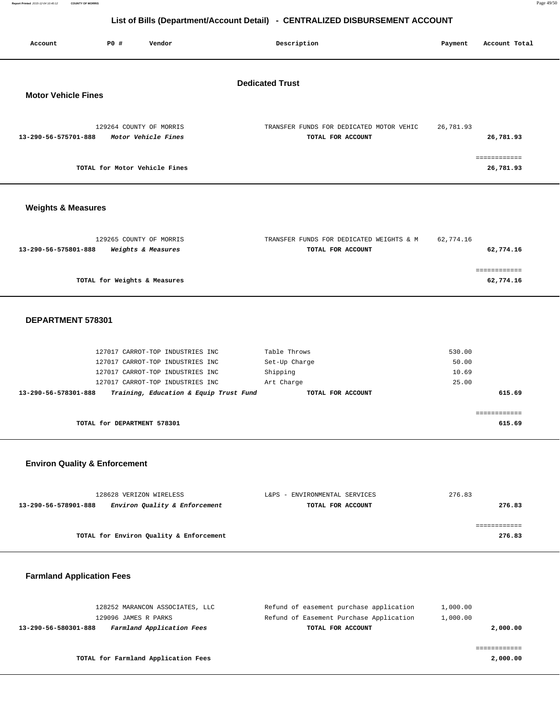**Report Printed** 2015-12-04 10:40:12 **COUNTY OF MORRIS** Page 49/50

# **List of Bills (Department/Account Detail) - CENTRALIZED DISBURSEMENT ACCOUNT**

| Account                                              | <b>PO #</b>                 | .<br>Vendor                                                                                                                                                                            | Description                                                                                             | Payment                           | Account Total             |  |  |  |  |
|------------------------------------------------------|-----------------------------|----------------------------------------------------------------------------------------------------------------------------------------------------------------------------------------|---------------------------------------------------------------------------------------------------------|-----------------------------------|---------------------------|--|--|--|--|
| <b>Dedicated Trust</b><br><b>Motor Vehicle Fines</b> |                             |                                                                                                                                                                                        |                                                                                                         |                                   |                           |  |  |  |  |
| 13-290-56-575701-888                                 |                             | 129264 COUNTY OF MORRIS<br>Motor Vehicle Fines                                                                                                                                         | TRANSFER FUNDS FOR DEDICATED MOTOR VEHIC<br>TOTAL FOR ACCOUNT                                           | 26,781.93                         | 26,781.93                 |  |  |  |  |
|                                                      |                             | TOTAL for Motor Vehicle Fines                                                                                                                                                          |                                                                                                         |                                   | ============<br>26,781.93 |  |  |  |  |
| <b>Weights &amp; Measures</b>                        |                             |                                                                                                                                                                                        |                                                                                                         |                                   |                           |  |  |  |  |
| 13-290-56-575801-888                                 |                             | 129265 COUNTY OF MORRIS<br>Weights & Measures                                                                                                                                          | TRANSFER FUNDS FOR DEDICATED WEIGHTS & M<br>TOTAL FOR ACCOUNT                                           | 62,774.16                         | 62,774.16                 |  |  |  |  |
|                                                      |                             | TOTAL for Weights & Measures                                                                                                                                                           |                                                                                                         |                                   | ============<br>62,774.16 |  |  |  |  |
| DEPARTMENT 578301                                    |                             |                                                                                                                                                                                        |                                                                                                         |                                   |                           |  |  |  |  |
| 13-290-56-578301-888                                 |                             | 127017 CARROT-TOP INDUSTRIES INC<br>127017 CARROT-TOP INDUSTRIES INC<br>127017 CARROT-TOP INDUSTRIES INC<br>127017 CARROT-TOP INDUSTRIES INC<br>Training, Education & Equip Trust Fund | Table Throws<br>Set-Up Charge<br>Shipping<br>Art Charge<br>TOTAL FOR ACCOUNT                            | 530.00<br>50.00<br>10.69<br>25.00 | 615.69                    |  |  |  |  |
|                                                      | TOTAL for DEPARTMENT 578301 |                                                                                                                                                                                        |                                                                                                         |                                   | ============<br>615.69    |  |  |  |  |
| <b>Environ Quality &amp; Enforcement</b>             |                             |                                                                                                                                                                                        |                                                                                                         |                                   |                           |  |  |  |  |
| 13-290-56-578901-888                                 |                             | 128628 VERIZON WIRELESS<br>Environ Quality & Enforcement                                                                                                                               | L&PS - ENVIRONMENTAL SERVICES<br>TOTAL FOR ACCOUNT                                                      | 276.83                            | 276.83                    |  |  |  |  |
|                                                      |                             | TOTAL for Environ Quality & Enforcement                                                                                                                                                |                                                                                                         |                                   | ============<br>276.83    |  |  |  |  |
| <b>Farmland Application Fees</b>                     |                             |                                                                                                                                                                                        |                                                                                                         |                                   |                           |  |  |  |  |
| 13-290-56-580301-888                                 | 129096 JAMES R PARKS        | 128252 MARANCON ASSOCIATES, LLC<br>Farmland Application Fees                                                                                                                           | Refund of easement purchase application<br>Refund of Easement Purchase Application<br>TOTAL FOR ACCOUNT | 1,000.00<br>1,000.00              | 2,000.00<br>============  |  |  |  |  |

**TOTAL for Farmland Application Fees 2,000.00**